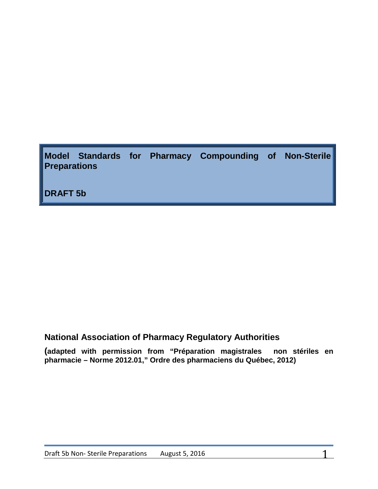**Model Standards for Pharmacy Compounding of Non-Sterile Preparations**

**DRAFT 5b**

# **National Association of Pharmacy Regulatory Authorities**

**(adapted with permission from "Préparation magistrales non stériles en pharmacie – Norme 2012.01," Ordre des pharmaciens du Québec, 2012)**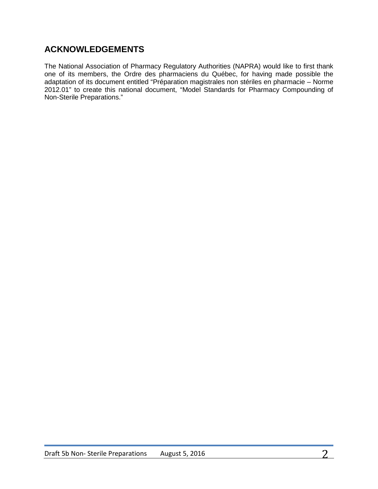# **ACKNOWLEDGEMENTS**

The National Association of Pharmacy Regulatory Authorities (NAPRA) would like to first thank one of its members, the Ordre des pharmaciens du Québec, for having made possible the adaptation of its document entitled "Préparation magistrales non stériles en pharmacie – Norme 2012.01" to create this national document, "Model Standards for Pharmacy Compounding of Non-Sterile Preparations."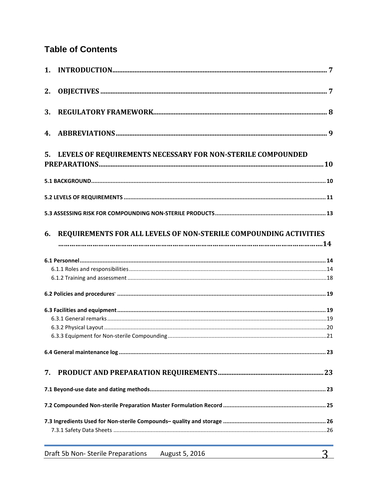# **Table of Contents**

| 2. |                                                                      |  |
|----|----------------------------------------------------------------------|--|
| 3. |                                                                      |  |
| 4. |                                                                      |  |
| 5. | LEVELS OF REQUIREMENTS NECESSARY FOR NON-STERILE COMPOUNDED          |  |
|    |                                                                      |  |
|    |                                                                      |  |
|    |                                                                      |  |
|    | 6. REQUIREMENTS FOR ALL LEVELS OF NON-STERILE COMPOUNDING ACTIVITIES |  |
|    |                                                                      |  |
|    |                                                                      |  |
|    |                                                                      |  |
|    |                                                                      |  |
|    |                                                                      |  |
|    |                                                                      |  |
|    |                                                                      |  |
|    |                                                                      |  |
|    |                                                                      |  |
| 7. |                                                                      |  |
|    |                                                                      |  |
|    |                                                                      |  |
|    |                                                                      |  |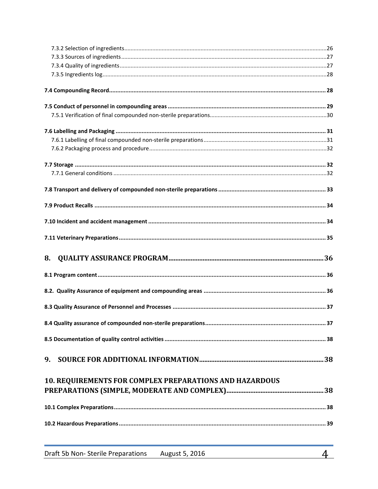| 8.                                                             |  |
|----------------------------------------------------------------|--|
|                                                                |  |
|                                                                |  |
|                                                                |  |
|                                                                |  |
|                                                                |  |
|                                                                |  |
|                                                                |  |
| 9.                                                             |  |
|                                                                |  |
| <b>10. REQUIREMENTS FOR COMPLEX PREPARATIONS AND HAZARDOUS</b> |  |
|                                                                |  |
|                                                                |  |
|                                                                |  |
|                                                                |  |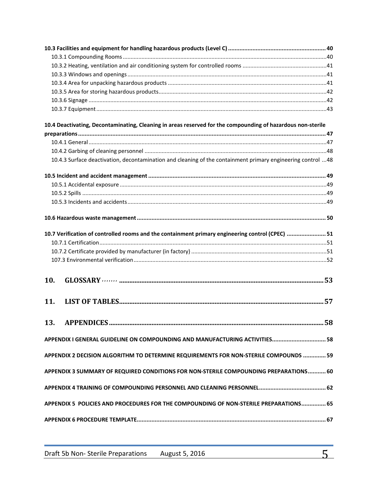|     | 10.4 Deactivating, Decontaminating, Cleaning in areas reserved for the compounding of hazardous non-sterile |  |
|-----|-------------------------------------------------------------------------------------------------------------|--|
|     |                                                                                                             |  |
|     |                                                                                                             |  |
|     |                                                                                                             |  |
|     | 10.4.3 Surface deactivation, decontamination and cleaning of the containment primary engineering control 48 |  |
|     |                                                                                                             |  |
|     |                                                                                                             |  |
|     |                                                                                                             |  |
|     |                                                                                                             |  |
|     |                                                                                                             |  |
|     | 10.7 Verification of controlled rooms and the containment primary engineering control (CPEC)  51            |  |
|     |                                                                                                             |  |
|     |                                                                                                             |  |
|     |                                                                                                             |  |
| 10. |                                                                                                             |  |
| 11. |                                                                                                             |  |
| 13. |                                                                                                             |  |
|     | APPENDIX I GENERAL GUIDELINE ON COMPOUNDING AND MANUFACTURING ACTIVITIES 58                                 |  |
|     | APPENDIX 2 DECISION ALGORITHM TO DETERMINE REQUIREMENTS FOR NON-STERILE COMPOUNDS  59                       |  |
|     | APPENDIX 3 SUMMARY OF REQUIRED CONDITIONS FOR NON-STERILE COMPOUNDING PREPARATIONS 60                       |  |
|     |                                                                                                             |  |
|     | APPENDIX 5 POLICIES AND PROCEDURES FOR THE COMPOUNDING OF NON-STERILE PREPARATIONS 65                       |  |
|     |                                                                                                             |  |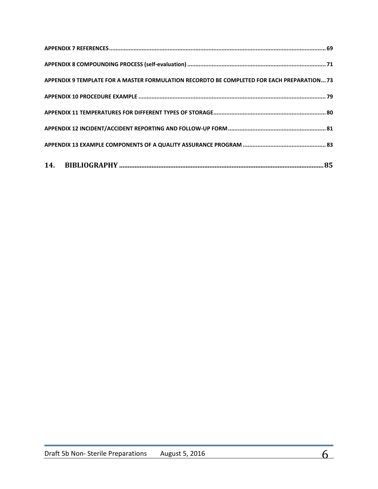| APPENDIX 9 TEMPLATE FOR A MASTER FORMULATION RECORDTO BE COMPLETED FOR EACH PREPARATION 73 |
|--------------------------------------------------------------------------------------------|
|                                                                                            |
|                                                                                            |
|                                                                                            |
|                                                                                            |
|                                                                                            |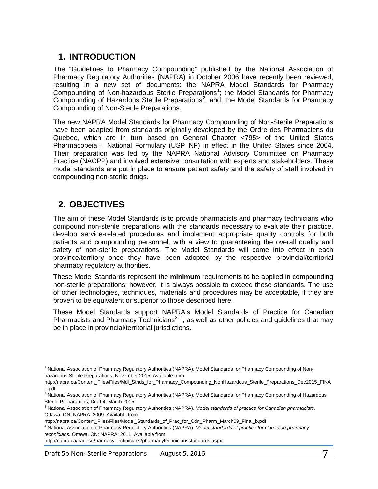# <span id="page-6-0"></span>**1. INTRODUCTION**

The "Guidelines to Pharmacy Compounding" published by the National Association of Pharmacy Regulatory Authorities (NAPRA) in October 2006 have recently been reviewed, resulting in a new set of documents: the NAPRA Model Standards for Pharmacy Compounding of Non-hazardous Sterile Preparations<sup>[1](#page-6-2)</sup>; the Model Standards for Pharmacy Compounding of Hazardous Sterile Preparations<sup>[2](#page-6-3)</sup>; and, the Model Standards for Pharmacy Compounding of Non-Sterile Preparations.

The new NAPRA Model Standards for Pharmacy Compounding of Non-Sterile Preparations have been adapted from standards originally developed by the Ordre des Pharmaciens du Quebec, which are in turn based on General Chapter <795> of the United States Pharmacopeia – National Formulary (USP–NF) in effect in the United States since 2004. Their preparation was led by the NAPRA National Advisory Committee on Pharmacy Practice (NACPP) and involved extensive consultation with experts and stakeholders. These model standards are put in place to ensure patient safety and the safety of staff involved in compounding non-sterile drugs.

# <span id="page-6-1"></span>**2. OBJECTIVES**

The aim of these Model Standards is to provide pharmacists and pharmacy technicians who compound non-sterile preparations with the standards necessary to evaluate their practice, develop service-related procedures and implement appropriate quality controls for both patients and compounding personnel, with a view to guaranteeing the overall quality and safety of non-sterile preparations. The Model Standards will come into effect in each province/territory once they have been adopted by the respective provincial/territorial pharmacy regulatory authorities.

These Model Standards represent the **minimum** requirements to be applied in compounding non-sterile preparations; however, it is always possible to exceed these standards. The use of other technologies, techniques, materials and procedures may be acceptable, if they are proven to be equivalent or superior to those described here.

These Model Standards support NAPRA's Model Standards of Practice for Canadian Pharmacists and Pharmacy Technicians<sup>[3,](#page-6-4) [4](#page-6-5)</sup>, as well as other policies and guidelines that may be in place in provincial/territorial jurisdictions.

Draft 5b Non-Sterile Preparations August 5, 2016

<span id="page-6-2"></span>l <sup>1</sup> National Association of Pharmacy Regulatory Authorities (NAPRA), Model Standards for Pharmacy Compounding of Nonhazardous Sterile Preparations, November 2015. Available from:

http://napra.ca/Content\_Files/Files/Mdl\_Stnds\_for\_Pharmacy\_Compounding\_NonHazardous\_Sterile\_Preparations\_Dec2015\_FINA L.pdf

<span id="page-6-3"></span><sup>&</sup>lt;sup>2</sup> National Association of Pharmacy Regulatory Authorities (NAPRA), Model Standards for Pharmacy Compounding of Hazardous Sterile Preparations, Draft 4, March 2015

<span id="page-6-4"></span><sup>3</sup> National Association of Pharmacy Regulatory Authorities (NAPRA). *Model standards of practice for Canadian pharmacists.* Ottawa, ON: NAPRA; 2009. Available from:

http://napra.ca/Content\_Files/Files/Model\_Standards\_of\_Prac\_for\_Cdn\_Pharm\_March09\_Final\_b.pdf

<span id="page-6-5"></span><sup>4</sup> National Association of Pharmacy Regulatory Authorities (NAPRA). *Model standards of practice for Canadian pharmacy technicians.* Ottawa, ON: NAPRA; 2011. Available from:

http://napra.ca/pages/PharmacyTechnicians/pharmacytechniciansstandards.aspx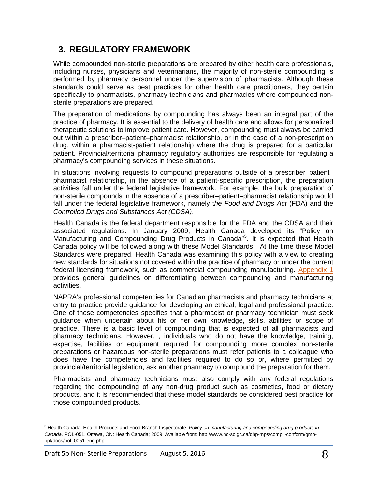# <span id="page-7-0"></span>**3. REGULATORY FRAMEWORK**

While compounded non-sterile preparations are prepared by other health care professionals, including nurses, physicians and veterinarians, the majority of non-sterile compounding is performed by pharmacy personnel under the supervision of pharmacists. Although these standards could serve as best practices for other health care practitioners, they pertain specifically to pharmacists, pharmacy technicians and pharmacies where compounded nonsterile preparations are prepared.

The preparation of medications by compounding has always been an integral part of the practice of pharmacy. It is essential to the delivery of health care and allows for personalized therapeutic solutions to improve patient care. However, compounding must always be carried out within a prescriber–patient–pharmacist relationship, or in the case of a non-prescription drug, within a pharmacist-patient relationship where the drug is prepared for a particular patient. Provincial/territorial pharmacy regulatory authorities are responsible for regulating a pharmacy's compounding services in these situations.

In situations involving requests to compound preparations outside of a prescriber–patient– pharmacist relationship, in the absence of a patient-specific prescription, the preparation activities fall under the federal legislative framework. For example, the bulk preparation of non-sterile compounds in the absence of a prescriber–patient–pharmacist relationship would fall under the federal legislative framework, namely t*he Food and Drugs Act* (FDA) and the *Controlled Drugs and Substances Act (CDSA)*.

Health Canada is the federal department responsible for the FDA and the CDSA and their associated regulations. In January 2009, Health Canada developed its "Policy on Manufacturing and Compounding Drug Products in Canada<sup>n[5](#page-7-1)</sup>. It is expected that Health Canada policy will be followed along with these Model Standards. At the time these Model Standards were prepared, Health Canada was examining this policy with a view to creating new standards for situations not covered within the practice of pharmacy or under the current federal licensing framework, such as commercial compounding manufacturing. [Appendix 1](#page-57-1) provides general guidelines on differentiating between compounding and manufacturing activities.

NAPRA's professional competencies for Canadian pharmacists and pharmacy technicians at entry to practice provide guidance for developing an ethical, legal and professional practice. One of these competencies specifies that a pharmacist or pharmacy technician must seek guidance when uncertain about his or her own knowledge, skills, abilities or scope of practice. There is a basic level of compounding that is expected of all pharmacists and pharmacy technicians. However, , individuals who do not have the knowledge, training, expertise, facilities or equipment required for compounding more complex non-sterile preparations or hazardous non-sterile preparations must refer patients to a colleague who does have the competencies and facilities required to do so or, where permitted by provincial/territorial legislation, ask another pharmacy to compound the preparation for them.

Pharmacists and pharmacy technicians must also comply with any federal regulations regarding the compounding of any non-drug product such as cosmetics, food or dietary products, and it is recommended that these model standards be considered best practice for those compounded products.

l

<span id="page-7-1"></span><sup>&</sup>lt;sup>5</sup> Health Canada, Health Products and Food Branch Inspectorate. Policy on manufacturing and compounding drug products in *Canada.* POL-051. Ottawa, ON: Health Canada; 2009. Available from: http://www.hc-sc.gc.ca/dhp-mps/compli-conform/gmpbpf/docs/pol\_0051-eng.php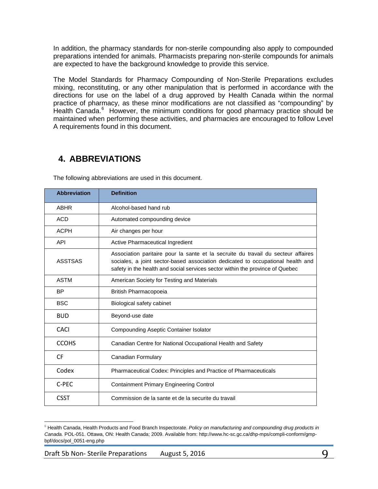In addition, the pharmacy standards for non-sterile compounding also apply to compounded preparations intended for animals. Pharmacists preparing non-sterile compounds for animals are expected to have the background knowledge to provide this service.

The Model Standards for Pharmacy Compounding of Non-Sterile Preparations excludes mixing, reconstituting, or any other manipulation that is performed in accordance with the directions for use on the label of a drug approved by Health Canada within the normal practice of pharmacy, as these minor modifications are not classified as "compounding" by Health Canada.<sup>[6](#page-8-1)</sup> However, the minimum conditions for good pharmacy practice should be maintained when performing these activities, and pharmacies are encouraged to follow Level A requirements found in this document.

# <span id="page-8-0"></span>**4. ABBREVIATIONS**

| <b>Abbreviation</b> | <b>Definition</b>                                                                                                                                                                                                                                     |
|---------------------|-------------------------------------------------------------------------------------------------------------------------------------------------------------------------------------------------------------------------------------------------------|
| <b>ABHR</b>         | Alcohol-based hand rub                                                                                                                                                                                                                                |
| <b>ACD</b>          | Automated compounding device                                                                                                                                                                                                                          |
| <b>ACPH</b>         | Air changes per hour                                                                                                                                                                                                                                  |
| <b>API</b>          | Active Pharmaceutical Ingredient                                                                                                                                                                                                                      |
| <b>ASSTSAS</b>      | Association paritaire pour la sante et la secruite du travail du secteur affaires<br>sociales, a joint sector-based association dedicated to occupational health and<br>safety in the health and social services sector within the province of Quebec |
| <b>ASTM</b>         | American Society for Testing and Materials                                                                                                                                                                                                            |
| <b>BP</b>           | British Pharmacopoeia                                                                                                                                                                                                                                 |
| <b>BSC</b>          | Biological safety cabinet                                                                                                                                                                                                                             |
| <b>BUD</b>          | Beyond-use date                                                                                                                                                                                                                                       |
| CACI                | Compounding Aseptic Container Isolator                                                                                                                                                                                                                |
| <b>CCOHS</b>        | Canadian Centre for National Occupational Health and Safety                                                                                                                                                                                           |
| <b>CF</b>           | Canadian Formulary                                                                                                                                                                                                                                    |
| Codex               | Pharmaceutical Codex: Principles and Practice of Pharmaceuticals                                                                                                                                                                                      |
| C-PFC               | <b>Containment Primary Engineering Control</b>                                                                                                                                                                                                        |
| <b>CSST</b>         | Commission de la sante et de la securite du travail                                                                                                                                                                                                   |

The following abbreviations are used in this document.

Draft 5b Non-Sterile Preparations August 5, 2016 March 2016

l

<span id="page-8-1"></span><sup>6</sup> Health Canada, Health Products and Food Branch Inspectorate. *Policy on manufacturing and compounding drug products in Canada.* POL-051. Ottawa, ON: Health Canada; 2009. Available from: http://www.hc-sc.gc.ca/dhp-mps/compli-conform/gmpbpf/docs/pol\_0051-eng.php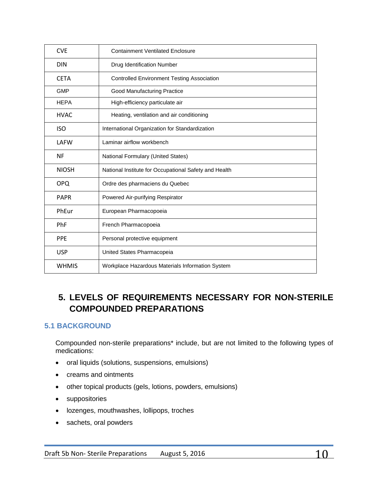| <b>CVF</b>   | <b>Containment Ventilated Enclosure</b>               |
|--------------|-------------------------------------------------------|
| <b>DIN</b>   | Drug Identification Number                            |
| <b>CETA</b>  | <b>Controlled Environment Testing Association</b>     |
| <b>GMP</b>   | Good Manufacturing Practice                           |
| <b>HEPA</b>  | High-efficiency particulate air                       |
| <b>HVAC</b>  | Heating, ventilation and air conditioning             |
| <b>ISO</b>   | International Organization for Standardization        |
| <b>LAFW</b>  | Laminar airflow workbench                             |
| <b>NF</b>    | National Formulary (United States)                    |
| <b>NIOSH</b> | National Institute for Occupational Safety and Health |
| <b>OPQ</b>   | Ordre des pharmaciens du Quebec                       |
| <b>PAPR</b>  | Powered Air-purifying Respirator                      |
| PhEur        | European Pharmacopoeia                                |
| PhF          | French Pharmacopoeia                                  |
| <b>PPE</b>   | Personal protective equipment                         |
| <b>USP</b>   | United States Pharmacopeia                            |
| <b>WHMIS</b> | Workplace Hazardous Materials Information System      |

# <span id="page-9-0"></span>**5. LEVELS OF REQUIREMENTS NECESSARY FOR NON-STERILE COMPOUNDED PREPARATIONS**

# <span id="page-9-1"></span>**5.1 BACKGROUND**

Compounded non-sterile preparations\* include, but are not limited to the following types of medications:

- oral liquids (solutions, suspensions, emulsions)
- creams and ointments
- other topical products (gels, lotions, powders, emulsions)
- suppositories
- lozenges, mouthwashes, lollipops, troches
- sachets, oral powders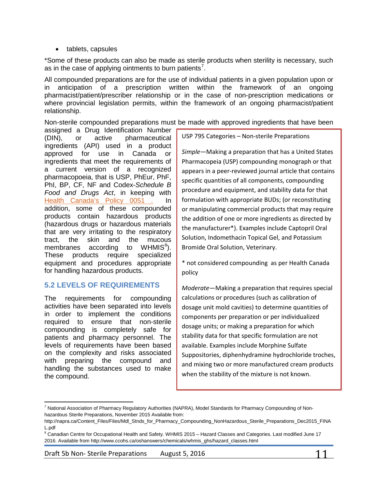• tablets, capsules

\*Some of these products can also be made as sterile products when sterility is necessary, such as in the case of applying ointments to burn patients<sup>[7](#page-10-1)</sup>.

All compounded preparations are for the use of individual patients in a given population upon or in anticipation of a prescription written within the framework of an ongoing pharmacist/patient/prescriber relationship or in the case of non-prescription medications or where provincial legislation permits, within the framework of an ongoing pharmacist/patient relationship.

Non-sterile compounded preparations must be made with approved ingredients that have been

assigned a Drug Identification Number (DIN), or active pharmaceutical ingredients (API) used in a product approved for use in Canada or ingredients that meet the requirements of a current version of a recognized pharmacopoeia, that is USP, PhEur, PhF, PhI, BP, CF, NF and Codex-*Schedule B Food and Drugs Act*, in keeping with [Health Canada's Policy 0051](http://www.hc-sc.gc.ca/dhp-mps/compli-conform/gmp-bpf/docs/pol_0051-eng.php) . In addition, some of these compounded products contain hazardous products (hazardous drugs or hazardous materials that are very irritating to the respiratory tract, the skin and the mucous membranes according to WHMIS ${}^{8}$  ${}^{8}$  ${}^{8}$ ). These products require specialized equipment and procedures appropriate for handling hazardous products.

## <span id="page-10-0"></span>**5.2 LEVELS OF REQUIREMENTS**

The requirements for compounding activities have been separated into levels in order to implement the conditions required to ensure that non-sterile compounding is completely safe for patients and pharmacy personnel. The levels of requirements have been based on the complexity and risks associated with preparing the compound and handling the substances used to make the compound.

 $\overline{\phantom{a}}$ 

USP 795 Categories – Non-sterile Preparations

*Simple*—Making a preparation that has a United States Pharmacopeia (USP) compounding monograph or that appears in a peer-reviewed journal article that contains specific quantities of all components, compounding procedure and equipment, and stability data for that formulation with appropriate BUDs; (or reconstituting or manipulating commercial products that may require the addition of one or more ingredients as directed by the manufacturer\*). Examples include Captopril Oral Solution, Indomethacin Topical Gel, and Potassium Bromide Oral Solution, Veterinary.

\* not considered compounding as per Health Canada policy

*Moderate*—Making a preparation that requires special calculations or procedures (such as calibration of dosage unit mold cavities) to determine quantities of components per preparation or per individualized dosage units; or making a preparation for which stability data for that specific formulation are not available. Examples include Morphine Sulfate Suppositories, diphenhydramine hydrochloride troches, and mixing two or more manufactured cream products when the stability of the mixture is not known.

<span id="page-10-1"></span><sup>&</sup>lt;sup>7</sup> National Association of Pharmacy Regulatory Authorities (NAPRA), Model Standards for Pharmacy Compounding of Nonhazardous Sterile Preparations, November 2015 Available from:

http://napra.ca/Content\_Files/Files/Mdl\_Stnds\_for\_Pharmacy\_Compounding\_NonHazardous\_Sterile\_Preparations\_Dec2015\_FINA L.pdf

<span id="page-10-2"></span><sup>&</sup>lt;sup>8</sup> Canadian Centre for Occupational Health and Safety. WHMIS 2015 - Hazard Classes and Categories. Last modified June 17 2016. Available from http://www.ccohs.ca/oshanswers/chemicals/whmis\_ghs/hazard\_classes.html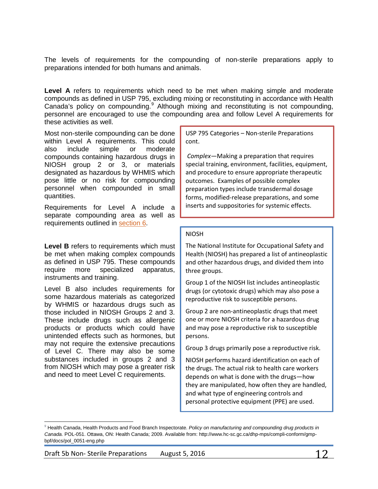The levels of requirements for the compounding of non-sterile preparations apply to preparations intended for both humans and animals.

**Level A** refers to requirements which need to be met when making simple and moderate compounds as defined in USP 795, excluding mixing or reconstituting in accordance with Health Canada's policy on compounding.<sup>[9](#page-11-0)</sup> Although mixing and reconstituting is not compounding, personnel are encouraged to use the compounding area and follow Level A requirements for these activities as well.

Most non-sterile compounding can be done within Level A requirements. This could also include simple or moderate compounds containing hazardous drugs in NIOSH group 2 or 3, or materials designated as hazardous by WHMIS which pose little or no risk for compounding personnel when compounded in small quantities.

Requirements for Level A include a separate compounding area as well as requirements outlined in [section 6.](#page-13-0)

Level **B** refers to requirements which must be met when making complex compounds as defined in USP 795. These compounds require more specialized apparatus, instruments and training.

Level B also includes requirements for some hazardous materials as categorized by WHMIS or hazardous drugs such as those included in NIOSH Groups 2 and 3. These include drugs such as allergenic products or products which could have unintended effects such as hormones, but may not require the extensive precautions of Level C. There may also be some substances included in groups 2 and 3 from NIOSH which may pose a greater risk and need to meet Level C requirements.

l

USP 795 Categories – Non-sterile Preparations cont.

*Complex*—Making a preparation that requires special training, environment, facilities, equipment, and procedure to ensure appropriate therapeutic outcomes. Examples of possible complex preparation types include transdermal dosage forms, modified-release preparations, and some inserts and suppositories for systemic effects.

#### NIOSH

The National Institute for Occupational Safety and Health (NIOSH) has prepared a list of antineoplastic and other hazardous drugs, and divided them into three groups.

Group 1 of the NIOSH list includes antineoplastic drugs (or cytotoxic drugs) which may also pose a reproductive risk to susceptible persons.

Group 2 are non-antineoplastic drugs that meet one or more NIOSH criteria for a hazardous drug and may pose a reproductive risk to susceptible persons.

Group 3 drugs primarily pose a reproductive risk.

NIOSH performs hazard identification on each of the drugs. The actual risk to health care workers depends on what is done with the drugs—how they are manipulated, how often they are handled, and what type of engineering controls and personal protective equipment (PPE) are used.

<span id="page-11-0"></span><sup>9</sup> Health Canada, Health Products and Food Branch Inspectorate. *Policy on manufacturing and compounding drug products in Canada.* POL-051. Ottawa, ON: Health Canada; 2009. Available from: http://www.hc-sc.gc.ca/dhp-mps/compli-conform/gmpbpf/docs/pol\_0051-eng.php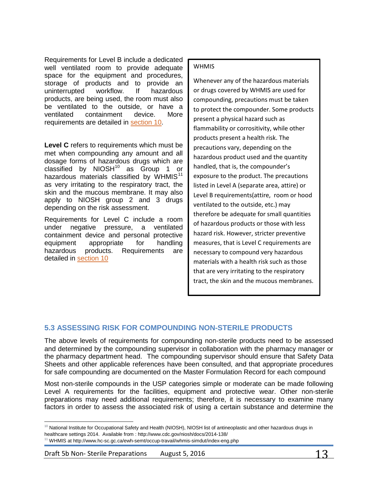Requirements for Level B include a dedicated well ventilated room to provide adequate space for the equipment and procedures, storage of products and to provide an uninterrupted workflow. If hazardous products, are being used, the room must also be ventilated to the outside, or have a ventilated containment device. More requirements are detailed in [section 10.](#page-37-2)

**Level C** refers to requirements which must be met when compounding any amount and all dosage forms of hazardous drugs which are classified by  $NIOSH<sup>10</sup>$  $NIOSH<sup>10</sup>$  $NIOSH<sup>10</sup>$  as Group 1 or hazardous materials classified by WHMIS $<sup>11</sup>$  $<sup>11</sup>$  $<sup>11</sup>$ </sup> as very irritating to the respiratory tract, the skin and the mucous membrane. It may also apply to NIOSH group 2 and 3 drugs depending on the risk assessment.

Requirements for Level C include a room under negative pressure, a ventilated containment device and personal protective equipment appropriate for handling hazardous products. Requirements are detailed in [section 10](#page-37-2)

## WHMIS

Whenever any of the hazardous materials or drugs covered by WHMIS are used for compounding, precautions must be taken to protect the compounder. Some products present a physical hazard such as flammability or corrositivity, while other products present a health risk. The precautions vary, depending on the hazardous product used and the quantity handled, that is, the compounder's exposure to the product. The precautions listed in Level A (separate area, attire) or Level B requirements(attire, room or hood ventilated to the outside, etc.) may therefore be adequate for small quantities of hazardous products or those with less hazard risk. However, stricter preventive measures, that is Level C requirements are necessary to compound very hazardous materials with a health risk such as those that are very irritating to the respiratory tract, the skin and the mucous membranes.

# <span id="page-12-0"></span>**5.3 ASSESSING RISK FOR COMPOUNDING NON-STERILE PRODUCTS**

The above levels of requirements for compounding non-sterile products need to be assessed and determined by the compounding supervisor in collaboration with the pharmacy manager or the pharmacy department head. The compounding supervisor should ensure that Safety Data Sheets and other applicable references have been consulted, and that appropriate procedures for safe compounding are documented on the Master Formulation Record for each compound

Most non-sterile compounds in the USP categories simple or moderate can be made following Level A requirements for the facilities, equipment and protective wear. Other non-sterile preparations may need additional requirements; therefore, it is necessary to examine many factors in order to assess the associated risk of using a certain substance and determine the

<span id="page-12-1"></span>l  $10$  National Institute for Occupational Safety and Health (NIOSH), NIOSH list of antineoplastic and other hazardous drugs in healthcare settings 2014. Available from : http://www.cdc.gov/niosh/docs/2014-138/

<span id="page-12-2"></span><sup>&</sup>lt;sup>11</sup> WHMIS at http://www.hc-sc.gc.ca/ewh-semt/occup-travail/whmis-simdut/index-eng.php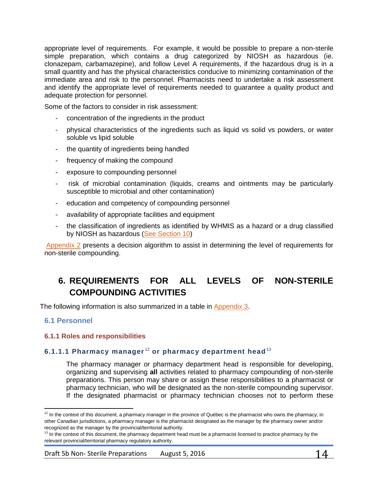appropriate level of requirements. For example, it would be possible to prepare a non-sterile simple preparation, which contains a drug categorized by NIOSH as hazardous (ie. clonazepam, carbamazepine), and follow Level A requirements, if the hazardous drug is in a small quantity and has the physical characteristics conducive to minimizing contamination of the immediate area and risk to the personnel. Pharmacists need to undertake a risk assessment and identify the appropriate level of requirements needed to guarantee a quality product and adequate protection for personnel.

Some of the factors to consider in risk assessment:

- concentration of the ingredients in the product
- physical characteristics of the ingredients such as liquid vs solid vs powders, or water soluble vs lipid soluble
- the quantity of ingredients being handled
- frequency of making the compound
- exposure to compounding personnel
- risk of microbial contamination (liquids, creams and ointments may be particularly susceptible to microbial and other contamination)
- education and competency of compounding personnel
- availability of appropriate facilities and equipment
- the classification of ingredients as identified by WHMIS as a hazard or a drug classified by NIOSH as hazardous [\(See Section 10\)](#page-37-2)

[Appendix 2](#page-58-0) presents a decision algorithm to assist in determining the level of requirements for non-sterile compounding.

# <span id="page-13-0"></span>**6. REQUIREMENTS FOR ALL LEVELS OF NON-STERILE COMPOUNDING ACTIVITIES**

The following information is also summarized in a table in [Appendix 3.](#page-59-0)

## <span id="page-13-1"></span>**6.1 Personnel**

 $\overline{\phantom{a}}$ 

### <span id="page-13-2"></span>**6.1.1 Roles and responsibilities**

## **6.1.1.1 Pharmacy manager** [12](#page-13-3) **or pharmacy department head**[13](#page-13-4)

The pharmacy manager or pharmacy department head is responsible for developing, organizing and supervising **all** activities related to pharmacy compounding of non-sterile preparations. This person may share or assign these responsibilities to a pharmacist or pharmacy technician, who will be designated as the non-sterile compounding supervisor. If the designated pharmacist or pharmacy technician chooses not to perform these

<span id="page-13-3"></span> $12$  In the context of this document, a pharmacy manager in the province of Québec is the pharmacist who owns the pharmacy; in other Canadian jurisdictions, a pharmacy manager is the pharmacist designated as the manager by the pharmacy owner and/or recognized as the manager by the provincial/territorial authority.

<span id="page-13-4"></span><sup>&</sup>lt;sup>13</sup> In the context of this document, the pharmacy department head must be a pharmacist licensed to practice pharmacy by the relevant provincial/territorial pharmacy regulatory authority.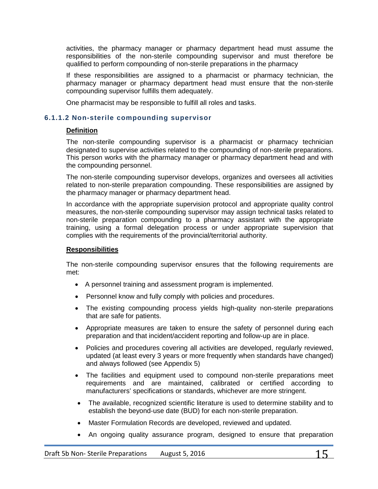activities, the pharmacy manager or pharmacy department head must assume the responsibilities of the non-sterile compounding supervisor and must therefore be qualified to perform compounding of non-sterile preparations in the pharmacy

If these responsibilities are assigned to a pharmacist or pharmacy technician, the pharmacy manager or pharmacy department head must ensure that the non-sterile compounding supervisor fulfills them adequately.

One pharmacist may be responsible to fulfill all roles and tasks.

## **6.1.1.2 Non-sterile compounding supervisor**

## **Definition**

The non-sterile compounding supervisor is a pharmacist or pharmacy technician designated to supervise activities related to the compounding of non-sterile preparations. This person works with the pharmacy manager or pharmacy department head and with the compounding personnel.

The non-sterile compounding supervisor develops, organizes and oversees all activities related to non-sterile preparation compounding. These responsibilities are assigned by the pharmacy manager or pharmacy department head.

In accordance with the appropriate supervision protocol and appropriate quality control measures, the non-sterile compounding supervisor may assign technical tasks related to non-sterile preparation compounding to a pharmacy assistant with the appropriate training, using a formal delegation process or under appropriate supervision that complies with the requirements of the provincial/territorial authority.

### **Responsibilities**

The non-sterile compounding supervisor ensures that the following requirements are met:

- A personnel training and assessment program is implemented.
- Personnel know and fully comply with policies and procedures.
- The existing compounding process yields high-quality non-sterile preparations that are safe for patients.
- Appropriate measures are taken to ensure the safety of personnel during each preparation and that incident/accident reporting and follow-up are in place.
- Policies and procedures covering all activities are developed, regularly reviewed, updated (at least every 3 years or more frequently when standards have changed) and always followed (see Appendix 5)
- The facilities and equipment used to compound non-sterile preparations meet requirements and are maintained, calibrated or certified according to manufacturers' specifications or standards, whichever are more stringent.
- The available, recognized scientific literature is used to determine stability and to establish the beyond-use date (BUD) for each non-sterile preparation.
- Master Formulation Records are developed, reviewed and updated.
- An ongoing quality assurance program, designed to ensure that preparation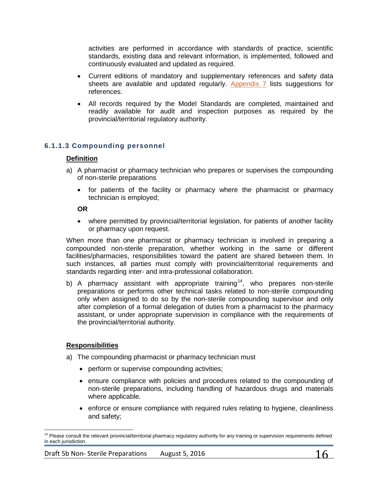activities are performed in accordance with standards of practice, scientific standards, existing data and relevant information, is implemented, followed and continuously evaluated and updated as required.

- Current editions of mandatory and supplementary references and safety data sheets are available and updated regularly. [Appendix](#page-68-0) 7 lists suggestions for references.
- All records required by the Model Standards are completed, maintained and readily available for audit and inspection purposes as required by the provincial/territorial regulatory authority.

# **6.1.1.3 Compounding personnel**

### **Definition**

- a) A pharmacist or pharmacy technician who prepares or supervises the compounding of non-sterile preparations
	- for patients of the facility or pharmacy where the pharmacist or pharmacy technician is employed;

**OR**

• where permitted by provincial/territorial legislation, for patients of another facility or pharmacy upon request.

When more than one pharmacist or pharmacy technician is involved in preparing a compounded non-sterile preparation, whether working in the same or different facilities/pharmacies, responsibilities toward the patient are shared between them. In such instances, all parties must comply with provincial/territorial requirements and standards regarding inter- and intra-professional collaboration.

b) A pharmacy assistant with appropriate training<sup>14</sup>, who prepares non-sterile preparations or performs other technical tasks related to non-sterile compounding only when assigned to do so by the non-sterile compounding supervisor and only after completion of a formal delegation of duties from a pharmacist to the pharmacy assistant, or under appropriate supervision in compliance with the requirements of the provincial/territorial authority.

### **Responsibilities**

- a) The compounding pharmacist or pharmacy technician must
	- perform or supervise compounding activities;
	- ensure compliance with policies and procedures related to the compounding of non-sterile preparations, including handling of hazardous drugs and materials where applicable.
	- enforce or ensure compliance with required rules relating to hygiene, cleanliness and safety;

<span id="page-15-0"></span> $\overline{\phantom{a}}$  $14$  Please consult the relevant provincial/territorial pharmacy regulatory authority for any training or supervision requirements defined in each jurisdiction.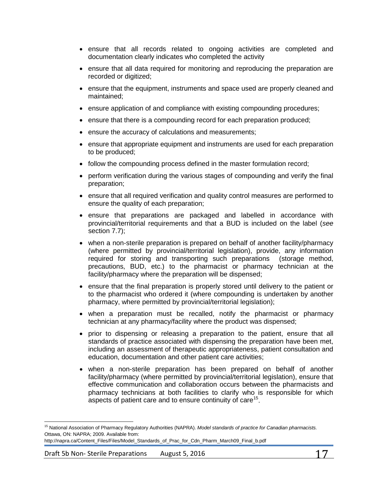- ensure that all records related to ongoing activities are completed and documentation clearly indicates who completed the activity
- ensure that all data required for monitoring and reproducing the preparation are recorded or digitized;
- ensure that the equipment, instruments and space used are properly cleaned and maintained;
- ensure application of and compliance with existing compounding procedures;
- ensure that there is a compounding record for each preparation produced;
- ensure the accuracy of calculations and measurements;
- ensure that appropriate equipment and instruments are used for each preparation to be produced;
- follow the compounding process defined in the master formulation record;
- perform verification during the various stages of compounding and verify the final preparation;
- ensure that all required verification and quality control measures are performed to ensure the quality of each preparation;
- ensure that preparations are packaged and labelled in accordance with provincial/territorial requirements and that a BUD is included on the label (*see* section 7.7);
- when a non-sterile preparation is prepared on behalf of another facility/pharmacy (where permitted by provincial/territorial legislation), provide, any information required for storing and transporting such preparations (storage method, precautions, BUD, etc.) to the pharmacist or pharmacy technician at the facility/pharmacy where the preparation will be dispensed;
- ensure that the final preparation is properly stored until delivery to the patient or to the pharmacist who ordered it (where compounding is undertaken by another pharmacy, where permitted by provincial/territorial legislation);
- when a preparation must be recalled, notify the pharmacist or pharmacy technician at any pharmacy/facility where the product was dispensed;
- prior to dispensing or releasing a preparation to the patient, ensure that all standards of practice associated with dispensing the preparation have been met, including an assessment of therapeutic appropriateness, patient consultation and education, documentation and other patient care activities;
- when a non-sterile preparation has been prepared on behalf of another facility/pharmacy (where permitted by provincial/territorial legislation), ensure that effective communication and collaboration occurs between the pharmacists and pharmacy technicians at both facilities to clarify who is responsible for which aspects of patient care and to ensure continuity of care<sup>[15](#page-16-0)</sup>.

l

<span id="page-16-0"></span><sup>15</sup> National Association of Pharmacy Regulatory Authorities (NAPRA). *Model standards of practice for Canadian pharmacists.* Ottawa, ON: NAPRA; 2009. Available from:

http://napra.ca/Content\_Files/Files/Model\_Standards\_of\_Prac\_for\_Cdn\_Pharm\_March09\_Final\_b.pdf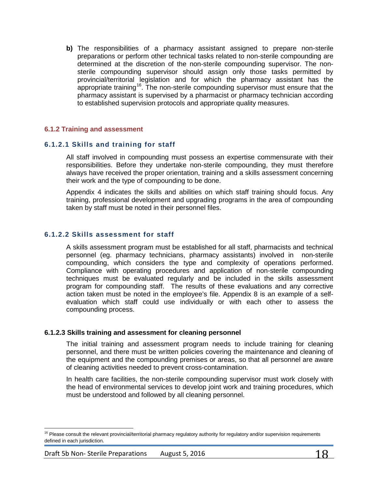**b)** The responsibilities of a pharmacy assistant assigned to prepare non-sterile preparations or perform other technical tasks related to non-sterile compounding are determined at the discretion of the non-sterile compounding supervisor. The nonsterile compounding supervisor should assign only those tasks permitted by provincial/territorial legislation and for which the pharmacy assistant has the appropriate training<sup>[16](#page-17-1)</sup>. The non-sterile compounding supervisor must ensure that the pharmacy assistant is supervised by a pharmacist or pharmacy technician according to established supervision protocols and appropriate quality measures.

### <span id="page-17-0"></span>**6.1.2 Training and assessment**

## **6.1.2.1 Skills and training for staff**

All staff involved in compounding must possess an expertise commensurate with their responsibilities. Before they undertake non-sterile compounding, they must therefore always have received the proper orientation, training and a skills assessment concerning their work and the type of compounding to be done.

Appendix 4 indicates the skills and abilities on which staff training should focus. Any training, professional development and upgrading programs in the area of compounding taken by staff must be noted in their personnel files.

### **6.1.2.2 Skills assessment for staff**

A skills assessment program must be established for all staff, pharmacists and technical personnel (eg. pharmacy technicians, pharmacy assistants) involved in non-sterile compounding, which considers the type and complexity of operations performed. Compliance with operating procedures and application of non-sterile compounding techniques must be evaluated regularly and be included in the skills assessment program for compounding staff. The results of these evaluations and any corrective action taken must be noted in the employee's file. Appendix 8 is an example of a selfevaluation which staff could use individually or with each other to assess the compounding process.

### **6.1.2.3 Skills training and assessment for cleaning personnel**

The initial training and assessment program needs to include training for cleaning personnel, and there must be written policies covering the maintenance and cleaning of the equipment and the compounding premises or areas, so that all personnel are aware of cleaning activities needed to prevent cross-contamination.

In health care facilities, the non-sterile compounding supervisor must work closely with the head of environmental services to develop joint work and training procedures, which must be understood and followed by all cleaning personnel.

 $\overline{\phantom{a}}$ 

<span id="page-17-1"></span><sup>&</sup>lt;sup>16</sup> Please consult the relevant provincial/territorial pharmacy regulatory authority for regulatory and/or supervision requirements defined in each jurisdiction.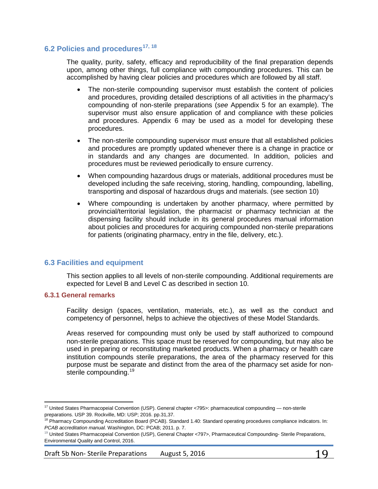## <span id="page-18-0"></span>**6.2 Policies and procedures[17](#page-18-3), [18](#page-18-4)**

The quality, purity, safety, efficacy and reproducibility of the final preparation depends upon, among other things, full compliance with compounding procedures. This can be accomplished by having clear policies and procedures which are followed by all staff.

- The non-sterile compounding supervisor must establish the content of policies and procedures, providing detailed descriptions of all activities in the pharmacy's compounding of non-sterile preparations (*see* Appendix 5 for an example). The supervisor must also ensure application of and compliance with these policies and procedures. Appendix 6 may be used as a model for developing these procedures.
- The non-sterile compounding supervisor must ensure that all established policies and procedures are promptly updated whenever there is a change in practice or in standards and any changes are documented. In addition, policies and procedures must be reviewed periodically to ensure currency.
- When compounding hazardous drugs or materials, additional procedures must be developed including the safe receiving, storing, handling, compounding, labelling, transporting and disposal of hazardous drugs and materials. (see section 10)
- Where compounding is undertaken by another pharmacy, where permitted by provincial/territorial legislation, the pharmacist or pharmacy technician at the dispensing facility should include in its general procedures manual information about policies and procedures for acquiring compounded non-sterile preparations for patients (originating pharmacy, entry in the file, delivery, etc.).

### <span id="page-18-1"></span>**6.3 Facilities and equipment**

This section applies to all levels of non-sterile compounding. Additional requirements are expected for Level B and Level C as described in section 10.

#### <span id="page-18-2"></span>**6.3.1 General remarks**

 $\overline{\phantom{a}}$ 

Facility design (spaces, ventilation, materials, etc.), as well as the conduct and competency of personnel, helps to achieve the objectives of these Model Standards.

Areas reserved for compounding must only be used by staff authorized to compound non-sterile preparations. This space must be reserved for compounding, but may also be used in preparing or reconstituting marketed products. When a pharmacy or health care institution compounds sterile preparations, the area of the pharmacy reserved for this purpose must be separate and distinct from the area of the pharmacy set aside for non-sterile compounding.<sup>[19](#page-18-5)</sup>

Draft 5b Non-Sterile Preparations August 5, 2016 19

<span id="page-18-3"></span><sup>&</sup>lt;sup>17</sup> United States Pharmacopeial Convention (USP). General chapter <795>: pharmaceutical compounding — non-sterile preparations. USP 39. Rockville, MD: USP; 2016. pp.31,37.

<span id="page-18-4"></span><sup>&</sup>lt;sup>18</sup> Pharmacy Compounding Accreditation Board (PCAB). Standard 1.40: Standard operating procedures compliance indicators. In: *PCAB accreditation manual.* Washington, DC: PCAB; 2011. p. 7.

<span id="page-18-5"></span><sup>&</sup>lt;sup>19</sup> United States Pharmacopeial Convention (USP), General Chapter <797>, Pharmaceutical Compounding- Sterile Preparations, Environmental Quality and Control, 2016.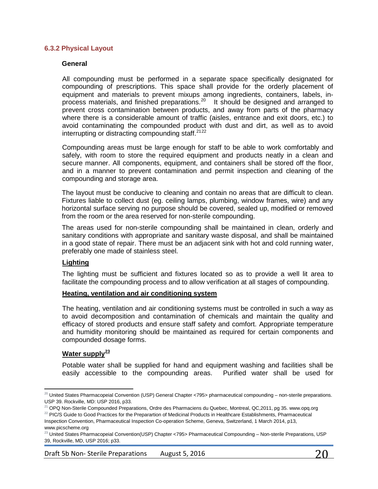#### <span id="page-19-0"></span>**6.3.2 Physical Layout**

#### **General**

All compounding must be performed in a separate space specifically designated for compounding of prescriptions. This space shall provide for the orderly placement of equipment and materials to prevent mixups among ingredients, containers, labels, in-process materials, and finished preparations.<sup>[20](#page-19-1)</sup> It should be designed and arranged to prevent cross contamination between products, and away from parts of the pharmacy where there is a considerable amount of traffic (aisles, entrance and exit doors, etc.) to avoid contaminating the compounded product with dust and dirt, as well as to avoid interrupting or distracting compounding staff.<sup>[21](#page-19-2)[22](#page-19-3)</sup>

Compounding areas must be large enough for staff to be able to work comfortably and safely, with room to store the required equipment and products neatly in a clean and secure manner. All components, equipment, and containers shall be stored off the floor, and in a manner to prevent contamination and permit inspection and cleaning of the compounding and storage area.

The layout must be conducive to cleaning and contain no areas that are difficult to clean. Fixtures liable to collect dust (eg. ceiling lamps, plumbing, window frames, wire) and any horizontal surface serving no purpose should be covered, sealed up, modified or removed from the room or the area reserved for non-sterile compounding.

The areas used for non-sterile compounding shall be maintained in clean, orderly and sanitary conditions with appropriate and sanitary waste disposal, and shall be maintained in a good state of repair. There must be an adjacent sink with hot and cold running water, preferably one made of stainless steel.

#### **Lighting**

The lighting must be sufficient and fixtures located so as to provide a well lit area to facilitate the compounding process and to allow verification at all stages of compounding.

#### **Heating, ventilation and air conditioning system**

The heating, ventilation and air conditioning systems must be controlled in such a way as to avoid decomposition and contamination of chemicals and maintain the quality and efficacy of stored products and ensure staff safety and comfort. Appropriate temperature and humidity monitoring should be maintained as required for certain components and compounded dosage forms.

#### **Water supply[23](#page-19-4)**

Potable water shall be supplied for hand and equipment washing and facilities shall be easily accessible to the compounding areas. Purified water shall be used for

Draft 5b Non-Sterile Preparations August 5, 2016  $20$ 

<span id="page-19-1"></span>l  $^{20}$  United States Pharmacopeial Convention (USP) General Chapter <795> pharmaceutical compounding – non-sterile preparations. USP 39. Rockville, MD: USP 2016, p33.

<span id="page-19-2"></span> $21$  OPQ Non-Sterile Compounded Preparations, Ordre des Pharmaciens du Quebec, Montreal, QC,2011, pg 35. www.opq.org

<span id="page-19-3"></span> $22$  PIC/S Guide to Good Practices for the Preparartion of Medicinal Products in Healthcare Establishments, Pharmaceutical Inspection Convention, Pharmaceutical Inspection Co-operation Scheme, Geneva, Switzerland, 1 March 2014, p13, www.picscheme.org

<span id="page-19-4"></span> $^{23}$  United States Pharmacopeial Convention(USP) Chapter <795> Pharmaceutical Compounding - Non-sterile Preparations, USP 39, Rockville, MD, USP 2016; p33.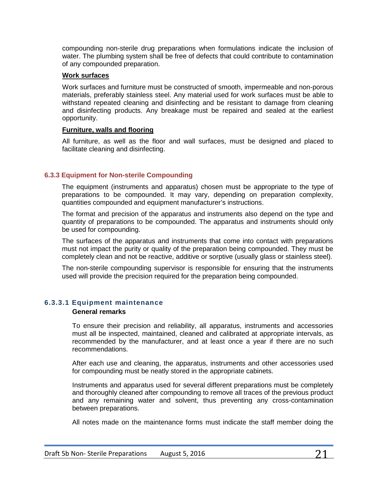compounding non-sterile drug preparations when formulations indicate the inclusion of water. The plumbing system shall be free of defects that could contribute to contamination of any compounded preparation.

#### **Work surfaces**

Work surfaces and furniture must be constructed of smooth, impermeable and non-porous materials, preferably stainless steel. Any material used for work surfaces must be able to withstand repeated cleaning and disinfecting and be resistant to damage from cleaning and disinfecting products. Any breakage must be repaired and sealed at the earliest opportunity.

### **Furniture, walls and flooring**

All furniture, as well as the floor and wall surfaces, must be designed and placed to facilitate cleaning and disinfecting.

## <span id="page-20-0"></span>**6.3.3 Equipment for Non-sterile Compounding**

The equipment (instruments and apparatus) chosen must be appropriate to the type of preparations to be compounded. It may vary, depending on preparation complexity, quantities compounded and equipment manufacturer's instructions.

The format and precision of the apparatus and instruments also depend on the type and quantity of preparations to be compounded. The apparatus and instruments should only be used for compounding.

The surfaces of the apparatus and instruments that come into contact with preparations must not impact the purity or quality of the preparation being compounded. They must be completely clean and not be reactive, additive or sorptive (usually glass or stainless steel).

The non-sterile compounding supervisor is responsible for ensuring that the instruments used will provide the precision required for the preparation being compounded.

## **6.3.3.1 Equipment maintenance**

### **General remarks**

To ensure their precision and reliability, all apparatus, instruments and accessories must all be inspected, maintained, cleaned and calibrated at appropriate intervals, as recommended by the manufacturer, and at least once a year if there are no such recommendations.

After each use and cleaning, the apparatus, instruments and other accessories used for compounding must be neatly stored in the appropriate cabinets.

Instruments and apparatus used for several different preparations must be completely and thoroughly cleaned after compounding to remove all traces of the previous product and any remaining water and solvent, thus preventing any cross-contamination between preparations.

All notes made on the maintenance forms must indicate the staff member doing the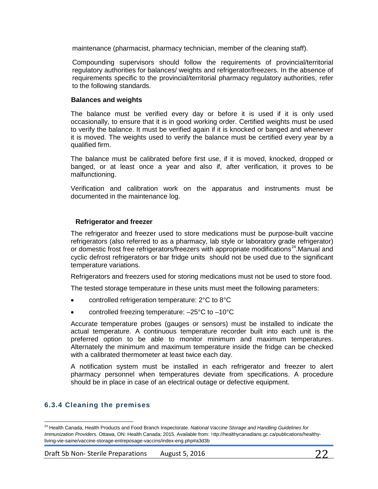maintenance (pharmacist, pharmacy technician, member of the cleaning staff).

Compounding supervisors should follow the requirements of provincial/territorial regulatory authorities for balances/ weights and refrigerator/freezers. In the absence of requirements specific to the provincial/territorial pharmacy regulatory authorities, refer to the following standards.

#### **Balances and weights**

The balance must be verified every day or before it is used if it is only used occasionally, to ensure that it is in good working order. Certified weights must be used to verify the balance. It must be verified again if it is knocked or banged and whenever it is moved. The weights used to verify the balance must be certified every year by a qualified firm.

The balance must be calibrated before first use, if it is moved, knocked, dropped or banged, or at least once a year and also if, after verification, it proves to be malfunctioning.

Verification and calibration work on the apparatus and instruments must be documented in the maintenance log.

### **Refrigerator and freezer**

The refrigerator and freezer used to store medications must be purpose-built vaccine refrigerators (also referred to as a pharmacy, lab style or laboratory grade refrigerator) or domestic frost free refrigerators/freezers with appropriate modifications<sup>[24](#page-21-0)</sup>.Manual and cyclic defrost refrigerators or bar fridge units should not be used due to the significant temperature variations.

Refrigerators and freezers used for storing medications must not be used to store food.

The tested storage temperature in these units must meet the following parameters:

- controlled refrigeration temperature: 2°C to 8°C
- controlled freezing temperature:  $-25^{\circ}$ C to  $-10^{\circ}$ C

Accurate temperature probes (gauges or sensors) must be installed to indicate the actual temperature. A continuous temperature recorder built into each unit is the preferred option to be able to monitor minimum and maximum temperatures. Alternately the minimum and maximum temperature inside the fridge can be checked with a calibrated thermometer at least twice each day.

A notification system must be installed in each refrigerator and freezer to alert pharmacy personnel when temperatures deviate from specifications. A procedure should be in place in case of an electrical outage or defective equipment.

### **6.3.4 Cleaning the premises**

l

<span id="page-21-0"></span><sup>&</sup>lt;sup>24</sup> Health Canada, Health Products and Food Branch Inspectorate. *National Vaccine Storage and Handling Guidelines for Immunization Providers.* Ottawa, ON: Health Canada; 2015. Available from: http://healthycanadians.gc.ca/publications/healthyliving-vie-saine/vaccine-storage-entreposage-vaccins/index-eng.php#a3d3b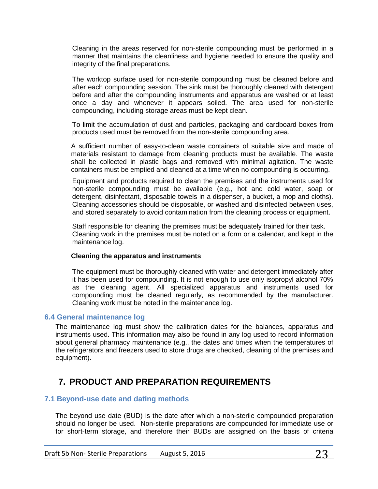Cleaning in the areas reserved for non-sterile compounding must be performed in a manner that maintains the cleanliness and hygiene needed to ensure the quality and integrity of the final preparations.

The worktop surface used for non-sterile compounding must be cleaned before and after each compounding session. The sink must be thoroughly cleaned with detergent before and after the compounding instruments and apparatus are washed or at least once a day and whenever it appears soiled. The area used for non-sterile compounding, including storage areas must be kept clean.

To limit the accumulation of dust and particles, packaging and cardboard boxes from products used must be removed from the non-sterile compounding area.

A sufficient number of easy-to-clean waste containers of suitable size and made of materials resistant to damage from cleaning products must be available. The waste shall be collected in plastic bags and removed with minimal agitation. The waste containers must be emptied and cleaned at a time when no compounding is occurring.

Equipment and products required to clean the premises and the instruments used for non-sterile compounding must be available (e.g., hot and cold water, soap or detergent, disinfectant, disposable towels in a dispenser, a bucket, a mop and cloths). Cleaning accessories should be disposable, or washed and disinfected between uses, and stored separately to avoid contamination from the cleaning process or equipment.

Staff responsible for cleaning the premises must be adequately trained for their task. Cleaning work in the premises must be noted on a form or a calendar, and kept in the maintenance log.

#### **Cleaning the apparatus and instruments**

The equipment must be thoroughly cleaned with water and detergent immediately after it has been used for compounding. It is not enough to use only isopropyl alcohol 70% as the cleaning agent. All specialized apparatus and instruments used for compounding must be cleaned regularly, as recommended by the manufacturer. Cleaning work must be noted in the maintenance log.

### <span id="page-22-0"></span>**6.4 General maintenance log**

The maintenance log must show the calibration dates for the balances, apparatus and instruments used. This information may also be found in any log used to record information about general pharmacy maintenance (e.g., the dates and times when the temperatures of the refrigerators and freezers used to store drugs are checked, cleaning of the premises and equipment).

# <span id="page-22-1"></span>**7. PRODUCT AND PREPARATION REQUIREMENTS**

### <span id="page-22-2"></span>**7.1 Beyond-use date and dating methods**

The beyond use date (BUD) is the date after which a non-sterile compounded preparation should no longer be used. Non-sterile preparations are compounded for immediate use or for short-term storage, and therefore their BUDs are assigned on the basis of criteria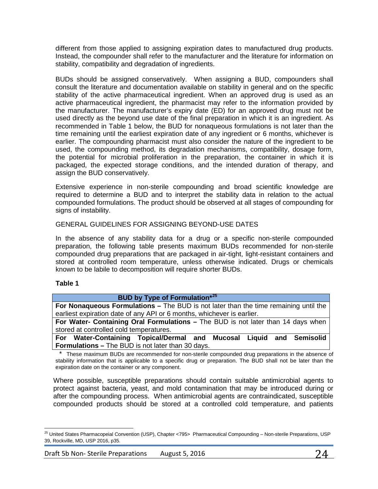different from those applied to assigning expiration dates to manufactured drug products. Instead, the compounder shall refer to the manufacturer and the literature for information on stability, compatibility and degradation of ingredients.

BUDs should be assigned conservatively. When assigning a BUD, compounders shall consult the literature and documentation available on stability in general and on the specific stability of the active pharmaceutical ingredient. When an approved drug is used as an active pharmaceutical ingredient, the pharmacist may refer to the information provided by the manufacturer. The manufacturer's expiry date (ED) for an approved drug must not be used directly as the beyond use date of the final preparation in which it is an ingredient. As recommended in Table 1 below, the BUD for nonaqueous formulations is not later than the time remaining until the earliest expiration date of any ingredient or 6 months, whichever is earlier. The compounding pharmacist must also consider the nature of the ingredient to be used, the compounding method, its degradation mechanisms, compatibility, dosage form, the potential for microbial proliferation in the preparation, the container in which it is packaged, the expected storage conditions, and the intended duration of therapy, and assign the BUD conservatively.

Extensive experience in non-sterile compounding and broad scientific knowledge are required to determine a BUD and to interpret the stability data in relation to the actual compounded formulations. The product should be observed at all stages of compounding for signs of instability.

### GENERAL GUIDELINES FOR ASSIGNING BEYOND-USE DATES

In the absence of any stability data for a drug or a specific non-sterile compounded preparation, the following table presents maximum BUDs recommended for non-sterile compounded drug preparations that are packaged in air-tight, light-resistant containers and stored at controlled room temperature, unless otherwise indicated. Drugs or chemicals known to be labile to decomposition will require shorter BUDs.

#### **Table 1**

| <b>BUD by Type of Formulation</b> *25                                                                                                                                                                                            |  |  |  |
|----------------------------------------------------------------------------------------------------------------------------------------------------------------------------------------------------------------------------------|--|--|--|
| For Nonaqueous Formulations - The BUD is not later than the time remaining until the                                                                                                                                             |  |  |  |
| earliest expiration date of any API or 6 months, whichever is earlier.                                                                                                                                                           |  |  |  |
| For Water- Containing Oral Formulations – The BUD is not later than 14 days when                                                                                                                                                 |  |  |  |
| stored at controlled cold temperatures.                                                                                                                                                                                          |  |  |  |
| For Water-Containing Topical/Dermal and Mucosal Liquid and Semisolid                                                                                                                                                             |  |  |  |
| <b>Formulations – The BUD is not later than 30 days.</b>                                                                                                                                                                         |  |  |  |
| $\star$ . These presidences INTING and presented and the presidential contracted distinguished that the change of the state of the state of the state of the state of the state of the state of the state of the state of the st |  |  |  |

These maximum BUDs are recommended for non-sterile compounded drug preparations in the absence of stability information that is applicable to a specific drug or preparation. The BUD shall not be later than the expiration date on the container or any component.

Where possible, susceptible preparations should contain suitable antimicrobial agents to protect against bacteria, yeast, and mold contamination that may be introduced during or after the compounding process. When antimicrobial agents are contraindicated, susceptible compounded products should be stored at a controlled cold temperature, and patients

<span id="page-23-0"></span> $\overline{\phantom{a}}$ <sup>25</sup> United States Pharmacopeial Convention (USP), Chapter <795> Pharmaceutical Compounding - Non-sterile Preparations, USP 39, Rockville, MD, USP 2016, p35.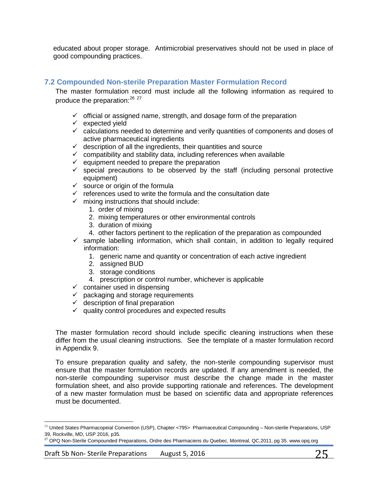educated about proper storage. Antimicrobial preservatives should not be used in place of good compounding practices.

## <span id="page-24-0"></span>**7.2 Compounded Non-sterile Preparation Master Formulation Record**

The master formulation record must include all the following information as required to produce the preparation: [26](#page-24-1) [27](#page-24-2)

- $\checkmark$  official or assigned name, strength, and dosage form of the preparation
- $\checkmark$  expected yield
- $\checkmark$  calculations needed to determine and verify quantities of components and doses of active pharmaceutical ingredients
- $\checkmark$  description of all the ingredients, their quantities and source
- $\checkmark$  compatibility and stability data, including references when available
- $\checkmark$  equipment needed to prepare the preparation
- $\checkmark$  special precautions to be observed by the staff (including personal protective equipment)
- $\checkmark$  source or origin of the formula
- $\checkmark$  references used to write the formula and the consultation date
- $\checkmark$  mixing instructions that should include:
	- 1. order of mixing
	- 2. mixing temperatures or other environmental controls
	- 3. duration of mixing
	- 4. other factors pertinent to the replication of the preparation as compounded
- $\checkmark$  sample labelling information, which shall contain, in addition to legally required information:
	- 1. generic name and quantity or concentration of each active ingredient
	- 2. assigned BUD
	- 3. storage conditions
	- 4. prescription or control number, whichever is applicable
- $\checkmark$  container used in dispensing
- $\checkmark$  packaging and storage requirements
- $\checkmark$  description of final preparation
- $\checkmark$  quality control procedures and expected results

The master formulation record should include specific cleaning instructions when these differ from the usual cleaning instructions. See the template of a master formulation record in Appendix 9.

To ensure preparation quality and safety, the non-sterile compounding supervisor must ensure that the master formulation records are updated. If any amendment is needed, the non-sterile compounding supervisor must describe the change made in the master formulation sheet, and also provide supporting rationale and references. The development of a new master formulation must be based on scientific data and appropriate references must be documented.

l

<span id="page-24-1"></span> $^{26}$  United States Pharmacopeial Convention (USP), Chapter <795> Pharmaceutical Compounding – Non-sterile Preparations, USP 39, Rockville, MD, USP 2016, p35.

<span id="page-24-2"></span><sup>&</sup>lt;sup>27</sup> OPQ Non-Sterile Compounded Preparations, Ordre des Pharmaciens du Quebec, Montreal, QC,2011, pg 35. www.opq.org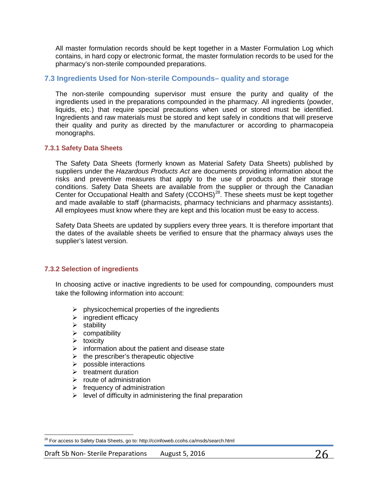All master formulation records should be kept together in a Master Formulation Log which contains, in hard copy or electronic format, the master formulation records to be used for the pharmacy's non-sterile compounded preparations.

## <span id="page-25-0"></span>**7.3 Ingredients Used for Non-sterile Compounds– quality and storage**

The non-sterile compounding supervisor must ensure the purity and quality of the ingredients used in the preparations compounded in the pharmacy. All ingredients (powder, liquids, etc.) that require special precautions when used or stored must be identified. Ingredients and raw materials must be stored and kept safely in conditions that will preserve their quality and purity as directed by the manufacturer or according to pharmacopeia monographs.

### <span id="page-25-1"></span>**7.3.1 Safety Data Sheets**

The Safety Data Sheets (formerly known as Material Safety Data Sheets) published by suppliers under the *Hazardous Products Act* are documents providing information about the risks and preventive measures that apply to the use of products and their storage conditions. Safety Data Sheets are available from the supplier or through the Canadian Center for Occupational Health and Safety (CCOHS)<sup>28</sup>. These sheets must be kept together and made available to staff (pharmacists, pharmacy technicians and pharmacy assistants). All employees must know where they are kept and this location must be easy to access.

Safety Data Sheets are updated by suppliers every three years. It is therefore important that the dates of the available sheets be verified to ensure that the pharmacy always uses the supplier's latest version.

### <span id="page-25-2"></span>**7.3.2 Selection of ingredients**

In choosing active or inactive ingredients to be used for compounding, compounders must take the following information into account:

- $\triangleright$  physicochemical properties of the ingredients
- $\triangleright$  ingredient efficacy
- $\triangleright$  stability
- $\triangleright$  compatibility
- $\triangleright$  toxicity

 $\overline{\phantom{a}}$ 

- $\triangleright$  information about the patient and disease state
- $\triangleright$  the prescriber's therapeutic objective
- $\triangleright$  possible interactions
- $\triangleright$  treatment duration
- $\triangleright$  route of administration
- $\triangleright$  frequency of administration
- $\triangleright$  level of difficulty in administering the final preparation

<span id="page-25-3"></span><sup>&</sup>lt;sup>28</sup> For access to Safety Data Sheets, go to: http://ccinfoweb.ccohs.ca/msds/search.html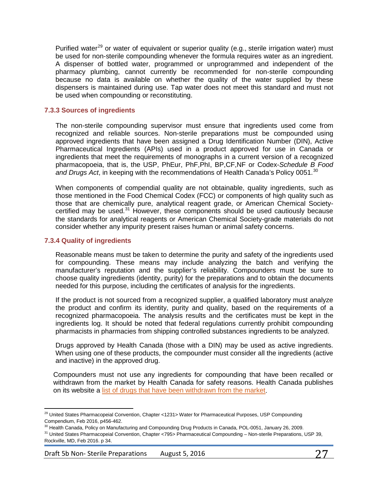Purified water<sup>[29](#page-26-2)</sup> or water of equivalent or superior quality (e.g., sterile irrigation water) must be used for non-sterile compounding whenever the formula requires water as an ingredient. A dispenser of bottled water, programmed or unprogrammed and independent of the pharmacy plumbing, cannot currently be recommended for non-sterile compounding because no data is available on whether the quality of the water supplied by these dispensers is maintained during use. Tap water does not meet this standard and must not be used when compounding or reconstituting.

#### <span id="page-26-0"></span>**7.3.3 Sources of ingredients**

The non-sterile compounding supervisor must ensure that ingredients used come from recognized and reliable sources. Non-sterile preparations must be compounded using approved ingredients that have been assigned a Drug Identification Number (DIN), Active Pharmaceutical Ingredients (APIs) used in a product approved for use in Canada or ingredients that meet the requirements of monographs in a current version of a recognized pharmacopoeia, that is, the USP, PhEur, PhF,PhI, BP,CF,NF or Codex-*Schedule B Food*  and Drugs Act, in keeping with the recommendations of Health Canada's Policy 0051.<sup>[30](#page-26-3)</sup>

When components of compendial quality are not obtainable, quality ingredients, such as those mentioned in the Food Chemical Codex (FCC) or components of high quality such as those that are chemically pure, analytical reagent grade, or American Chemical Societycertified may be used. $31$  However, these components should be used cautiously because the standards for analytical reagents or American Chemical Society-grade materials do not consider whether any impurity present raises human or animal safety concerns.

#### <span id="page-26-1"></span>**7.3.4 Quality of ingredients**

Reasonable means must be taken to determine the purity and safety of the ingredients used for compounding. These means may include analyzing the batch and verifying the manufacturer's reputation and the supplier's reliability. Compounders must be sure to choose quality ingredients (identity, purity) for the preparations and to obtain the documents needed for this purpose, including the certificates of analysis for the ingredients.

If the product is not sourced from a recognized supplier, a qualified laboratory must analyze the product and confirm its identity, purity and quality, based on the requirements of a recognized pharmacopoeia. The analysis results and the certificates must be kept in the ingredients log. It should be noted that federal regulations currently prohibit compounding pharmacists in pharmacies from shipping controlled substances ingredients to be analyzed.

Drugs approved by Health Canada (those with a DIN) may be used as active ingredients. When using one of these products, the compounder must consider all the ingredients (active and inactive) in the approved drug.

Compounders must not use any ingredients for compounding that have been recalled or withdrawn from the market by Health Canada for safety reasons. Health Canada publishes on its website a [list of drugs that have been withdrawn from the market.](http://www.hc-sc.gc.ca/dhp-mps/compli-conform/recall-retrait/_list/index-eng.php)

<span id="page-26-2"></span> $\overline{\phantom{a}}$ <sup>29</sup> United States Pharmacopeial Convention, Chapter <1231> Water for Pharmaceutical Purposes, USP Compounding Compendium, Feb 2016, p456-462.<br><sup>30</sup> Health Canada, Policy on Manufacturing and Compounding Drug Products in Canada, POL-0051, January 26, 2009.

<span id="page-26-3"></span>

<span id="page-26-4"></span><sup>&</sup>lt;sup>31</sup> United States Pharmacopeial Convention, Chapter <795> Pharmaceutical Compounding – Non-sterile Preparations, USP 39, Rockville, MD, Feb 2016. p 34.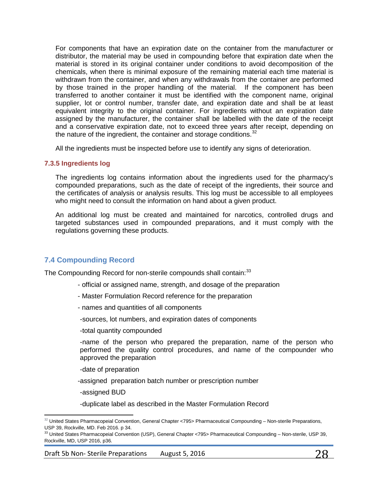For components that have an expiration date on the container from the manufacturer or distributor, the material may be used in compounding before that expiration date when the material is stored in its original container under conditions to avoid decomposition of the chemicals, when there is minimal exposure of the remaining material each time material is withdrawn from the container, and when any withdrawals from the container are performed by those trained in the proper handling of the material. If the component has been transferred to another container it must be identified with the component name, original supplier, lot or control number, transfer date, and expiration date and shall be at least equivalent integrity to the original container. For ingredients without an expiration date assigned by the manufacturer, the container shall be labelled with the date of the receipt and a conservative expiration date, not to exceed three years after receipt, depending on the nature of the ingredient, the container and storage conditions.<sup>[32](#page-27-2)</sup>

All the ingredients must be inspected before use to identify any signs of deterioration.

#### <span id="page-27-0"></span>**7.3.5 Ingredients log**

The ingredients log contains information about the ingredients used for the pharmacy's compounded preparations, such as the date of receipt of the ingredients, their source and the certificates of analysis or analysis results. This log must be accessible to all employees who might need to consult the information on hand about a given product.

An additional log must be created and maintained for narcotics, controlled drugs and targeted substances used in compounded preparations, and it must comply with the regulations governing these products.

## <span id="page-27-1"></span>**7.4 Compounding Record**

The Compounding Record for non-sterile compounds shall contain:<sup>[33](#page-27-3)</sup>

- official or assigned name, strength, and dosage of the preparation
- Master Formulation Record reference for the preparation
- names and quantities of all components

-sources, lot numbers, and expiration dates of components

-total quantity compounded

-name of the person who prepared the preparation, name of the person who performed the quality control procedures, and name of the compounder who approved the preparation

-date of preparation

-assigned preparation batch number or prescription number

-assigned BUD

-duplicate label as described in the Master Formulation Record

<span id="page-27-2"></span> $\overline{\phantom{a}}$  $32$  United States Pharmacopeial Convention, General Chapter <795> Pharmaceutical Compounding – Non-sterile Preparations, USP 39, Rockville, MD. Feb 2016. p 34.

<span id="page-27-3"></span><sup>33</sup> United States Pharmacopeial Convention (USP), General Chapter <795> Pharmaceutical Compounding - Non-sterile, USP 39, Rockville, MD, USP 2016, p36.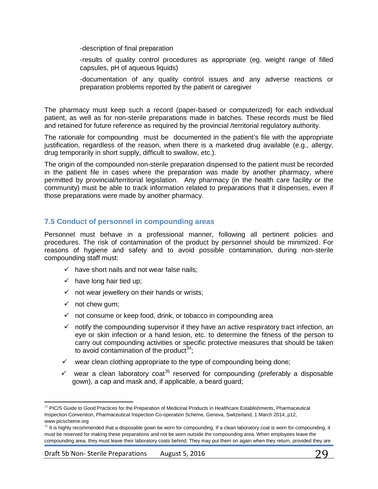-description of final preparation

-results of quality control procedures as appropriate (eg. weight range of filled capsules, pH of aqueous liquids)

-documentation of any quality control issues and any adverse reactions or preparation problems reported by the patient or caregiver

The pharmacy must keep such a record (paper-based or computerized) for each individual patient, as well as for non-sterile preparations made in batches. These records must be filed and retained for future reference as required by the provincial /territorial regulatory authority.

The rationale for compounding must be documented in the patient's file with the appropriate justification, regardless of the reason, when there is a marketed drug available (e.g., allergy, drug temporarily in short supply, difficult to swallow, etc.).

The origin of the compounded non-sterile preparation dispensed to the patient must be recorded in the patient file in cases where the preparation was made by another pharmacy, where permitted by provincial/territorial legislation. Any pharmacy (in the health care facility or the community) must be able to track information related to preparations that it dispenses, even if those preparations were made by another pharmacy.

## <span id="page-28-0"></span>**7.5 Conduct of personnel in compounding areas**

Personnel must behave in a professional manner, following all pertinent policies and procedures. The risk of contamination of the product by personnel should be minimized. For reasons of hygiene and safety and to avoid possible contamination, during non-sterile compounding staff must:

- $\checkmark$  have short nails and not wear false nails;
- $\checkmark$  have long hair tied up;
- $\checkmark$  not wear jewellery on their hands or wrists;
- $\checkmark$  not chew gum;
- $\checkmark$  not consume or keep food, drink, or tobacco in compounding area
- $\checkmark$  notify the compounding supervisor if they have an active respiratory tract infection, an eye or skin infection or a hand lesion, etc. to determine the fitness of the person to carry out compounding activities or specific protective measures that should be taken to avoid contamination of the product  $34$ :
- $\checkmark$  wear clean clothing appropriate to the type of compounding being done;
- $\checkmark$  wear a clean laboratory coat<sup>[35](#page-28-2)</sup> reserved for compounding (preferably a disposable gown), a cap and mask and, if applicable, a beard guard;

<span id="page-28-1"></span> $\overline{\phantom{a}}$  $34$  PIC/S Guide to Good Practices for the Preparation of Medicinal Products in Healthcare Establishments, Pharmaceutical Inspection Convention, Pharmaceutical Inspection Co-operation Scheme, Geneva, Switzerland, 1 March 2014, p12, www.picscheme.org

<span id="page-28-2"></span><sup>&</sup>lt;sup>35</sup> It is highly recommended that a disposable gown be worn for compounding. If a clean laboratory coat is worn for compounding, it must be reserved for making these preparations and not be worn outside the compounding area. When employees leave the compounding area, they must leave their laboratory coats behind. They may put them on again when they return, provided they are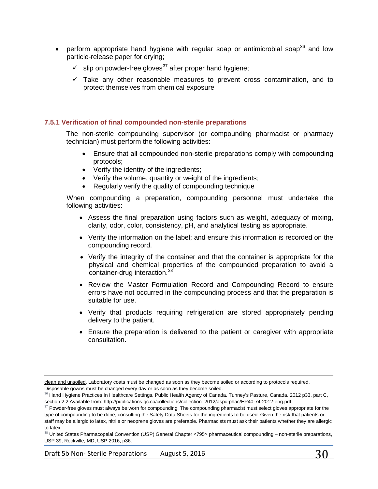- perform appropriate hand hygiene with regular soap or antimicrobial soap<sup>[36](#page-29-1)</sup> and low particle-release paper for drying;
	- $\checkmark$  slip on powder-free gloves<sup>[37](#page-29-2)</sup> after proper hand hygiene;
	- $\checkmark$  Take any other reasonable measures to prevent cross contamination, and to protect themselves from chemical exposure

#### <span id="page-29-0"></span>**7.5.1 Verification of final compounded non-sterile preparations**

The non-sterile compounding supervisor (or compounding pharmacist or pharmacy technician) must perform the following activities:

- Ensure that all compounded non-sterile preparations comply with compounding protocols;
- Verify the identity of the ingredients;
- Verify the volume, quantity or weight of the ingredients;
- Regularly verify the quality of compounding technique

When compounding a preparation, compounding personnel must undertake the following activities:

- Assess the final preparation using factors such as weight, adequacy of mixing, clarity, odor, color, consistency, pH, and analytical testing as appropriate.
- Verify the information on the label; and ensure this information is recorded on the compounding record.
- Verify the integrity of the container and that the container is appropriate for the physical and chemical properties of the compounded preparation to avoid a container-drug interaction.<sup>[38](#page-29-3)</sup>
- Review the Master Formulation Record and Compounding Record to ensure errors have not occurred in the compounding process and that the preparation is suitable for use.
- Verify that products requiring refrigeration are stored appropriately pending delivery to the patient.
- Ensure the preparation is delivered to the patient or caregiver with appropriate consultation.

Draft 5b Non-Sterile Preparations August 5, 2016  $30$ 

 $\overline{\phantom{a}}$ 

clean and unsoiled. Laboratory coats must be changed as soon as they become soiled or according to protocols required. Disposable gowns must be changed every day or as soon as they become soiled.

<span id="page-29-1"></span> $36$  Hand Hygiene Practices In Healthcare Settings. Public Health Agency of Canada. Tunney's Pasture, Canada. 2012 p33, part C, section 2.2 Available from: http://publications.gc.ca/collections/collection\_2012/aspc-phac/HP40-74-2012-eng.pdf

<span id="page-29-2"></span><sup>&</sup>lt;sup>37</sup> Powder-free gloves must always be worn for compounding. The compounding pharmacist must select gloves appropriate for the type of compounding to be done, consulting the Safety Data Sheets for the ingredients to be used. Given the risk that patients or staff may be allergic to latex, nitrile or neoprene gloves are preferable. Pharmacists must ask their patients whether they are allergic to latex

<span id="page-29-3"></span><sup>38</sup> United States Pharmacopeial Convention (USP) General Chapter <795> pharmaceutical compounding – non-sterile preparations, USP 39, Rockville, MD, USP 2016, p36.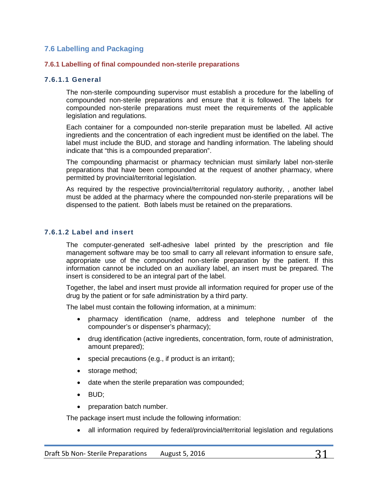## <span id="page-30-0"></span>**7.6 Labelling and Packaging**

#### <span id="page-30-1"></span>**7.6.1 Labelling of final compounded non-sterile preparations**

#### **7.6.1.1 General**

The non-sterile compounding supervisor must establish a procedure for the labelling of compounded non-sterile preparations and ensure that it is followed. The labels for compounded non-sterile preparations must meet the requirements of the applicable legislation and regulations.

Each container for a compounded non-sterile preparation must be labelled. All active ingredients and the concentration of each ingredient must be identified on the label. The label must include the BUD, and storage and handling information. The labeling should indicate that "this is a compounded preparation".

The compounding pharmacist or pharmacy technician must similarly label non-sterile preparations that have been compounded at the request of another pharmacy, where permitted by provincial/territorial legislation.

As required by the respective provincial/territorial regulatory authority, , another label must be added at the pharmacy where the compounded non-sterile preparations will be dispensed to the patient. Both labels must be retained on the preparations.

#### **7.6.1.2 Label and insert**

The computer-generated self-adhesive label printed by the prescription and file management software may be too small to carry all relevant information to ensure safe, appropriate use of the compounded non-sterile preparation by the patient. If this information cannot be included on an auxiliary label, an insert must be prepared. The insert is considered to be an integral part of the label.

Together, the label and insert must provide all information required for proper use of the drug by the patient or for safe administration by a third party.

The label must contain the following information, at a minimum:

- pharmacy identification (name, address and telephone number of the compounder's or dispenser's pharmacy);
- drug identification (active ingredients, concentration, form, route of administration, amount prepared);
- special precautions (e.g., if product is an irritant);
- storage method;
- date when the sterile preparation was compounded;
- BUD;
- preparation batch number.

The package insert must include the following information:

• all information required by federal/provincial/territorial legislation and regulations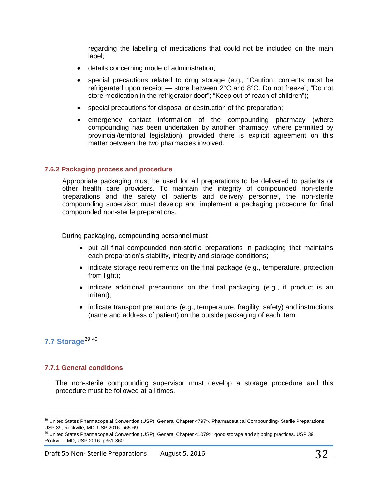regarding the labelling of medications that could not be included on the main label;

- details concerning mode of administration;
- special precautions related to drug storage (e.g., "Caution: contents must be refrigerated upon receipt — store between 2°C and 8°C. Do not freeze"; "Do not store medication in the refrigerator door"; "Keep out of reach of children");
- special precautions for disposal or destruction of the preparation;
- emergency contact information of the compounding pharmacy (where compounding has been undertaken by another pharmacy, where permitted by provincial/territorial legislation), provided there is explicit agreement on this matter between the two pharmacies involved.

### <span id="page-31-0"></span>**7.6.2 Packaging process and procedure**

Appropriate packaging must be used for all preparations to be delivered to patients or other health care providers. To maintain the integrity of compounded non-sterile preparations and the safety of patients and delivery personnel, the non-sterile compounding supervisor must develop and implement a packaging procedure for final compounded non-sterile preparations.

During packaging, compounding personnel must

- put all final compounded non-sterile preparations in packaging that maintains each preparation's stability, integrity and storage conditions;
- indicate storage requirements on the final package (e.g., temperature, protection from light);
- indicate additional precautions on the final packaging (e.g., if product is an irritant);
- indicate transport precautions (e.g., temperature, fragility, safety) and instructions (name and address of patient) on the outside packaging of each item.

# <span id="page-31-1"></span>**7.7 Storage**[39](#page-31-3),[40](#page-31-4)

## <span id="page-31-2"></span>**7.7.1 General conditions**

The non-sterile compounding supervisor must develop a storage procedure and this procedure must be followed at all times.

<span id="page-31-3"></span> $\overline{\phantom{a}}$ <sup>39</sup> United States Pharmacopeial Convention (USP), General Chapter <797>, Pharmaceutical Compounding- Sterile Preparations. USP 39, Rockville, MD, USP 2016. p65-69

<span id="page-31-4"></span><sup>&</sup>lt;sup>40</sup> United States Pharmacopeial Convention (USP). General Chapter <1079>: good storage and shipping practices. USP 39, Rockville, MD, USP 2016. p351-360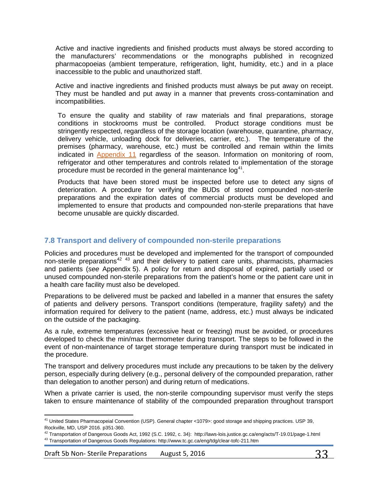Active and inactive ingredients and finished products must always be stored according to the manufacturers' recommendations or the monographs published in recognized pharmacopoeias (ambient temperature, refrigeration, light, humidity, etc.) and in a place inaccessible to the public and unauthorized staff.

Active and inactive ingredients and finished products must always be put away on receipt. They must be handled and put away in a manner that prevents cross-contamination and incompatibilities.

To ensure the quality and stability of raw materials and final preparations, storage conditions in stockrooms must be controlled. Product storage conditions must be stringently respected, regardless of the storage location (warehouse, quarantine, pharmacy, delivery vehicle, unloading dock for deliveries, carrier, etc.). The temperature of the premises (pharmacy, warehouse, etc.) must be controlled and remain within the limits indicated in [Appendix 11](#page-79-0) regardless of the season. Information on monitoring of room, refrigerator and other temperatures and controls related to implementation of the storage procedure must be recorded in the general maintenance  $log<sup>41</sup>$  $log<sup>41</sup>$  $log<sup>41</sup>$ .

Products that have been stored must be inspected before use to detect any signs of deterioration. A procedure for verifying the BUDs of stored compounded non-sterile preparations and the expiration dates of commercial products must be developed and implemented to ensure that products and compounded non-sterile preparations that have become unusable are quickly discarded.

## <span id="page-32-0"></span>**7.8 Transport and delivery of compounded non-sterile preparations**

Policies and procedures must be developed and implemented for the transport of compounded non-sterile preparations<sup>[42](#page-32-2) [43](#page-32-3)</sup> and their delivery to patient care units, pharmacists, pharmacies and patients (*see* Appendix 5). A policy for return and disposal of expired, partially used or unused compounded non-sterile preparations from the patient's home or the patient care unit in a health care facility must also be developed.

Preparations to be delivered must be packed and labelled in a manner that ensures the safety of patients and delivery persons. Transport conditions (temperature, fragility safety) and the information required for delivery to the patient (name, address, etc.) must always be indicated on the outside of the packaging.

As a rule, extreme temperatures (excessive heat or freezing) must be avoided, or procedures developed to check the min/max thermometer during transport. The steps to be followed in the event of non-maintenance of target storage temperature during transport must be indicated in the procedure.

The transport and delivery procedures must include any precautions to be taken by the delivery person, especially during delivery (e.g., personal delivery of the compounded preparation, rather than delegation to another person) and during return of medications.

When a private carrier is used, the non-sterile compounding supervisor must verify the steps taken to ensure maintenance of stability of the compounded preparation throughout transport

<span id="page-32-1"></span> $\overline{\phantom{a}}$ <sup>41</sup> United States Pharmacopeial Convention (USP). General chapter <1079>: good storage and shipping practices. USP 39, Rockville, MD, USP 2016. p351-360.

<span id="page-32-3"></span><span id="page-32-2"></span><sup>42</sup> Transportation of Dangerous Goods Act, 1992 (S.C. 1992, c. 34): <http://laws-lois.justice.gc.ca/eng/acts/T-19.01/page-1.html> <sup>43</sup> Transportation of Dangerous Goods Regulations[: http://www.tc.gc.ca/eng/tdg/clear-tofc-211.htm](http://www.tc.gc.ca/eng/tdg/clear-tofc-211.htm)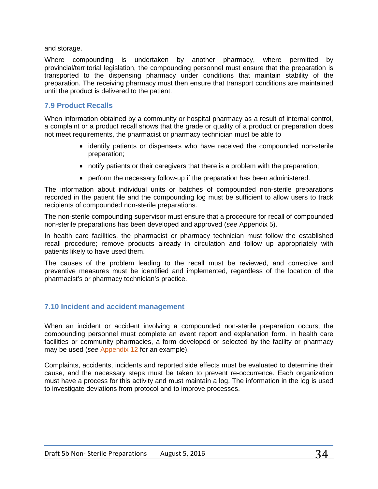and storage.

Where compounding is undertaken by another pharmacy, where permitted by provincial/territorial legislation, the compounding personnel must ensure that the preparation is transported to the dispensing pharmacy under conditions that maintain stability of the preparation. The receiving pharmacy must then ensure that transport conditions are maintained until the product is delivered to the patient.

## <span id="page-33-0"></span>**7.9 Product Recalls**

When information obtained by a community or hospital pharmacy as a result of internal control, a complaint or a product recall shows that the grade or quality of a product or preparation does not meet requirements, the pharmacist or pharmacy technician must be able to

- identify patients or dispensers who have received the compounded non-sterile preparation;
- notify patients or their caregivers that there is a problem with the preparation;
- perform the necessary follow-up if the preparation has been administered.

The information about individual units or batches of compounded non-sterile preparations recorded in the patient file and the compounding log must be sufficient to allow users to track recipients of compounded non-sterile preparations.

The non-sterile compounding supervisor must ensure that a procedure for recall of compounded non-sterile preparations has been developed and approved (*see* Appendix 5).

In health care facilities, the pharmacist or pharmacy technician must follow the established recall procedure; remove products already in circulation and follow up appropriately with patients likely to have used them.

The causes of the problem leading to the recall must be reviewed, and corrective and preventive measures must be identified and implemented, regardless of the location of the pharmacist's or pharmacy technician's practice.

## <span id="page-33-1"></span>**7.10 Incident and accident management**

When an incident or accident involving a compounded non-sterile preparation occurs, the compounding personnel must complete an event report and explanation form. In health care facilities or community pharmacies, a form developed or selected by the facility or pharmacy may be used (*see* [Appendix](#page-79-1) 12 for an example).

Complaints, accidents, incidents and reported side effects must be evaluated to determine their cause, and the necessary steps must be taken to prevent re-occurrence. Each organization must have a process for this activity and must maintain a log. The information in the log is used to investigate deviations from protocol and to improve processes.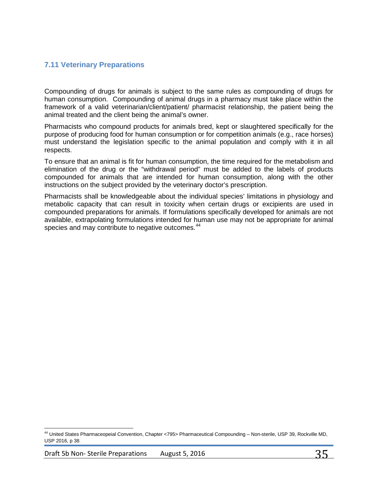## <span id="page-34-0"></span>**7.11 Veterinary Preparations**

Compounding of drugs for animals is subject to the same rules as compounding of drugs for human consumption. Compounding of animal drugs in a pharmacy must take place within the framework of a valid veterinarian/client/patient/ pharmacist relationship, the patient being the animal treated and the client being the animal's owner.

Pharmacists who compound products for animals bred, kept or slaughtered specifically for the purpose of producing food for human consumption or for competition animals (e.g., race horses) must understand the legislation specific to the animal population and comply with it in all respects.

To ensure that an animal is fit for human consumption, the time required for the metabolism and elimination of the drug or the "withdrawal period" must be added to the labels of products compounded for animals that are intended for human consumption, along with the other instructions on the subject provided by the veterinary doctor's prescription.

Pharmacists shall be knowledgeable about the individual species' limitations in physiology and metabolic capacity that can result in toxicity when certain drugs or excipients are used in compounded preparations for animals. If formulations specifically developed for animals are not available, extrapolating formulations intended for human use may not be appropriate for animal species and may contribute to negative outcomes.<sup>[44](#page-34-1)</sup>

 $\overline{\phantom{a}}$ 

<span id="page-34-1"></span><sup>&</sup>lt;sup>44</sup> United States Pharmaceopeial Convention, Chapter <795> Pharmaceutical Compounding – Non-sterile, USP 39, Rockville MD, USP 2016, p 38.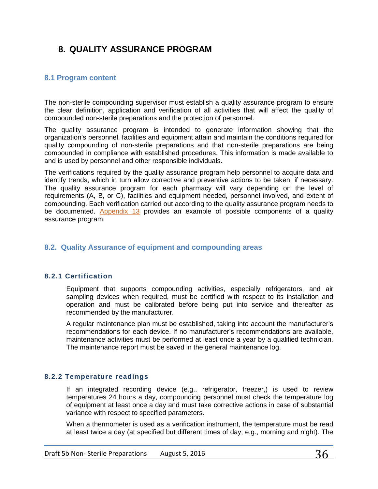# <span id="page-35-0"></span>**8. QUALITY ASSURANCE PROGRAM**

## <span id="page-35-1"></span>**8.1 Program content**

The non-sterile compounding supervisor must establish a quality assurance program to ensure the clear definition, application and verification of all activities that will affect the quality of compounded non-sterile preparations and the protection of personnel.

The quality assurance program is intended to generate information showing that the organization's personnel, facilities and equipment attain and maintain the conditions required for quality compounding of non-sterile preparations and that non-sterile preparations are being compounded in compliance with established procedures. This information is made available to and is used by personnel and other responsible individuals.

The verifications required by the quality assurance program help personnel to acquire data and identify trends, which in turn allow corrective and preventive actions to be taken, if necessary. The quality assurance program for each pharmacy will vary depending on the level of requirements (A, B, or C), facilities and equipment needed, personnel involved, and extent of compounding. Each verification carried out according to the quality assurance program needs to be documented. [Appendix 13](#page-82-0) provides an example of possible components of a quality assurance program.

## <span id="page-35-2"></span>**8.2. Quality Assurance of equipment and compounding areas**

## **8.2.1 Certification**

Equipment that supports compounding activities, especially refrigerators, and air sampling devices when required, must be certified with respect to its installation and operation and must be calibrated before being put into service and thereafter as recommended by the manufacturer.

A regular maintenance plan must be established, taking into account the manufacturer's recommendations for each device. If no manufacturer's recommendations are available, maintenance activities must be performed at least once a year by a qualified technician. The maintenance report must be saved in the general maintenance log.

#### **8.2.2 Temperature readings**

If an integrated recording device (e.g., refrigerator, freezer,) is used to review temperatures 24 hours a day, compounding personnel must check the temperature log of equipment at least once a day and must take corrective actions in case of substantial variance with respect to specified parameters.

When a thermometer is used as a verification instrument, the temperature must be read at least twice a day (at specified but different times of day; e.g., morning and night). The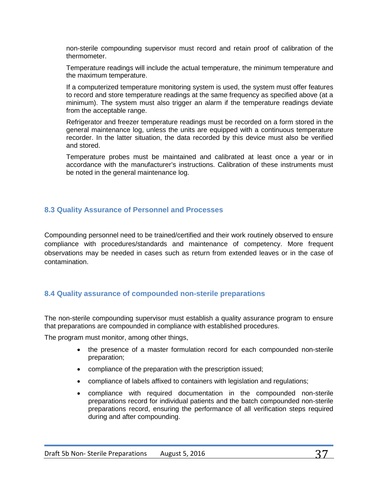non-sterile compounding supervisor must record and retain proof of calibration of the thermometer.

Temperature readings will include the actual temperature, the minimum temperature and the maximum temperature.

If a computerized temperature monitoring system is used, the system must offer features to record and store temperature readings at the same frequency as specified above (at a minimum). The system must also trigger an alarm if the temperature readings deviate from the acceptable range.

Refrigerator and freezer temperature readings must be recorded on a form stored in the general maintenance log, unless the units are equipped with a continuous temperature recorder. In the latter situation, the data recorded by this device must also be verified and stored.

Temperature probes must be maintained and calibrated at least once a year or in accordance with the manufacturer's instructions. Calibration of these instruments must be noted in the general maintenance log.

## **8.3 Quality Assurance of Personnel and Processes**

Compounding personnel need to be trained/certified and their work routinely observed to ensure compliance with procedures/standards and maintenance of competency. More frequent observations may be needed in cases such as return from extended leaves or in the case of contamination.

## **8.4 Quality assurance of compounded non-sterile preparations**

The non-sterile compounding supervisor must establish a quality assurance program to ensure that preparations are compounded in compliance with established procedures.

The program must monitor, among other things,

- the presence of a master formulation record for each compounded non-sterile preparation;
- compliance of the preparation with the prescription issued;
- compliance of labels affixed to containers with legislation and regulations;
- compliance with required documentation in the compounded non-sterile preparations record for individual patients and the batch compounded non-sterile preparations record, ensuring the performance of all verification steps required during and after compounding.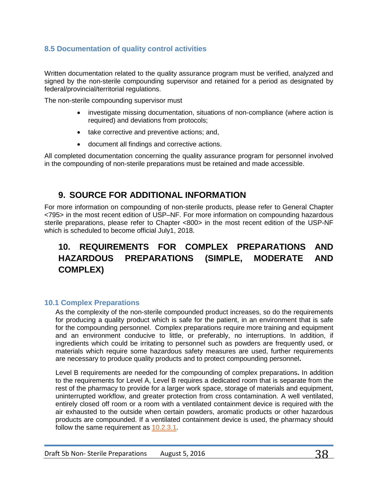# **8.5 Documentation of quality control activities**

Written documentation related to the quality assurance program must be verified, analyzed and signed by the non-sterile compounding supervisor and retained for a period as designated by federal/provincial/territorial regulations.

The non-sterile compounding supervisor must

- investigate missing documentation, situations of non-compliance (where action is required) and deviations from protocols;
- take corrective and preventive actions; and,
- document all findings and corrective actions.

All completed documentation concerning the quality assurance program for personnel involved in the compounding of non-sterile preparations must be retained and made accessible.

# **9. SOURCE FOR ADDITIONAL INFORMATION**

For more information on compounding of non-sterile products, please refer to General Chapter <795> in the most recent edition of USP–NF. For more information on compounding hazardous sterile preparations, please refer to Chapter <800> in the most recent edition of the USP-NF which is scheduled to become official July1, 2018.

# **10. REQUIREMENTS FOR COMPLEX PREPARATIONS AND HAZARDOUS PREPARATIONS (SIMPLE, MODERATE AND COMPLEX)**

## **10.1 Complex Preparations**

As the complexity of the non-sterile compounded product increases, so do the requirements for producing a quality product which is safe for the patient, in an environment that is safe for the compounding personnel. Complex preparations require more training and equipment and an environment conducive to little, or preferably, no interruptions. In addition, if ingredients which could be irritating to personnel such as powders are frequently used, or materials which require some hazardous safety measures are used, further requirements are necessary to produce quality products and to protect compounding personnel**.**

Level B requirements are needed for the compounding of complex preparations**.** In addition to the requirements for Level A, Level B requires a dedicated room that is separate from the rest of the pharmacy to provide for a larger work space, storage of materials and equipment, uninterrupted workflow, and greater protection from cross contamination. A well ventilated, entirely closed off room or a room with a ventilated containment device is required with the air exhausted to the outside when certain powders, aromatic products or other hazardous products are compounded. If a ventilated containment device is used, the pharmacy should follow the same requirement as [10.2.3.1.](#page-39-0)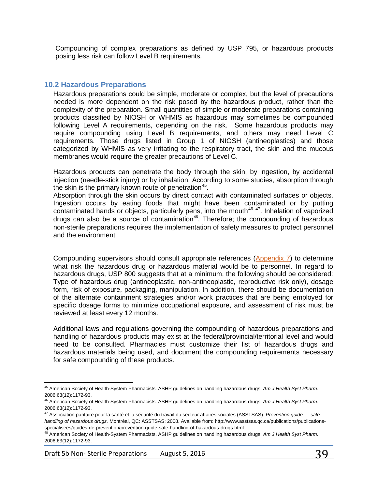Compounding of complex preparations as defined by USP 795, or hazardous products posing less risk can follow Level B requirements.

## **10.2 Hazardous Preparations**

Hazardous preparations could be simple, moderate or complex, but the level of precautions needed is more dependent on the risk posed by the hazardous product, rather than the complexity of the preparation. Small quantities of simple or moderate preparations containing products classified by NIOSH or WHMIS as hazardous may sometimes be compounded following Level A requirements, depending on the risk. Some hazardous products may require compounding using Level B requirements, and others may need Level C requirements. Those drugs listed in Group 1 of NIOSH (antineoplastics) and those categorized by WHMIS as very irritating to the respiratory tract, the skin and the mucous membranes would require the greater precautions of Level C.

Hazardous products can penetrate the body through the skin, by ingestion, by accidental injection (needle-stick injury) or by inhalation. According to some studies, absorption through the skin is the primary known route of penetration<sup>45</sup>.

Absorption through the skin occurs by direct contact with contaminated surfaces or objects. Ingestion occurs by eating foods that might have been contaminated or by putting contaminated hands or objects, particularly pens, into the mouth<sup>[46](#page-38-1) 47</sup>. Inhalation of vaporized drugs can also be a source of contamination<sup>[48](#page-38-3)</sup>. Therefore; the compounding of hazardous non-sterile preparations requires the implementation of safety measures to protect personnel and the environment

Compounding supervisors should consult appropriate references [\(Appendix 7\)](#page-68-0) to determine what risk the hazardous drug or hazardous material would be to personnel. In regard to hazardous drugs, USP 800 suggests that at a minimum, the following should be considered: Type of hazardous drug (antineoplastic, non-antineoplastic, reproductive risk only), dosage form, risk of exposure, packaging, manipulation. In addition, there should be documentation of the alternate containment strategies and/or work practices that are being employed for specific dosage forms to minimize occupational exposure, and assessment of risk must be reviewed at least every 12 months.

Additional laws and regulations governing the compounding of hazardous preparations and handling of hazardous products may exist at the federal/provincial/territorial level and would need to be consulted. Pharmacies must customize their list of hazardous drugs and hazardous materials being used, and document the compounding requirements necessary for safe compounding of these products.

Draft 5b Non-Sterile Preparations August 5, 2016 39

<span id="page-38-0"></span>l <sup>45</sup> American Society of Health-System Pharmacists. ASHP guidelines on handling hazardous drugs. *Am J Health Syst Pharm*. 2006;63(12):1172-93.

<span id="page-38-1"></span><sup>46</sup> American Society of Health-System Pharmacists. ASHP guidelines on handling hazardous drugs. *Am J Health Syst Pharm*. 2006;63(12):1172-93.

<span id="page-38-2"></span><sup>47</sup> Association paritaire pour la santé et la sécurité du travail du secteur affaires sociales (ASSTSAS). *Prevention guide — safe handling of hazardous drugs.* Montréal, QC: ASSTSAS; 2008. Available from: http://www.asstsas.qc.ca/publications/publicationsspecialisees/guides-de-prevention/prevention-guide-safe-handling-of-hazardous-drugs.html

<span id="page-38-3"></span><sup>48</sup> American Society of Health-System Pharmacists. ASHP guidelines on handling hazardous drugs. *Am J Health Syst Pharm*. 2006;63(12):1172-93.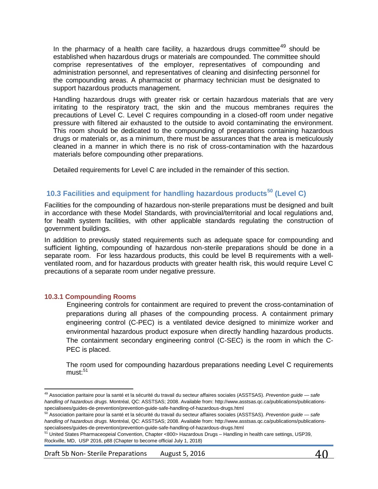In the pharmacy of a health care facility, a hazardous drugs committee<sup>[49](#page-39-1)</sup> should be established when hazardous drugs or materials are compounded. The committee should comprise representatives of the employer, representatives of compounding and administration personnel, and representatives of cleaning and disinfecting personnel for the compounding areas. A pharmacist or pharmacy technician must be designated to support hazardous products management.

Handling hazardous drugs with greater risk or certain hazardous materials that are very irritating to the respiratory tract, the skin and the mucous membranes requires the precautions of Level C. Level C requires compounding in a closed-off room under negative pressure with filtered air exhausted to the outside to avoid contaminating the environment. This room should be dedicated to the compounding of preparations containing hazardous drugs or materials or, as a minimum, there must be assurances that the area is meticulously cleaned in a manner in which there is no risk of cross-contamination with the hazardous materials before compounding other preparations.

Detailed requirements for Level C are included in the remainder of this section.

# **10.3 Facilities and equipment for handling hazardous products[50](#page-39-2) (Level C)**

Facilities for the compounding of hazardous non-sterile preparations must be designed and built in accordance with these Model Standards, with provincial/territorial and local regulations and, for health system facilities, with other applicable standards regulating the construction of government buildings.

In addition to previously stated requirements such as adequate space for compounding and sufficient lighting, compounding of hazardous non-sterile preparations should be done in a separate room. For less hazardous products, this could be level B requirements with a wellventilated room, and for hazardous products with greater health risk, this would require Level C precautions of a separate room under negative pressure.

## <span id="page-39-0"></span>**10.3.1 Compounding Rooms**

l

Engineering controls for containment are required to prevent the cross-contamination of preparations during all phases of the compounding process. A containment primary engineering control (C-PEC) is a ventilated device designed to minimize worker and environmental hazardous product exposure when directly handling hazardous products. The containment secondary engineering control (C-SEC) is the room in which the C-PEC is placed.

The room used for compounding hazardous preparations needing Level C requirements  $must:$ <sup>[51](#page-39-3)</sup>

Draft 5b Non-Sterile Preparations August 5, 2016  $\overline{40}$ 

<span id="page-39-1"></span><sup>49</sup> Association paritaire pour la santé et la sécurité du travail du secteur affaires sociales (ASSTSAS). *Prevention guide — safe handling of hazardous drugs.* Montréal, QC: ASSTSAS; 2008. Available from: http://www.asstsas.qc.ca/publications/publicationsspecialisees/guides-de-prevention/prevention-guide-safe-handling-of-hazardous-drugs.html

<span id="page-39-2"></span><sup>50</sup> Association paritaire pour la santé et la sécurité du travail du secteur affaires sociales (ASSTSAS). *Prevention guide — safe handling of hazardous drugs.* Montréal, QC: ASSTSAS; 2008. Available from: http://www.asstsas.qc.ca/publications/publicationsspecialisees/guides-de-prevention/prevention-guide-safe-handling-of-hazardous-drugs.html

<span id="page-39-3"></span><sup>51</sup> United States Pharmaceopeial Convention, Chapter <800> Hazardous Drugs – Handling in health care settings, USP39, Rockville, MD, USP 2016, p88 (Chapter to become official July 1, 2018)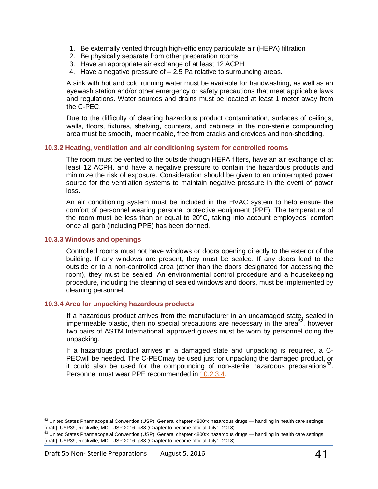- 1. Be externally vented through high-efficiency particulate air (HEPA) filtration
- 2. Be physically separate from other preparation rooms
- 3. Have an appropriate air exchange of at least 12 ACPH
- 4. Have a negative pressure of 2.5 Pa relative to surrounding areas.

A sink with hot and cold running water must be available for handwashing, as well as an eyewash station and/or other emergency or safety precautions that meet applicable laws and regulations. Water sources and drains must be located at least 1 meter away from the C-PEC.

Due to the difficulty of cleaning hazardous product contamination, surfaces of ceilings, walls, floors, fixtures, shelving, counters, and cabinets in the non-sterile compounding area must be smooth, impermeable, free from cracks and crevices and non-shedding.

### **10.3.2 Heating, ventilation and air conditioning system for controlled rooms**

The room must be vented to the outside though HEPA filters, have an air exchange of at least 12 ACPH, and have a negative pressure to contain the hazardous products and minimize the risk of exposure. Consideration should be given to an uninterrupted power source for the ventilation systems to maintain negative pressure in the event of power loss.

An air conditioning system must be included in the HVAC system to help ensure the comfort of personnel wearing personal protective equipment (PPE). The temperature of the room must be less than or equal to 20°C, taking into account employees' comfort once all garb (including PPE) has been donned.

### **10.3.3 Windows and openings**

Controlled rooms must not have windows or doors opening directly to the exterior of the building. If any windows are present, they must be sealed. If any doors lead to the outside or to a non-controlled area (other than the doors designated for accessing the room), they must be sealed. An environmental control procedure and a housekeeping procedure, including the cleaning of sealed windows and doors, must be implemented by cleaning personnel.

#### <span id="page-40-0"></span>**10.3.4 Area for unpacking hazardous products**

If a hazardous product arrives from the manufacturer in an undamaged state, sealed in impermeable plastic, then no special precautions are necessary in the area<sup>[52](#page-40-1)</sup>, however two pairs of ASTM International–approved gloves must be worn by personnel doing the unpacking.

If a hazardous product arrives in a damaged state and unpacking is required, a C-PECwill be needed. The C-PECmay be used just for unpacking the damaged product, or it could also be used for the compounding of non-sterile hazardous preparations<sup>[53](#page-40-2)</sup>. Personnel must wear PPE recommended in [10.2.3.4.](#page-40-0)

<span id="page-40-1"></span> $\overline{\phantom{a}}$  $52$  United States Pharmacopeial Convention (USP). General chapter <800>: hazardous drugs — handling in health care settings [draft]. USP39, Rockville, MD, USP 2016, p88 (Chapter to become official July1, 2018).

<span id="page-40-2"></span>United States Pharmacopeial Convention (USP). General chapter <800>: hazardous drugs — handling in health care settings [draft]. USP39, Rockville, MD, USP 2016, p88 (Chapter to become official July1, 2018).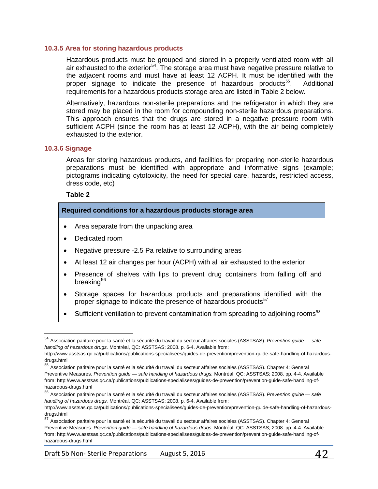#### **10.3.5 Area for storing hazardous products**

Hazardous products must be grouped and stored in a properly ventilated room with all air exhausted to the exterior<sup>54</sup>. The storage area must have negative pressure relative to the adjacent rooms and must have at least 12 ACPH. It must be identified with the proper signage to indicate the presence of hazardous products<sup>[55](#page-41-1)</sup>. Additional requirements for a hazardous products storage area are listed in Table 2 below.

Alternatively, hazardous non-sterile preparations and the refrigerator in which they are stored may be placed in the room for compounding non-sterile hazardous preparations. This approach ensures that the drugs are stored in a negative pressure room with sufficient ACPH (since the room has at least 12 ACPH), with the air being completely exhausted to the exterior.

#### **10.3.6 Signage**

Areas for storing hazardous products, and facilities for preparing non-sterile hazardous preparations must be identified with appropriate and informative signs (example; pictograms indicating cytotoxicity, the need for special care, hazards, restricted access, dress code, etc)

#### **Table 2**

#### **Required conditions for a hazardous products storage area**

- Area separate from the unpacking area
- Dedicated room
- Negative pressure -2.5 Pa relative to surrounding areas
- At least 12 air changes per hour (ACPH) with all air exhausted to the exterior
- Presence of shelves with lips to prevent drug containers from falling off and breaking<sup>[56](#page-41-2)</sup>
- Storage spaces for hazardous products and preparations identified with the proper signage to indicate the presence of hazardous products<sup>[57](#page-41-3)</sup>
- Sufficient ventilation to prevent contamination from spreading to adjoining rooms<sup>[58](#page-41-4)</sup>

Draft 5b Non-Sterile Preparations August 5, 2016  $\mathcal{A}$  2

<span id="page-41-4"></span><span id="page-41-0"></span><sup>54</sup> Association paritaire pour la santé et la sécurité du travail du secteur affaires sociales (ASSTSAS). *Prevention guide — safe handling of hazardous drugs.* Montréal, QC: ASSTSAS; 2008. p. 6-4. Available from:

http://www.asstsas.qc.ca/publications/publications-specialisees/guides-de-prevention/prevention-guide-safe-handling-of-hazardousdrugs.html

<span id="page-41-1"></span><sup>55</sup> Association paritaire pour la santé et la sécurité du travail du secteur affaires sociales (ASSTSAS). Chapter 4: General Preventive Measures. *Prevention guide — safe handling of hazardous drugs.* Montréal, QC: ASSTSAS; 2008. pp. 4-4. Available from: http://www.asstsas.qc.ca/publications/publications-specialisees/guides-de-prevention/prevention-guide-safe-handling-ofhazardous-drugs.html

<span id="page-41-2"></span><sup>56</sup> Association paritaire pour la santé et la sécurité du travail du secteur affaires sociales (ASSTSAS). *Prevention guide — safe handling of hazardous drugs.* Montréal, QC: ASSTSAS; 2008. p. 6-4. Available from:

http://www.asstsas.qc.ca/publications/publications-specialisees/guides-de-prevention/prevention-guide-safe-handling-of-hazardousdrugs.html

<span id="page-41-3"></span><sup>57</sup> Association paritaire pour la santé et la sécurité du travail du secteur affaires sociales (ASSTSAS). Chapter 4: General Preventive Measures. *Prevention guide — safe handling of hazardous drugs.* Montréal, QC: ASSTSAS; 2008. pp. 4-4. Available from: http://www.asstsas.qc.ca/publications/publications-specialisees/guides-de-prevention/prevention-guide-safe-handling-ofhazardous-drugs.html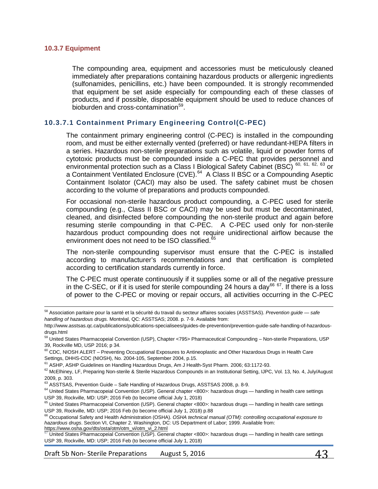#### **10.3.7 Equipment**

l

The compounding area, equipment and accessories must be meticulously cleaned immediately after preparations containing hazardous products or allergenic ingredients (sulfonamides, penicillins, etc.) have been compounded. It is strongly recommended that equipment be set aside especially for compounding each of these classes of products, and if possible, disposable equipment should be used to reduce chances of bioburden and cross-contamination<sup>[59](#page-42-0)</sup>.

## **10.3.7.1 Containment Primary Engineering Control(C-PEC)**

The containment primary engineering control (C-PEC) is installed in the compounding room, and must be either externally vented (preferred) or have redundant-HEPA filters in a series. Hazardous non-sterile preparations such as volatile, liquid or powder forms of cytotoxic products must be compounded inside a C-PEC that provides personnel and environmental protection such as a Class I Biological Safety Cabinet (BSC) <sup>[60](#page-42-1), [61,](#page-42-2) [62](#page-42-3), [63](#page-42-4)</sup> or a Containment Ventilated Enclosure (CVE).<sup>[64](#page-42-5)</sup> A Class II BSC or a Compounding Aseptic Containment Isolator (CACI) may also be used. The safety cabinet must be chosen according to the volume of preparations and products compounded.

For occasional non-sterile hazardous product compounding, a C-PEC used for sterile compounding (e.g., Class II BSC or CACI) may be used but must be decontaminated, cleaned, and disinfected before compounding the non-sterile product and again before resuming sterile compounding in that C-PEC. A C-PEC used only for non-sterile hazardous product compounding does not require unidirectional airflow because the environment does not need to be ISO classified.<sup>[65](#page-42-6)</sup>

The non-sterile compounding supervisor must ensure that the C-PEC is installed according to manufacturer's recommendations and that certification is completed according to certification standards currently in force.

The C-PEC must operate continuously if it supplies some or all of the negative pressure in the C-SEC, or if it is used for sterile compounding 24 hours a day<sup>[66](#page-42-7) [67](#page-42-8)</sup>. If there is a loss of power to the C-PEC or moving or repair occurs, all activities occurring in the C-PEC

<sup>58</sup> Association paritaire pour la santé et la sécurité du travail du secteur affaires sociales (ASSTSAS). *Prevention guide — safe handling of hazardous drugs.* Montréal, QC: ASSTSAS; 2008. p. 7-9. Available from:

http://www.asstsas.qc.ca/publications/publications-specialisees/guides-de-prevention/prevention-guide-safe-handling-of-hazardousdrugs.html

<span id="page-42-0"></span><sup>59</sup> United States Pharmacopeial Convention (USP), Chapter <795> Pharmaceutical Compounding – Non-sterile Preparations, USP 39, Rockville MD, USP 2016; p 34.

<span id="page-42-1"></span><sup>&</sup>lt;sup>60</sup> CDC, NIOSH ALERT – Preventing Occupational Exposures to Antineoplastic and Other Hazardous Drugs in Health Care Settings, DHHS-CDC (NIOSH), No. 2004-105, September 2004, p.15.

<sup>&</sup>lt;sup>61</sup> ASHP, ASHP Guidelines on Handling Hazardous Drugs, Am J Health-Syst Pharm. 2006; 63:1172-93.

<span id="page-42-3"></span><span id="page-42-2"></span><sup>&</sup>lt;sup>62</sup> McElhiney, LF, Preparing Non-sterile & Sterile Hazardous Compounds in an Institutional Setting, IJPC, Vol. 13, No. 4, July/August 2009, p. 303.

<span id="page-42-4"></span><sup>&</sup>lt;sup>63</sup> ASSTSAS, Prevention Guide – Safe Handling of Hazardous Drugs, ASSTSAS 2008, p. 8-9.

<span id="page-42-5"></span><sup>&</sup>lt;sup>64</sup> United States Pharmacopeial Convention (USP). General chapter <800>: hazardous drugs — handling in health care settings USP 39, Rockville, MD: USP; 2016 Feb (to become official July 1, 2018)

<span id="page-42-6"></span><sup>&</sup>lt;sup>65</sup> United States Pharmacopeial Convention (USP). General chapter <800>: hazardous drugs — handling in health care settings USP 39, Rockville, MD: USP; 2016 Feb (to become official July 1, 2018) p.88

<span id="page-42-7"></span><sup>66</sup> Occupational Safety and Health Administration (OSHA). *OSHA technical manual (OTM): controlling occupational exposure to*  hazardous drugs. Section VI, Chapter 2. Washington, DC: US Department of Labor; 1999. Available from:<br>https://www.osha.gov/dts/osta/otm/otm\_vi/otm\_vi\_2.html

<span id="page-42-8"></span>United States Pharmacopeial Convention (USP). General chapter <800>: hazardous drugs — handling in health care settings USP 39, Rockville, MD: USP; 2016 Feb (to become official July 1, 2018)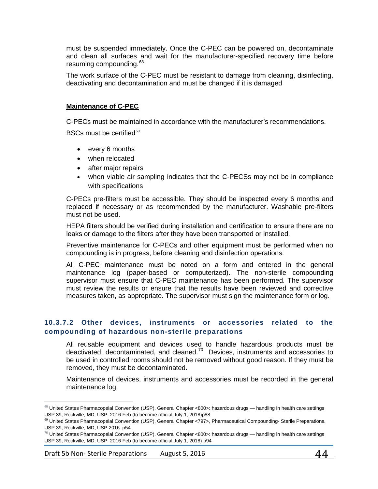must be suspended immediately. Once the C-PEC can be powered on, decontaminate and clean all surfaces and wait for the manufacturer-specified recovery time before resuming compounding.<sup>[68](#page-43-0)</sup>

The work surface of the C-PEC must be resistant to damage from cleaning, disinfecting, deactivating and decontamination and must be changed if it is damaged

## **Maintenance of C-PEC**

C-PECs must be maintained in accordance with the manufacturer's recommendations.

BSCs must be certified $69$ 

- every 6 months
- when relocated
- after major repairs
- when viable air sampling indicates that the C-PECSs may not be in compliance with specifications

C-PECs pre-filters must be accessible. They should be inspected every 6 months and replaced if necessary or as recommended by the manufacturer. Washable pre-filters must not be used.

HEPA filters should be verified during installation and certification to ensure there are no leaks or damage to the filters after they have been transported or installed.

Preventive maintenance for C-PECs and other equipment must be performed when no compounding is in progress, before cleaning and disinfection operations.

All C-PEC maintenance must be noted on a form and entered in the general maintenance log (paper-based or computerized). The non-sterile compounding supervisor must ensure that C-PEC maintenance has been performed. The supervisor must review the results or ensure that the results have been reviewed and corrective measures taken, as appropriate. The supervisor must sign the maintenance form or log.

## **10.3.7.2 Other devices, instruments or accessories related to the compounding of hazardous non-sterile preparations**

All reusable equipment and devices used to handle hazardous products must be deactivated, decontaminated, and cleaned.[70](#page-43-2) Devices, instruments and accessories to be used in controlled rooms should not be removed without good reason. If they must be removed, they must be decontaminated.

Maintenance of devices, instruments and accessories must be recorded in the general maintenance log.

<span id="page-43-0"></span> $\overline{\phantom{a}}$  $68$  United States Pharmacopeial Convention (USP). General Chapter <800>: hazardous drugs — handling in health care settings USP 39, Rockville, MD: USP; 2016 Feb (to become official July 1, 2018)p88

<span id="page-43-1"></span><sup>&</sup>lt;sup>69</sup> United States Pharmacopeial Convention (USP), General Chapter <797>, Pharmaceutical Compounding- Sterile Preparations. USP 39, Rockville, MD, USP 2016. p54

<span id="page-43-2"></span> $^{70}$  United States Pharmacopeial Convention (USP). General Chapter <800>: hazardous drugs — handling in health care settings USP 39, Rockville, MD: USP; 2016 Feb (to become official July 1, 2018) p94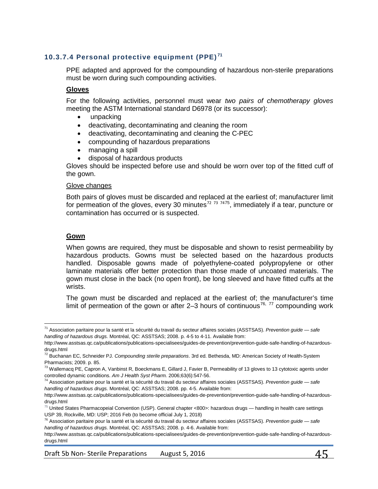# **10.3.7.4 Personal protective equipment (PPE) [71](#page-44-0)**

PPE adapted and approved for the compounding of hazardous non-sterile preparations must be worn during such compounding activities.

## **Gloves**

For the following activities, personnel must wear *two pairs of chemotherapy gloves*  meeting the ASTM International standard D6978 (or its successor):

- unpacking
- deactivating, decontaminating and cleaning the room
- deactivating, decontaminating and cleaning the C-PEC
- compounding of hazardous preparations
- managing a spill
- disposal of hazardous products

Gloves should be inspected before use and should be worn over top of the fitted cuff of the gown.

#### Glove changes

Both pairs of gloves must be discarded and replaced at the earliest of; manufacturer limit for permeation of the gloves, every 30 minutes<sup>[72](#page-44-1) [73](#page-44-2) [74](#page-44-3)[75](#page-44-4)</sup>, immediately if a tear, puncture or contamination has occurred or is suspected.

### **Gown**

 $\overline{\phantom{a}}$ 

When gowns are required, they must be disposable and shown to resist permeability by hazardous products. Gowns must be selected based on the hazardous products handled. Disposable gowns made of polyethylene-coated polypropylene or other laminate materials offer better protection than those made of uncoated materials. The gown must close in the back (no open front), be long sleeved and have fitted cuffs at the wrists.

The gown must be discarded and replaced at the earliest of; the manufacturer's time limit of permeation of the gown or after 2–3 hours of continuous<sup>[76,](#page-44-5) [77](#page-44-2)</sup> compounding work

<span id="page-44-0"></span><sup>71</sup> Association paritaire pour la santé et la sécurité du travail du secteur affaires sociales (ASSTSAS). *Prevention guide — safe handling of hazardous drugs.* Montréal, QC: ASSTSAS; 2008. p. 4-5 to 4-11. Available from:

http://www.asstsas.qc.ca/publications/publications-specialisees/guides-de-prevention/prevention-guide-safe-handling-of-hazardousdrugs.html

<span id="page-44-1"></span><sup>72</sup> Buchanan EC, Schneider PJ. *Compounding sterile preparations*. 3rd ed. Bethesda, MD: American Society of Health-System Pharmacists; 2009. p. 85.

<span id="page-44-2"></span> $^{73}$  Wallemacq PE, Capron A, Vanbinst R, Boeckmans E, Gillard J, Favier B, Permeability of 13 gloves to 13 cytotoxic agents under controlled dynamic conditions. *Am J Health Syst Pharm.* 2006;63(6):547-56.

<span id="page-44-3"></span><sup>74</sup> Association paritaire pour la santé et la sécurité du travail du secteur affaires sociales (ASSTSAS). *Prevention guide — safe handling of hazardous drugs.* Montréal, QC: ASSTSAS; 2008. pp. 4-5. Available from:

http://www.asstsas.qc.ca/publications/publications-specialisees/guides-de-prevention/prevention-guide-safe-handling-of-hazardousdrugs.html

<span id="page-44-4"></span> $^{75}$  United States Pharmacopeial Convention (USP). General chapter <800>: hazardous drugs — handling in health care settings USP 39, Rockville, MD: USP; 2016 Feb (to become official July 1, 2018)<br><sup>76</sup> Association paritaire pour la santé et la sécurité du travail du secteur affaires sociales (ASSTSAS). *Prevention guide — safe* 

*handling of hazardous drugs.* Montréal, QC: ASSTSAS; 2008. p. 4-6. Available from:

<span id="page-44-5"></span>http://www.asstsas.qc.ca/publications/publications-specialisees/guides-de-prevention/prevention-guide-safe-handling-of-hazardousdrugs.html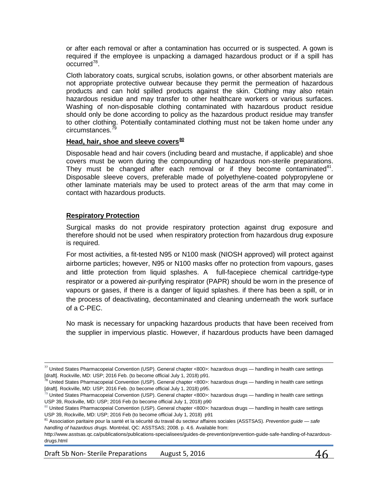or after each removal or after a contamination has occurred or is suspected. A gown is required if the employee is unpacking a damaged hazardous product or if a spill has occurred[78](#page-45-0).

Cloth laboratory coats, surgical scrubs, isolation gowns, or other absorbent materials are not appropriate protective outwear because they permit the permeation of hazardous products and can hold spilled products against the skin. Clothing may also retain hazardous residue and may transfer to other healthcare workers or various surfaces. Washing of non-disposable clothing contaminated with hazardous product residue should only be done according to policy as the hazardous product residue may transfer to other clothing. Potentially contaminated clothing must not be taken home under any circumstances.<sup>[79](#page-45-1)</sup>

### **Head, hair, shoe and sleeve covers[80](#page-45-2)**

Disposable head and hair covers (including beard and mustache, if applicable) and shoe covers must be worn during the compounding of hazardous non-sterile preparations. They must be changed after each removal or if they become contaminated $^{81}$  $^{81}$  $^{81}$ . Disposable sleeve covers, preferable made of polyethylene-coated polypropylene or other laminate materials may be used to protect areas of the arm that may come in contact with hazardous products.

## **Respiratory Protection**

l

Surgical masks do not provide respiratory protection against drug exposure and therefore should not be used when respiratory protection from hazardous drug exposure is required.

For most activities, a fit-tested N95 or N100 mask (NIOSH approved) will protect against airborne particles; however, N95 or N100 masks offer no protection from vapours, gases and little protection from liquid splashes. A full-facepiece chemical cartridge-type respirator or a powered air-purifying respirator (PAPR) should be worn in the presence of vapours or gases, if there is a danger of liquid splashes. if there has been a spill, or in the process of deactivating, decontaminated and cleaning underneath the work surface of a C-PEC.

No mask is necessary for unpacking hazardous products that have been received from the supplier in impervious plastic. However, if hazardous products have been damaged

 $77$  United States Pharmacopeial Convention (USP). General chapter <800>: hazardous drugs — handling in health care settings [draft]. Rockville, MD: USP; 2016 Feb. (to become official July 1, 2018) p91.

<span id="page-45-0"></span><sup>&</sup>lt;sup>78</sup> United States Pharmacopeial Convention (USP). General chapter <800>: hazardous drugs — handling in health care settings [draft]. Rockville, MD: USP; 2016 Feb. (to become official July 1, 2018) p95.

<span id="page-45-1"></span> $79$  United States Pharmacopeial Convention (USP). General chapter <800>: hazardous drugs — handling in health care settings USP 39, Rockville, MD: USP; 2016 Feb (to become official July 1, 2018) p90

<span id="page-45-2"></span><sup>80</sup> United States Pharmacopeial Convention (USP). General chapter <800>: hazardous drugs — handling in health care settings USP 39, Rockville, MD: USP; 2016 Feb (to become official July 1, 2018) p91

<span id="page-45-3"></span><sup>81</sup> Association paritaire pour la santé et la sécurité du travail du secteur affaires sociales (ASSTSAS). *Prevention guide — safe handling of hazardous drugs.* Montréal, QC: ASSTSAS; 2008. p. 4.6. Available from:

http://www.asstsas.qc.ca/publications/publications-specialisees/guides-de-prevention/prevention-guide-safe-handling-of-hazardousdrugs.html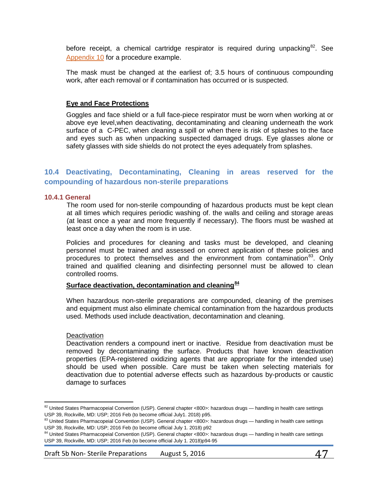before receipt, a chemical cartridge respirator is required during unpacking<sup>82</sup>. See [Appendix](#page-78-0) 10 for a procedure example.

The mask must be changed at the earliest of; 3.5 hours of continuous compounding work, after each removal or if contamination has occurred or is suspected.

## **Eye and Face Protections**

Goggles and face shield or a full face-piece respirator must be worn when working at or above eye level,when deactivating, decontaminating and cleaning underneath the work surface of a C-PEC, when cleaning a spill or when there is risk of splashes to the face and eyes such as when unpacking suspected damaged drugs. Eye glasses alone or safety glasses with side shields do not protect the eyes adequately from splashes.

# **10.4 Deactivating, Decontaminating, Cleaning in areas reserved for the compounding of hazardous non-sterile preparations**

#### **10.4.1 General**

The room used for non-sterile compounding of hazardous products must be kept clean at all times which requires periodic washing of. the walls and ceiling and storage areas (at least once a year and more frequently if necessary). The floors must be washed at least once a day when the room is in use.

Policies and procedures for cleaning and tasks must be developed, and cleaning personnel must be trained and assessed on correct application of these policies and procedures to protect themselves and the environment from contamination<sup>[83](#page-46-1)</sup>. Only trained and qualified cleaning and disinfecting personnel must be allowed to clean controlled rooms.

## **Surface deactivation, decontamination and cleaning[84](#page-46-2)**

When hazardous non-sterile preparations are compounded, cleaning of the premises and equipment must also eliminate chemical contamination from the hazardous products used. Methods used include deactivation, decontamination and cleaning.

#### **Deactivation**

 $\overline{\phantom{a}}$ 

Deactivation renders a compound inert or inactive. Residue from deactivation must be removed by decontaminating the surface. Products that have known deactivation properties (EPA-registered oxidizing agents that are appropriate for the intended use) should be used when possible. Care must be taken when selecting materials for deactivation due to potential adverse effects such as hazardous by-products or caustic damage to surfaces

Draft 5b Non-Sterile Preparations August 5, 2016  $\mathcal{A}7$ 

<span id="page-46-0"></span> $82$  United States Pharmacopeial Convention (USP). General chapter <800>: hazardous drugs — handling in health care settings USP 39, Rockville, MD: USP; 2016 Feb (to become official July1. 2018) p95.

<span id="page-46-1"></span><sup>83</sup> United States Pharmacopeial Convention (USP). General chapter <800>: hazardous drugs — handling in health care settings USP 39, Rockville, MD: USP; 2016 Feb (to become official July 1. 2018) p92

<span id="page-46-2"></span><sup>84</sup> United States Pharmacopeial Convention (USP). General chapter <800>: hazardous drugs — handling in health care settings USP 39, Rockville, MD: USP; 2016 Feb (to become official July 1. 2018)p94-95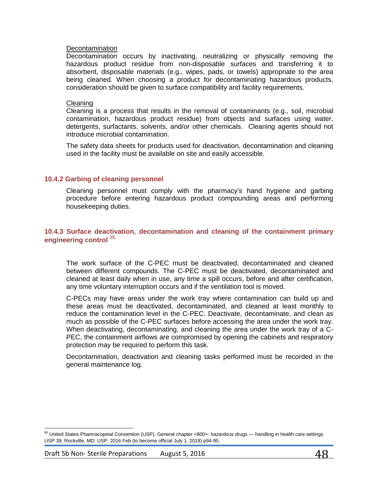#### Decontamination

Decontamination occurs by inactivating, neutralizing or physically removing the hazardous product residue from non-disposable surfaces and transferring it to absorbent, disposable materials (e.g., wipes, pads, or towels) appropriate to the area being cleaned. When choosing a product for decontaminating hazardous products, consideration should be given to surface compatibility and facility requirements.

#### Cleaning

Cleaning is a process that results in the removal of contaminants (e.g., soil, microbial contamination, hazardous product residue) from objects and surfaces using water, detergents, surfactants, solvents, and/or other chemicals. Cleaning agents should not introduce microbial contamination.

The safety data sheets for products used for deactivation, decontamination and cleaning used in the facility must be available on site and easily accessible.

#### **10.4.2 Garbing of cleaning personnel**

Cleaning personnel must comply with the pharmacy's hand hygiene and garbing procedure before entering hazardous product compounding areas and performing housekeeping duties.

## **10.4.3 Surface deactivation, decontamination and cleaning of the containment primary engineering control** [85](#page-47-0)

The work surface of the C-PEC must be deactivated, decontaminated and cleaned between different compounds. The C-PEC must be deactivated, decontaminated and cleaned at least daily when in use, any time a spill occurs, before and after certification, any time voluntary interruption occurs and if the ventilation tool is moved.

C-PECs may have areas under the work tray where contamination can build up and these areas must be deactivated, decontaminated, and cleaned at least monthly to reduce the contamination level in the C-PEC. Deactivate, decontaminate, and clean as much as possible of the C-PEC surfaces before accessing the area under the work tray. When deactivating, decontaminating, and cleaning the area under the work tray of a C-PEC, the containment airflows are compromised by opening the cabinets and respiratory protection may be required to perform this task.

Decontamination, deactivation and cleaning tasks performed must be recorded in the general maintenance log.

 $\overline{\phantom{a}}$ 

<span id="page-47-0"></span><sup>85</sup> United States Pharmacopeial Convention (USP). General chapter <800>: hazardous drugs — handling in health care settings USP 39, Rockville, MD: USP; 2016 Feb (to become official July 1. 2018) p94-95.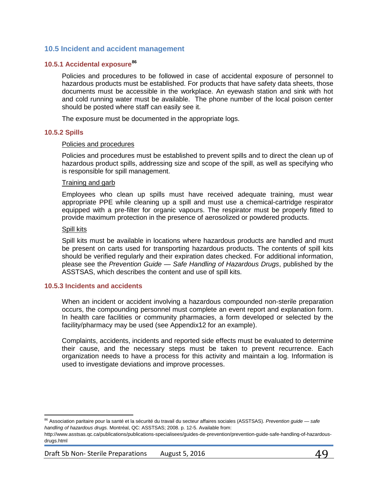## **10.5 Incident and accident management**

## **10.5.1 Accidental exposure[86](#page-48-0)**

Policies and procedures to be followed in case of accidental exposure of personnel to hazardous products must be established. For products that have safety data sheets, those documents must be accessible in the workplace. An eyewash station and sink with hot and cold running water must be available. The phone number of the local poison center should be posted where staff can easily see it.

The exposure must be documented in the appropriate logs.

#### **10.5.2 Spills**

#### Policies and procedures

Policies and procedures must be established to prevent spills and to direct the clean up of hazardous product spills, addressing size and scope of the spill, as well as specifying who is responsible for spill management.

#### Training and garb

Employees who clean up spills must have received adequate training, must wear appropriate PPE while cleaning up a spill and must use a chemical-cartridge respirator equipped with a pre-filter for organic vapours. The respirator must be properly fitted to provide maximum protection in the presence of aerosolized or powdered products.

#### Spill kits

 $\overline{\phantom{a}}$ 

Spill kits must be available in locations where hazardous products are handled and must be present on carts used for transporting hazardous products. The contents of spill kits should be verified regularly and their expiration dates checked. For additional information, please see the *Prevention Guide — Safe Handling of Hazardous Drugs*, published by the ASSTSAS, which describes the content and use of spill kits.

#### **10.5.3 Incidents and accidents**

When an incident or accident involving a hazardous compounded non-sterile preparation occurs, the compounding personnel must complete an event report and explanation form. In health care facilities or community pharmacies, a form developed or selected by the facility/pharmacy may be used (see Appendix12 for an example).

Complaints, accidents, incidents and reported side effects must be evaluated to determine their cause, and the necessary steps must be taken to prevent recurrence. Each organization needs to have a process for this activity and maintain a log. Information is used to investigate deviations and improve processes.

<span id="page-48-0"></span><sup>86</sup> Association paritaire pour la santé et la sécurité du travail du secteur affaires sociales (ASSTSAS). *Prevention guide — safe handling of hazardous drugs.* Montréal, QC: ASSTSAS; 2008. p. 12-5. Available from:

http://www.asstsas.qc.ca/publications/publications-specialisees/guides-de-prevention/prevention-guide-safe-handling-of-hazardousdrugs.html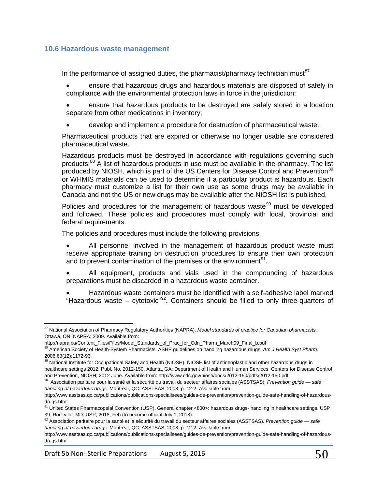## **10.6 Hazardous waste management**

In the performance of assigned duties, the pharmacist/pharmacy technician must $87$ 

- ensure that hazardous drugs and hazardous materials are disposed of safely in compliance with the environmental protection laws in force in the jurisdiction;
- ensure that hazardous products to be destroyed are safely stored in a location separate from other medications in inventory;
- develop and implement a procedure for destruction of pharmaceutical waste.

Pharmaceutical products that are expired or otherwise no longer usable are considered pharmaceutical waste.

Hazardous products must be destroyed in accordance with regulations governing such products.[88](#page-49-1) A list of hazardous products in use must be available in the pharmacy. The list produced by NIOSH, which is part of the US Centers for Disease Control and Prevention<sup>[89](#page-49-2)</sup> or WHMIS materials can be used to determine if a particular product is hazardous. Each pharmacy must customize a list for their own use as some drugs may be available in Canada and not the US or new drugs may be available after the NIOSH list is published.

Policies and procedures for the management of hazardous waste<sup>[90](#page-49-3)</sup> must be developed and followed. These policies and procedures must comply with local, provincial and federal requirements.

The policies and procedures must include the following provisions:

- All personnel involved in the management of hazardous product waste must receive appropriate training on destruction procedures to ensure their own protection and to prevent contamination of the premises or the environment $91$ .
- All equipment, products and vials used in the compounding of hazardous preparations must be discarded in a hazardous waste container.
- Hazardous waste containers must be identified with a self-adhesive label marked "Hazardous waste – cytotoxic" $92$ . Containers should be filled to only three-quarters of

<span id="page-49-0"></span> $\overline{\phantom{a}}$ <sup>87</sup> National Association of Pharmacy Regulatory Authorities (NAPRA). *Model standards of practice for Canadian pharmacists.* Ottawa, ON: NAPRA; 2009. Available from:

http://napra.ca/Content\_Files/Files/Model\_Standards\_of\_Prac\_for\_Cdn\_Pharm\_March09\_Final\_b.pdf

<span id="page-49-1"></span><sup>88</sup> American Society of Health-System Pharmacists. ASHP guidelines on handling hazardous drugs. *Am J Health Syst Pharm*. 2006;63(12):1172-93.

<span id="page-49-2"></span><sup>89</sup> National Institute for Occupational Safety and Health (NIOSH). NIOSH list of antineoplastic and other hazardous drugs in healthcare settings 2012. Publ. No. 2012-150. Atlanta, GA: Department of Health and Human Services, Centers for Disease Control and Prevention, NIOSH; 2012 June. Available from: http://www.cdc.gov/niosh/docs/2012-150/pdfs/2012-150.pdf

<span id="page-49-3"></span><sup>90</sup> Association paritaire pour la santé et la sécurité du travail du secteur affaires sociales (ASSTSAS). *Prevention guide — safe handling of hazardous drugs.* Montréal, QC: ASSTSAS; 2008. p. 12-2. Available from:

http://www.asstsas.qc.ca/publications/publications-specialisees/guides-de-prevention/prevention-guide-safe-handling-of-hazardousdrugs.html

<span id="page-49-4"></span><sup>91</sup> United States Pharmacopeial Convention (USP). General chapter <800>: hazardous drugs- handling in healthcare settings. USP 39. Rockville, MD: USP; 2018, Feb (to become official July 1, 2018)

<span id="page-49-5"></span><sup>92</sup> Association paritaire pour la santé et la sécurité du travail du secteur affaires sociales (ASSTSAS). *Prevention guide — safe handling of hazardous drugs.* Montréal, QC: ASSTSAS; 2008. p. 12-2. Available from:

http://www.asstsas.qc.ca/publications/publications-specialisees/guides-de-prevention/prevention-guide-safe-handling-of-hazardousdrugs.html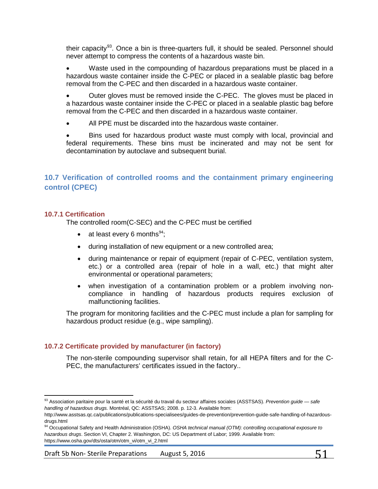their capacity<sup>[93](#page-50-0)</sup>. Once a bin is three-quarters full, it should be sealed. Personnel should never attempt to compress the contents of a hazardous waste bin.

Waste used in the compounding of hazardous preparations must be placed in a hazardous waste container inside the C-PEC or placed in a sealable plastic bag before removal from the C-PEC and then discarded in a hazardous waste container.

• Outer gloves must be removed inside the C-PEC. The gloves must be placed in a hazardous waste container inside the C-PEC or placed in a sealable plastic bag before removal from the C-PEC and then discarded in a hazardous waste container.

All PPE must be discarded into the hazardous waste container.

• Bins used for hazardous product waste must comply with local, provincial and federal requirements. These bins must be incinerated and may not be sent for decontamination by autoclave and subsequent burial.

# **10.7 Verification of controlled rooms and the containment primary engineering control (CPEC)**

## **10.7.1 Certification**

l

The controlled room(C-SEC) and the C-PEC must be certified

- at least every 6 months $94$ ;
- during installation of new equipment or a new controlled area;
- during maintenance or repair of equipment (repair of C-PEC, ventilation system, etc.) or a controlled area (repair of hole in a wall, etc.) that might alter environmental or operational parameters;
- when investigation of a contamination problem or a problem involving noncompliance in handling of hazardous products requires exclusion of malfunctioning facilities.

The program for monitoring facilities and the C-PEC must include a plan for sampling for hazardous product residue (e.g., wipe sampling).

## **10.7.2 Certificate provided by manufacturer (in factory)**

The non-sterile compounding supervisor shall retain, for all HEPA filters and for the C-PEC, the manufacturers' certificates issued in the factory..

<span id="page-50-0"></span><sup>93</sup> Association paritaire pour la santé et la sécurité du travail du secteur affaires sociales (ASSTSAS). *Prevention guide — safe handling of hazardous drugs.* Montréal, QC: ASSTSAS; 2008. p. 12-3. Available from:

http://www.asstsas.qc.ca/publications/publications-specialisees/guides-de-prevention/prevention-guide-safe-handling-of-hazardousdrugs.html

<span id="page-50-1"></span><sup>94</sup> Occupational Safety and Health Administration (OSHA). *OSHA technical manual (OTM): controlling occupational exposure to hazardous drugs*. Section VI, Chapter 2. Washington, DC: US Department of Labor; 1999. Available from: https://www.osha.gov/dts/osta/otm/otm\_vi/otm\_vi\_2.html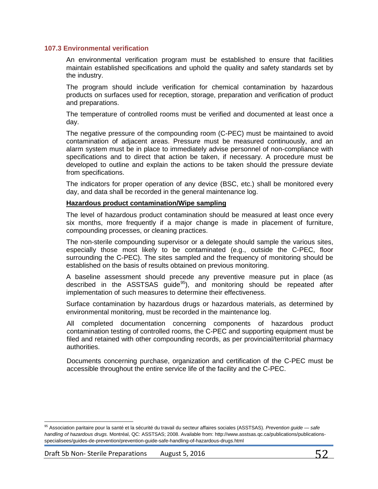#### **107.3 Environmental verification**

An environmental verification program must be established to ensure that facilities maintain established specifications and uphold the quality and safety standards set by the industry.

The program should include verification for chemical contamination by hazardous products on surfaces used for reception, storage, preparation and verification of product and preparations.

The temperature of controlled rooms must be verified and documented at least once a day.

The negative pressure of the compounding room (C-PEC) must be maintained to avoid contamination of adjacent areas. Pressure must be measured continuously, and an alarm system must be in place to immediately advise personnel of non-compliance with specifications and to direct that action be taken, if necessary. A procedure must be developed to outline and explain the actions to be taken should the pressure deviate from specifications.

The indicators for proper operation of any device (BSC, etc.) shall be monitored every day, and data shall be recorded in the general maintenance log.

## **Hazardous product contamination/Wipe sampling**

The level of hazardous product contamination should be measured at least once every six months, more frequently if a major change is made in placement of furniture, compounding processes, or cleaning practices.

The non-sterile compounding supervisor or a delegate should sample the various sites, especially those most likely to be contaminated (e.g., outside the C-PEC, floor surrounding the C-PEC). The sites sampled and the frequency of monitoring should be established on the basis of results obtained on previous monitoring.

A baseline assessment should precede any preventive measure put in place (as described in the ASSTSAS guide<sup>[95](#page-51-0)</sup>), and monitoring should be repeated after implementation of such measures to determine their effectiveness.

Surface contamination by hazardous drugs or hazardous materials, as determined by environmental monitoring, must be recorded in the maintenance log.

All completed documentation concerning components of hazardous product contamination testing of controlled rooms, the C-PEC and supporting equipment must be filed and retained with other compounding records, as per provincial/territorial pharmacy authorities.

Documents concerning purchase, organization and certification of the C-PEC must be accessible throughout the entire service life of the facility and the C-PEC.

l

<span id="page-51-0"></span><sup>95</sup> Association paritaire pour la santé et la sécurité du travail du secteur affaires sociales (ASSTSAS). *Prevention guide — safe handling of hazardous drugs.* Montréal, QC: ASSTSAS; 2008. Available from: http://www.asstsas.qc.ca/publications/publicationsspecialisees/guides-de-prevention/prevention-guide-safe-handling-of-hazardous-drugs.html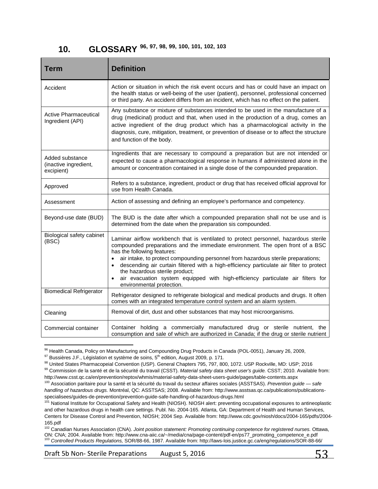# **10. GLOSSARY [96](#page-52-0), [97,](#page-52-1) [98](#page-52-2), [99,](#page-52-3) [100](#page-52-4), [101](#page-52-5), [102,](#page-52-6) [103](#page-52-7)**

| Term                                                   | <b>Definition</b>                                                                                                                                                                                                                                                                                                                                                                                                                                                                                                                                                  |
|--------------------------------------------------------|--------------------------------------------------------------------------------------------------------------------------------------------------------------------------------------------------------------------------------------------------------------------------------------------------------------------------------------------------------------------------------------------------------------------------------------------------------------------------------------------------------------------------------------------------------------------|
| Accident                                               | Action or situation in which the risk event occurs and has or could have an impact on<br>the health status or well-being of the user (patient), personnel, professional concerned<br>or third party. An accident differs from an incident, which has no effect on the patient.                                                                                                                                                                                                                                                                                     |
| <b>Active Pharmaceutical</b><br>Ingredient (API)       | Any substance or mixture of substances intended to be used in the manufacture of a<br>drug (medicinal) product and that, when used in the production of a drug, comes an<br>active ingredient of the drug product which has a pharmacological activity in the<br>diagnosis, cure, mitigation, treatment, or prevention of disease or to affect the structure<br>and function of the body.                                                                                                                                                                          |
| Added substance<br>(inactive ingredient,<br>excipient) | Ingredients that are necessary to compound a preparation but are not intended or<br>expected to cause a pharmacological response in humans if administered alone in the<br>amount or concentration contained in a single dose of the compounded preparation.                                                                                                                                                                                                                                                                                                       |
| Approved                                               | Refers to a substance, ingredient, product or drug that has received official approval for<br>use from Health Canada.                                                                                                                                                                                                                                                                                                                                                                                                                                              |
| Assessment                                             | Action of assessing and defining an employee's performance and competency.                                                                                                                                                                                                                                                                                                                                                                                                                                                                                         |
| Beyond-use date (BUD)                                  | The BUD is the date after which a compounded preparation shall not be use and is<br>determined from the date when the preparation sis compounded.                                                                                                                                                                                                                                                                                                                                                                                                                  |
| Biological safety cabinet<br>(BSC)                     | Laminar airflow workbench that is ventilated to protect personnel, hazardous sterile<br>compounded preparations and the immediate environment. The open front of a BSC<br>has the following features:<br>air intake, to protect compounding personnel from hazardous sterile preparations;<br>$\bullet$<br>descending air curtain filtered with a high-efficiency particulate air filter to protect<br>$\bullet$<br>the hazardous sterile product;<br>air evacuation system equipped with high-efficiency particulate air filters for<br>environmental protection. |
| <b>Biomedical Refrigerator</b>                         | Refrigerator designed to refrigerate biological and medical products and drugs. It often<br>comes with an integrated temperature control system and an alarm system.                                                                                                                                                                                                                                                                                                                                                                                               |
| Cleaning                                               | Removal of dirt, dust and other substances that may host microorganisms.                                                                                                                                                                                                                                                                                                                                                                                                                                                                                           |
| Commercial container                                   | Container holding a commercially manufactured drug or sterile nutrient, the<br>consumption and sale of which are authorized in Canada; if the drug or sterile nutrient                                                                                                                                                                                                                                                                                                                                                                                             |

<span id="page-52-0"></span> $96$  Health Canada, Policy on Manufacturing and Compounding Drug Products in Canada (POL-0051), January 26, 2009,

l

<span id="page-52-1"></span> $97$  Bussières J.F., Législation et système de soins,  $5<sup>th</sup>$  edition, August 2009, p. 171.

<span id="page-52-2"></span><sup>98</sup> United States Pharmacopeial Convention (USP). General Chapters 795, 797, 800, 1072. USP Rockville, MD: USP; 2016

<span id="page-52-3"></span><sup>99</sup> Commission de la santé et de la sécurité du travail (CSST). *Material safety data sheet user's guide.* CSST; 2010. Available from: http://www.csst.qc.ca/en/prevention/reptox/whmis/material-safety-data-sheet-users-guide/pages/table-contents.aspx

<span id="page-52-4"></span><sup>100</sup> Association paritaire pour la santé et la sécurité du travail du secteur affaires sociales (ASSTSAS). *Prevention guide — safe handling of hazardous drugs.* Montréal, QC: ASSTSAS; 2008. Available from: http://www.asstsas.qc.ca/publications/publicationsspecialisees/guides-de-prevention/prevention-guide-safe-handling-of-hazardous-drugs.html

<span id="page-52-5"></span><sup>&</sup>lt;sup>101</sup> National Institute for Occupational Safety and Health (NIOSH). NIOSH alert: preventing occupational exposures to antineoplastic and other hazardous drugs in health care settings. Publ. No. 2004-165. Atlanta, GA: Department of Health and Human Services, Centers for Disease Control and Prevention, NIOSH; 2004 Sep. Available from: http://www.cdc.gov/niosh/docs/2004-165/pdfs/2004- 165.pdf

<span id="page-52-7"></span><span id="page-52-6"></span><sup>&</sup>lt;sup>102</sup> Canadian Nurses Association (CNA). *Joint position statement: Promoting continuing competence for registered nurses.* Ottawa,<br>ON: CNA; 2004. Available from: http://www.cna-aiic.ca/~/media/cna/page-content/pdf-en/ps77 103 Controlled Products Regulations, SOR/88-66, 1987. Available from: http://laws-lois.justice.gc.ca/eng/regulations/SOR-88-66/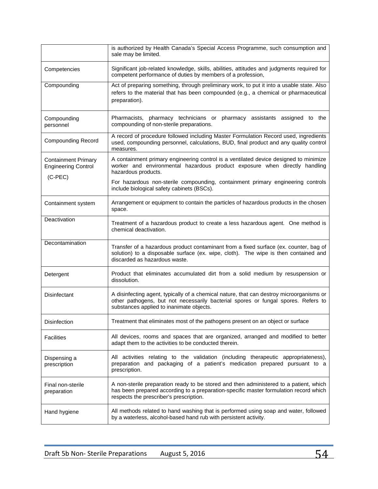|                                                          | is authorized by Health Canada's Special Access Programme, such consumption and<br>sale may be limited.                                                                                                                    |
|----------------------------------------------------------|----------------------------------------------------------------------------------------------------------------------------------------------------------------------------------------------------------------------------|
| Competencies                                             | Significant job-related knowledge, skills, abilities, attitudes and judgments required for<br>competent performance of duties by members of a profession,                                                                  |
| Compounding                                              | Act of preparing something, through preliminary work, to put it into a usable state. Also<br>refers to the material that has been compounded (e.g., a chemical or pharmaceutical<br>preparation).                          |
| Compounding<br>personnel                                 | Pharmacists, pharmacy technicians or pharmacy assistants assigned to the<br>compounding of non-sterile preparations.                                                                                                       |
| <b>Compounding Record</b>                                | A record of procedure followed including Master Formulation Record used, ingredients<br>used, compounding personnel, calculations, BUD, final product and any quality control<br>measures.                                 |
| <b>Containment Primary</b><br><b>Engineering Control</b> | A containment primary engineering control is a ventilated device designed to minimize<br>worker and environmental hazardous product exposure when directly handling<br>hazardous products.                                 |
| $(C-PEC)$                                                | For hazardous non-sterile compounding, containment primary engineering controls<br>include biological safety cabinets (BSCs).                                                                                              |
| Containment system                                       | Arrangement or equipment to contain the particles of hazardous products in the chosen<br>space.                                                                                                                            |
| Deactivation                                             | Treatment of a hazardous product to create a less hazardous agent. One method is<br>chemical deactivation.                                                                                                                 |
| Decontamination                                          | Transfer of a hazardous product contaminant from a fixed surface (ex. counter, bag of<br>solution) to a disposable surface (ex. wipe, cloth). The wipe is then contained and<br>discarded as hazardous waste.              |
| Detergent                                                | Product that eliminates accumulated dirt from a solid medium by resuspension or<br>dissolution.                                                                                                                            |
| Disinfectant                                             | A disinfecting agent, typically of a chemical nature, that can destroy microorganisms or<br>other pathogens, but not necessarily bacterial spores or fungal spores. Refers to<br>substances applied to inanimate objects.  |
| Disinfection                                             | Treatment that eliminates most of the pathogens present on an object or surface                                                                                                                                            |
| <b>Facilities</b>                                        | All devices, rooms and spaces that are organized, arranged and modified to better<br>adapt them to the activities to be conducted therein.                                                                                 |
| Dispensing a<br>prescription                             | All activities relating to the validation (including therapeutic appropriateness),<br>preparation and packaging of a patient's medication prepared pursuant to a<br>prescription.                                          |
| Final non-sterile<br>preparation                         | A non-sterile preparation ready to be stored and then administered to a patient, which<br>has been prepared according to a preparation-specific master formulation record which<br>respects the prescriber's prescription. |
| Hand hygiene                                             | All methods related to hand washing that is performed using soap and water, followed<br>by a waterless, alcohol-based hand rub with persistent activity.                                                                   |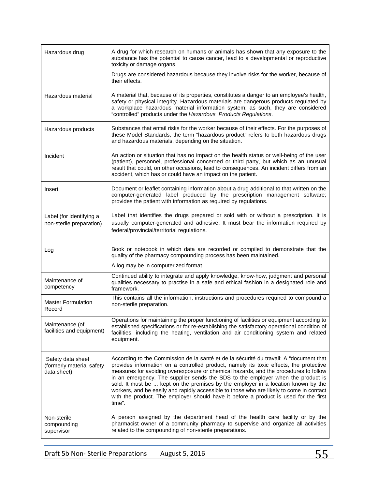| Hazardous drug                                                | A drug for which research on humans or animals has shown that any exposure to the<br>substance has the potential to cause cancer, lead to a developmental or reproductive<br>toxicity or damage organs.                                                                                                                                                                                                                                                                                                                                                                                                                                        |
|---------------------------------------------------------------|------------------------------------------------------------------------------------------------------------------------------------------------------------------------------------------------------------------------------------------------------------------------------------------------------------------------------------------------------------------------------------------------------------------------------------------------------------------------------------------------------------------------------------------------------------------------------------------------------------------------------------------------|
|                                                               | Drugs are considered hazardous because they involve risks for the worker, because of<br>their effects.                                                                                                                                                                                                                                                                                                                                                                                                                                                                                                                                         |
| Hazardous material                                            | A material that, because of its properties, constitutes a danger to an employee's health,<br>safety or physical integrity. Hazardous materials are dangerous products regulated by<br>a workplace hazardous material information system; as such, they are considered<br>"controlled" products under the Hazardous Products Regulations.                                                                                                                                                                                                                                                                                                       |
| Hazardous products                                            | Substances that entail risks for the worker because of their effects. For the purposes of<br>these Model Standards, the term "hazardous product" refers to both hazardous drugs<br>and hazardous materials, depending on the situation.                                                                                                                                                                                                                                                                                                                                                                                                        |
| Incident                                                      | An action or situation that has no impact on the health status or well-being of the user<br>(patient), personnel, professional concerned or third party, but which as an unusual<br>result that could, on other occasions, lead to consequences. An incident differs from an<br>accident, which has or could have an impact on the patient.                                                                                                                                                                                                                                                                                                    |
| Insert                                                        | Document or leaflet containing information about a drug additional to that written on the<br>computer-generated label produced by the prescription management software;<br>provides the patient with information as required by regulations.                                                                                                                                                                                                                                                                                                                                                                                                   |
| Label (for identifying a<br>non-sterile preparation)          | Label that identifies the drugs prepared or sold with or without a prescription. It is<br>usually computer-generated and adhesive. It must bear the information required by<br>federal/provincial/territorial regulations.                                                                                                                                                                                                                                                                                                                                                                                                                     |
| Log                                                           | Book or notebook in which data are recorded or compiled to demonstrate that the<br>quality of the pharmacy compounding process has been maintained.                                                                                                                                                                                                                                                                                                                                                                                                                                                                                            |
|                                                               | A log may be in computerized format.                                                                                                                                                                                                                                                                                                                                                                                                                                                                                                                                                                                                           |
| Maintenance of<br>competency                                  | Continued ability to integrate and apply knowledge, know-how, judgment and personal<br>qualities necessary to practise in a safe and ethical fashion in a designated role and<br>framework.                                                                                                                                                                                                                                                                                                                                                                                                                                                    |
| <b>Master Formulation</b><br>Record                           | This contains all the information, instructions and procedures required to compound a<br>non-sterile preparation.                                                                                                                                                                                                                                                                                                                                                                                                                                                                                                                              |
| Maintenance (of<br>facilities and equipment)                  | Operations for maintaining the proper functioning of facilities or equipment according to<br>established specifications or for re-establishing the satisfactory operational condition of<br>facilities, including the heating, ventilation and air conditioning system and related<br>equipment.                                                                                                                                                                                                                                                                                                                                               |
| Safety data sheet<br>(formerly material safety<br>data sheet) | According to the Commission de la santé et de la sécurité du travail: A "document that<br>provides information on a controlled product, namely its toxic effects, the protective<br>measures for avoiding overexposure or chemical hazards, and the procedures to follow<br>in an emergency. The supplier sends the SDS to the employer when the product is<br>sold. It must be  kept on the premises by the employer in a location known by the<br>workers, and be easily and rapidly accessible to those who are likely to come in contact<br>with the product. The employer should have it before a product is used for the first<br>time". |
| Non-sterile<br>compounding<br>supervisor                      | A person assigned by the department head of the health care facility or by the<br>pharmacist owner of a community pharmacy to supervise and organize all activities<br>related to the compounding of non-sterile preparations.                                                                                                                                                                                                                                                                                                                                                                                                                 |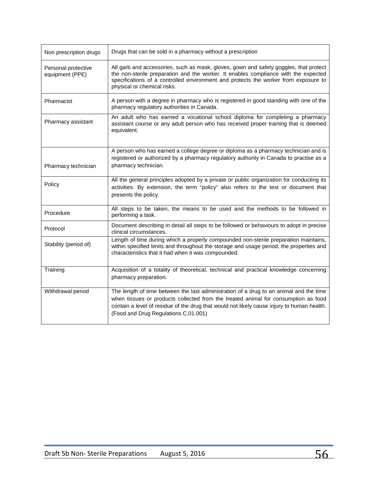| Non prescription drugs                 | Drugs that can be sold in a pharmacy without a prescription                                                                                                                                                                                                                                                        |
|----------------------------------------|--------------------------------------------------------------------------------------------------------------------------------------------------------------------------------------------------------------------------------------------------------------------------------------------------------------------|
| Personal protective<br>equipment (PPE) | All garb and accessories, such as mask, gloves, gown and safety goggles, that protect<br>the non-sterile preparation and the worker. It enables compliance with the expected<br>specifications of a controlled environment and protects the worker from exposure to<br>physical or chemical risks.                 |
| Pharmacist                             | A person with a degree in pharmacy who is registered in good standing with one of the<br>pharmacy regulatory authorities in Canada.                                                                                                                                                                                |
| Pharmacy assistant                     | An adult who has earned a vocational school diploma for completing a pharmacy<br>assistant course or any adult person who has received proper training that is deemed<br>equivalent.                                                                                                                               |
|                                        | A person who has earned a college degree or diploma as a pharmacy technician and is<br>registered or authorized by a pharmacy regulatory authority in Canada to practise as a                                                                                                                                      |
| Pharmacy technician                    | pharmacy technician.                                                                                                                                                                                                                                                                                               |
| Policy                                 | All the general principles adopted by a private or public organization for conducting its<br>activities. By extension, the term "policy" also refers to the text or document that<br>presents the policy.                                                                                                          |
| Procedure                              | All steps to be taken, the means to be used and the methods to be followed in<br>performing a task.                                                                                                                                                                                                                |
| Protocol                               | Document describing in detail all steps to be followed or behaviours to adopt in precise<br>clinical circumstances.                                                                                                                                                                                                |
| Stability (period of)                  | Length of time during which a properly compounded non-sterile preparation maintains,<br>within specified limits and throughout the storage and usage period, the properties and<br>characteristics that it had when it was compounded.                                                                             |
| Training                               | Acquisition of a totality of theoretical, technical and practical knowledge concerning<br>pharmacy preparation.                                                                                                                                                                                                    |
| Withdrawal period                      | The length of time between the last administration of a drug to an animal and the time<br>when tissues or products collected from the treated animal for consumption as food<br>contain a level of residue of the drug that would not likely cause injury to human health.<br>(Food and Drug Regulations C.01.001) |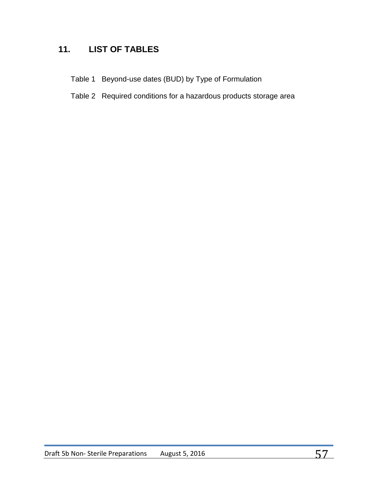# **11. LIST OF TABLES**

- Table 1 Beyond-use dates (BUD) by Type of Formulation
- Table 2 Required conditions for a hazardous products storage area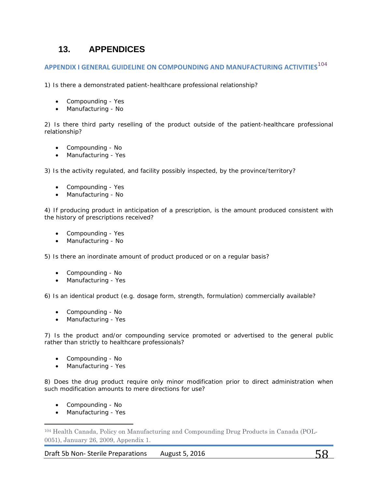# **13. APPENDICES**

# **APPENDIX I GENERAL GUIDELINE ON COMPOUNDING AND MANUFACTURING ACTIVITIES**[104](#page-57-0)

1) Is there a demonstrated patient-healthcare professional relationship?

- Compounding Yes
- Manufacturing No

2) Is there third party reselling of the product outside of the patient-healthcare professional relationship?

- Compounding No
- Manufacturing Yes

3) Is the activity regulated, and facility possibly inspected, by the province/territory?

- Compounding Yes
- Manufacturing No

4) If producing product in anticipation of a prescription, is the amount produced consistent with the history of prescriptions received?

- Compounding Yes
- Manufacturing No

5) Is there an inordinate amount of product produced or on a regular basis?

- Compounding No
- Manufacturing Yes

6) Is an identical product (e.g. dosage form, strength, formulation) commercially available?

- Compounding No
- Manufacturing Yes

7) Is the product and/or compounding service promoted or advertised to the general public rather than strictly to healthcare professionals?

- Compounding No
- Manufacturing Yes

8) Does the drug product require only minor modification prior to direct administration when such modification amounts to mere directions for use?

- Compounding No
- Manufacturing Yes

l

<span id="page-57-0"></span><sup>104</sup> Health Canada, Policy on Manufacturing and Compounding Drug Products in Canada (POL-0051), January 26, 2009, Appendix 1.

Draft 5b Non-Sterile Preparations August 5, 2016  $58$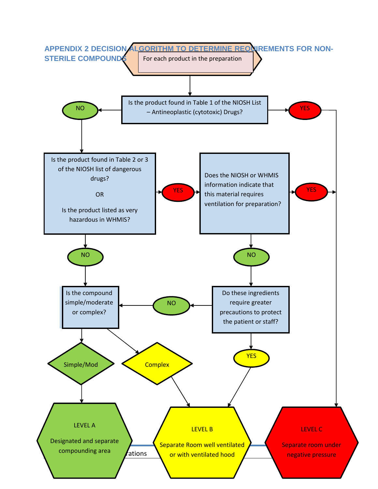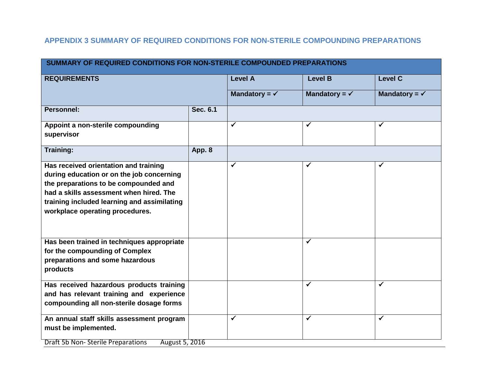# **APPENDIX 3 SUMMARY OF REQUIRED CONDITIONS FOR NON-STERILE COMPOUNDING PREPARATIONS**

|                                                                                                                                                                                                                                                          |          |                          | SUMMARY OF REQUIRED CONDITIONS FOR NON-STERILE COMPOUNDED PREPARATIONS |                          |
|----------------------------------------------------------------------------------------------------------------------------------------------------------------------------------------------------------------------------------------------------------|----------|--------------------------|------------------------------------------------------------------------|--------------------------|
| <b>REQUIREMENTS</b>                                                                                                                                                                                                                                      |          | <b>Level A</b>           | <b>Level B</b>                                                         | <b>Level C</b>           |
|                                                                                                                                                                                                                                                          |          | Mandatory = $\checkmark$ | Mandatory = $\checkmark$                                               | Mandatory = $\checkmark$ |
| Personnel:                                                                                                                                                                                                                                               | Sec. 6.1 |                          |                                                                        |                          |
| Appoint a non-sterile compounding<br>supervisor                                                                                                                                                                                                          |          | $\checkmark$             | $\checkmark$                                                           | ✓                        |
| <b>Training:</b>                                                                                                                                                                                                                                         | App. 8   |                          |                                                                        |                          |
| Has received orientation and training<br>during education or on the job concerning<br>the preparations to be compounded and<br>had a skills assessment when hired. The<br>training included learning and assimilating<br>workplace operating procedures. |          | ✓                        | ✔                                                                      |                          |
| Has been trained in techniques appropriate<br>for the compounding of Complex<br>preparations and some hazardous<br>products                                                                                                                              |          |                          | $\checkmark$                                                           |                          |
| Has received hazardous products training<br>and has relevant training and experience<br>compounding all non-sterile dosage forms                                                                                                                         |          |                          | ✓                                                                      | $\checkmark$             |
| An annual staff skills assessment program<br>must be implemented.<br><b>Draft 5b Non-Sterile Preparations</b><br>August 5, 2016                                                                                                                          |          | $\checkmark$             | $\checkmark$                                                           | ✓                        |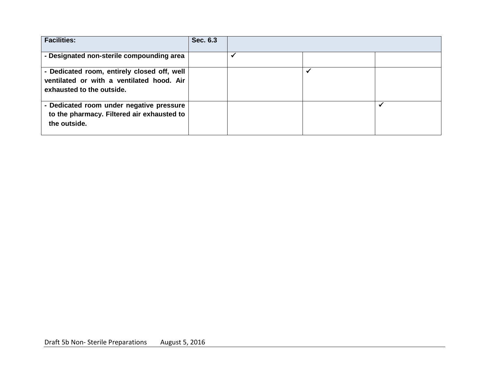| <b>Facilities:</b>                                                                                                    | Sec. 6.3 |  |  |
|-----------------------------------------------------------------------------------------------------------------------|----------|--|--|
| - Designated non-sterile compounding area                                                                             |          |  |  |
| - Dedicated room, entirely closed off, well<br>ventilated or with a ventilated hood. Air<br>exhausted to the outside. |          |  |  |
| - Dedicated room under negative pressure<br>to the pharmacy. Filtered air exhausted to<br>the outside.                |          |  |  |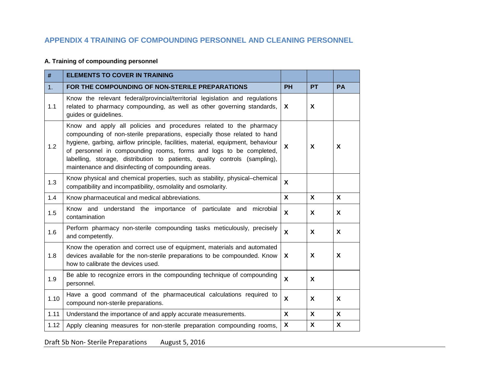# **APPENDIX 4 TRAINING OF COMPOUNDING PERSONNEL AND CLEANING PERSONNEL**

## **A. Training of compounding personnel**

| #    | <b>ELEMENTS TO COVER IN TRAINING</b>                                                                                                                                                                                                                                                                                                                                                                                                         |              |                           |              |
|------|----------------------------------------------------------------------------------------------------------------------------------------------------------------------------------------------------------------------------------------------------------------------------------------------------------------------------------------------------------------------------------------------------------------------------------------------|--------------|---------------------------|--------------|
| 1.   | FOR THE COMPOUNDING OF NON-STERILE PREPARATIONS                                                                                                                                                                                                                                                                                                                                                                                              | PH           | <b>PT</b>                 | <b>PA</b>    |
| 1.1  | Know the relevant federal/provincial/territorial legislation and regulations<br>related to pharmacy compounding, as well as other governing standards,<br>guides or guidelines.                                                                                                                                                                                                                                                              | X            | X                         |              |
| 1.2  | Know and apply all policies and procedures related to the pharmacy<br>compounding of non-sterile preparations, especially those related to hand<br>hygiene, garbing, airflow principle, facilities, material, equipment, behaviour<br>of personnel in compounding rooms, forms and logs to be completed,<br>labelling, storage, distribution to patients, quality controls (sampling),<br>maintenance and disinfecting of compounding areas. | X            | X                         | X            |
| 1.3  | Know physical and chemical properties, such as stability, physical-chemical<br>compatibility and incompatibility, osmolality and osmolarity.                                                                                                                                                                                                                                                                                                 | $\mathbf{x}$ |                           |              |
| 1.4  | Know pharmaceutical and medical abbreviations.                                                                                                                                                                                                                                                                                                                                                                                               | $\mathbf{x}$ | $\mathsf{X}$              | $\mathsf{X}$ |
| 1.5  | Know and understand the importance of particulate and microbial<br>contamination                                                                                                                                                                                                                                                                                                                                                             | X            | X                         | X            |
| 1.6  | Perform pharmacy non-sterile compounding tasks meticulously, precisely<br>and competently.                                                                                                                                                                                                                                                                                                                                                   | X            | X                         | X            |
| 1.8  | Know the operation and correct use of equipment, materials and automated<br>devices available for the non-sterile preparations to be compounded. Know<br>how to calibrate the devices used.                                                                                                                                                                                                                                                  | X            | X                         | X            |
| 1.9  | Be able to recognize errors in the compounding technique of compounding<br>personnel.                                                                                                                                                                                                                                                                                                                                                        | X            | $\boldsymbol{\mathsf{X}}$ |              |
| 1.10 | Have a good command of the pharmaceutical calculations required to<br>compound non-sterile preparations.                                                                                                                                                                                                                                                                                                                                     | X            | X                         | X            |
| 1.11 | Understand the importance of and apply accurate measurements.                                                                                                                                                                                                                                                                                                                                                                                | X            | $\mathsf{X}$              | $\mathsf{X}$ |
| 1.12 | Apply cleaning measures for non-sterile preparation compounding rooms,                                                                                                                                                                                                                                                                                                                                                                       | X            | X                         | X            |

Draft 5b Non- Sterile Preparations August 5, 2016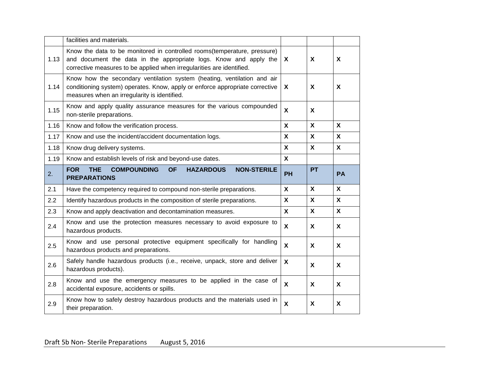|      | facilities and materials.                                                                                                                                                                                               |              |                           |              |
|------|-------------------------------------------------------------------------------------------------------------------------------------------------------------------------------------------------------------------------|--------------|---------------------------|--------------|
| 1.13 | Know the data to be monitored in controlled rooms (temperature, pressure)<br>and document the data in the appropriate logs. Know and apply the<br>corrective measures to be applied when irregularities are identified. | X            | X                         | X            |
| 1.14 | Know how the secondary ventilation system (heating, ventilation and air<br>conditioning system) operates. Know, apply or enforce appropriate corrective<br>measures when an irregularity is identified.                 | X            | X                         | X            |
| 1.15 | Know and apply quality assurance measures for the various compounded<br>non-sterile preparations.                                                                                                                       | X            | $\boldsymbol{\mathsf{X}}$ |              |
| 1.16 | Know and follow the verification process.                                                                                                                                                                               | X            | $\boldsymbol{\mathsf{X}}$ | X            |
| 1.17 | Know and use the incident/accident documentation logs.                                                                                                                                                                  | X            | $\mathsf{X}$              | X            |
| 1.18 | Know drug delivery systems.                                                                                                                                                                                             | X            | $\mathbf{x}$              | $\mathsf{X}$ |
| 1.19 | Know and establish levels of risk and beyond-use dates.                                                                                                                                                                 | $\mathsf{X}$ |                           |              |
|      | <b>FOR</b><br><b>THE</b><br><b>COMPOUNDING</b><br><b>OF</b><br><b>HAZARDOUS</b><br><b>NON-STERILE</b>                                                                                                                   |              | <b>PT</b>                 |              |
| 2.   | <b>PREPARATIONS</b>                                                                                                                                                                                                     | PH           |                           | <b>PA</b>    |
| 2.1  | Have the competency required to compound non-sterile preparations.                                                                                                                                                      | X            | $\mathsf{X}$              | $\mathsf{X}$ |
| 2.2  | Identify hazardous products in the composition of sterile preparations.                                                                                                                                                 | X            | $\mathbf{x}$              | $\mathsf{X}$ |
| 2.3  | Know and apply deactivation and decontamination measures.                                                                                                                                                               | $\mathbf{x}$ | $\mathsf{x}$              | $\mathsf{X}$ |
| 2.4  | Know and use the protection measures necessary to avoid exposure to<br>hazardous products.                                                                                                                              | X            | X                         | X            |
| 2.5  | Know and use personal protective equipment specifically for handling<br>hazardous products and preparations.                                                                                                            | X            | X                         | X            |
| 2.6  | Safely handle hazardous products (i.e., receive, unpack, store and deliver<br>hazardous products).                                                                                                                      | X            | $\boldsymbol{\mathsf{X}}$ | X            |
| 2.8  | Know and use the emergency measures to be applied in the case of<br>accidental exposure, accidents or spills.                                                                                                           | X            | $\boldsymbol{\mathsf{X}}$ | X            |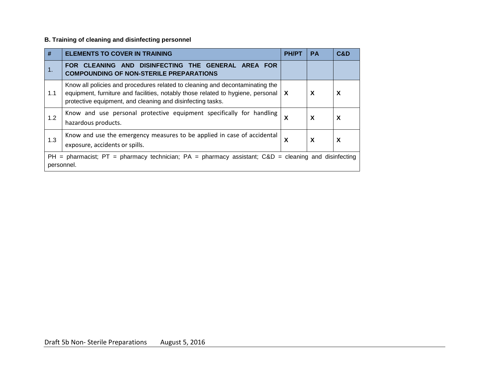## **B. Training of cleaning and disinfecting personnel**

| #          | <b>ELEMENTS TO COVER IN TRAINING</b>                                                                                                                                                                                          | <b>PH/PT</b> | <b>PA</b> | C&D                       |
|------------|-------------------------------------------------------------------------------------------------------------------------------------------------------------------------------------------------------------------------------|--------------|-----------|---------------------------|
| 1.         | CLEANING AND DISINFECTING THE GENERAL AREA FOR<br><b>FOR</b><br><b>COMPOUNDING OF NON-STERILE PREPARATIONS</b>                                                                                                                |              |           |                           |
| 1.1        | Know all policies and procedures related to cleaning and decontaminating the<br>equipment, furniture and facilities, notably those related to hygiene, personal<br>protective equipment, and cleaning and disinfecting tasks. | X            | X         | X                         |
| 1.2        | Know and use personal protective equipment specifically for handling<br>hazardous products.                                                                                                                                   | X            | X         | $\boldsymbol{\mathsf{X}}$ |
| 1.3        | Know and use the emergency measures to be applied in case of accidental<br>exposure, accidents or spills.                                                                                                                     | X            | X         | X                         |
| personnel. | $PH =$ pharmacist; PT = pharmacy technician; PA = pharmacy assistant; C&D = cleaning and disinfecting                                                                                                                         |              |           |                           |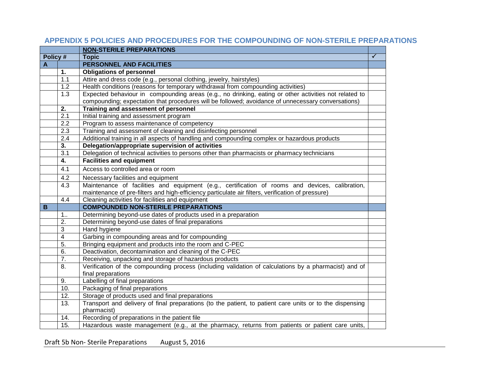|          |                         | <b>NON-STERILE PREPARATIONS</b>                                                                                                                                                                             |   |
|----------|-------------------------|-------------------------------------------------------------------------------------------------------------------------------------------------------------------------------------------------------------|---|
| Policy # |                         | <b>Topic</b>                                                                                                                                                                                                | ✓ |
| A        |                         | <b>PERSONNEL AND FACILITIES</b>                                                                                                                                                                             |   |
|          | 1.                      | <b>Obligations of personnel</b>                                                                                                                                                                             |   |
|          | 1.1                     | Attire and dress code (e.g., personal clothing, jewelry, hairstyles)                                                                                                                                        |   |
|          | 1.2                     | Health conditions (reasons for temporary withdrawal from compounding activities)                                                                                                                            |   |
|          | 1.3                     | Expected behaviour in compounding areas (e.g., no drinking, eating or other activities not related to<br>compounding; expectation that procedures will be followed; avoidance of unnecessary conversations) |   |
|          | 2.                      | Training and assessment of personnel                                                                                                                                                                        |   |
|          | 2.1                     | Initial training and assessment program                                                                                                                                                                     |   |
|          | 2.2                     | Program to assess maintenance of competency                                                                                                                                                                 |   |
|          | 2.3                     | Training and assessment of cleaning and disinfecting personnel                                                                                                                                              |   |
|          | 2.4                     | Additional training in all aspects of handling and compounding complex or hazardous products                                                                                                                |   |
|          | 3.                      | Delegation/appropriate supervision of activities                                                                                                                                                            |   |
|          | 3.1                     | Delegation of technical activities to persons other than pharmacists or pharmacy technicians                                                                                                                |   |
|          | 4.                      | <b>Facilities and equipment</b>                                                                                                                                                                             |   |
|          | 4.1                     | Access to controlled area or room                                                                                                                                                                           |   |
|          | 4.2                     | Necessary facilities and equipment                                                                                                                                                                          |   |
|          | 4.3                     | Maintenance of facilities and equipment (e.g., certification of rooms and devices, calibration,                                                                                                             |   |
|          |                         | maintenance of pre-filters and high-efficiency particulate air filters, verification of pressure)                                                                                                           |   |
|          | 4.4                     | Cleaning activities for facilities and equipment                                                                                                                                                            |   |
| B        |                         | <b>COMPOUNDED NON-STERILE PREPARATIONS</b>                                                                                                                                                                  |   |
|          | 1.5                     | Determining beyond-use dates of products used in a preparation                                                                                                                                              |   |
|          | 2.                      | Determining beyond-use dates of final preparations                                                                                                                                                          |   |
|          | 3                       | Hand hygiene                                                                                                                                                                                                |   |
|          | $\overline{\mathbf{4}}$ | Garbing in compounding areas and for compounding                                                                                                                                                            |   |
|          | 5.                      | Bringing equipment and products into the room and C-PEC                                                                                                                                                     |   |
|          | 6.                      | Deactivation, decontamination and cleaning of the C-PEC                                                                                                                                                     |   |
|          | $\overline{7}$ .        | Receiving, unpacking and storage of hazardous products                                                                                                                                                      |   |
|          | 8.                      | Verification of the compounding process (including validation of calculations by a pharmacist) and of<br>final preparations                                                                                 |   |
|          | 9.                      | Labelling of final preparations                                                                                                                                                                             |   |
|          | 10.                     | Packaging of final preparations                                                                                                                                                                             |   |
|          | 12.                     | Storage of products used and final preparations                                                                                                                                                             |   |
|          | 13.                     | Transport and delivery of final preparations (to the patient, to patient care units or to the dispensing<br>pharmacist)                                                                                     |   |
|          | 14.                     | Recording of preparations in the patient file                                                                                                                                                               |   |
|          | 15.                     | Hazardous waste management (e.g., at the pharmacy, returns from patients or patient care units,                                                                                                             |   |

# **APPENDIX 5 POLICIES AND PROCEDURES FOR THE COMPOUNDING OF NON-STERILE PREPARATIONS**

Draft 5b Non- Sterile Preparations August 5, 2016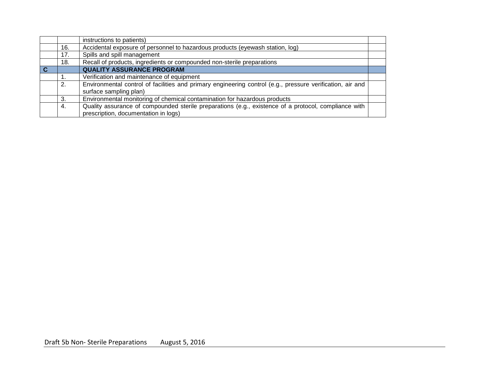|     | instructions to patients)                                                                                                                    |  |
|-----|----------------------------------------------------------------------------------------------------------------------------------------------|--|
| 16. | Accidental exposure of personnel to hazardous products (eyewash station, log)                                                                |  |
| 17. | Spills and spill management                                                                                                                  |  |
| 18. | Recall of products, ingredients or compounded non-sterile preparations                                                                       |  |
|     | <b>QUALITY ASSURANCE PROGRAM</b>                                                                                                             |  |
| 1.  | Verification and maintenance of equipment                                                                                                    |  |
| 2.  | Environmental control of facilities and primary engineering control (e.g., pressure verification, air and<br>surface sampling plan)          |  |
| 3.  | Environmental monitoring of chemical contamination for hazardous products                                                                    |  |
| -4. | Quality assurance of compounded sterile preparations (e.g., existence of a protocol, compliance with<br>prescription, documentation in logs) |  |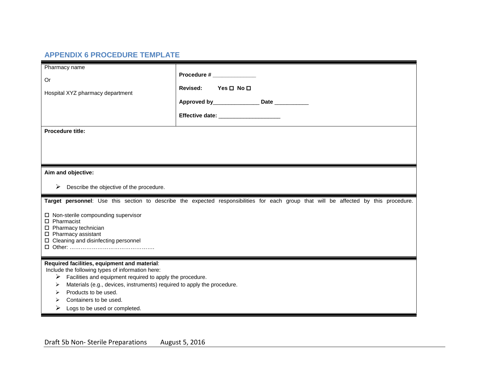# **APPENDIX 6 PROCEDURE TEMPLATE**

| Pharmacy name<br>Or<br>Hospital XYZ pharmacy department<br><b>Procedure title:</b>                                                                                  | Procedure # ____________<br>Yes □ No □<br><b>Revised:</b><br>Approved by_________________________ Date ______________<br>Effective date: ______________________ |
|---------------------------------------------------------------------------------------------------------------------------------------------------------------------|-----------------------------------------------------------------------------------------------------------------------------------------------------------------|
|                                                                                                                                                                     |                                                                                                                                                                 |
| Aim and objective:                                                                                                                                                  |                                                                                                                                                                 |
| Describe the objective of the procedure.<br>➤                                                                                                                       |                                                                                                                                                                 |
|                                                                                                                                                                     |                                                                                                                                                                 |
|                                                                                                                                                                     | Target personnel: Use this section to describe the expected responsibilities for each group that will be affected by this procedure.                            |
| □ Non-sterile compounding supervisor<br>$\Box$ Pharmacist<br>$\square$ Pharmacy technician<br>$\square$ Pharmacy assistant<br>□ Cleaning and disinfecting personnel |                                                                                                                                                                 |
| Required facilities, equipment and material:<br>Include the following types of information here:                                                                    |                                                                                                                                                                 |
| Facilities and equipment required to apply the procedure.<br>➤                                                                                                      |                                                                                                                                                                 |
| Materials (e.g., devices, instruments) required to apply the procedure.<br>➤<br>Products to be used.<br>⋗                                                           |                                                                                                                                                                 |
| Containers to be used.<br>⋗<br>Logs to be used or completed.<br>➤                                                                                                   |                                                                                                                                                                 |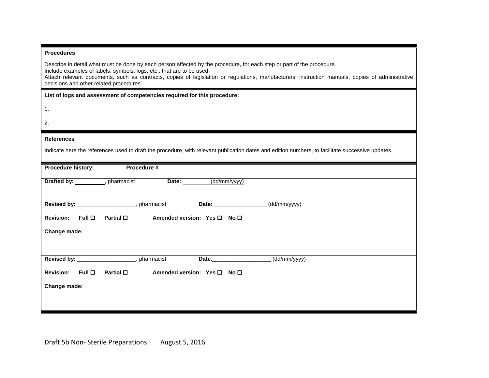| <b>Procedures</b> |  |
|-------------------|--|
|-------------------|--|

Describe in detail what must be done by each person affected by the procedure, for each step or part of the procedure. Include examples of labels, symbols, logs, etc., that are to be used.

Attach relevant documents, such as contracts, copies of legislation or regulations, manufacturers' instruction manuals, copies of administrative decisions and other related procedures.

| ٦<br>٠ |  |  |
|--------|--|--|
|        |  |  |
|        |  |  |

2.

#### **References**

Indicate here the references used to draft the procedure, with relevant publication dates and edition numbers, to facilitate successive updates.

| Procedure history: |                                                | Procedure # ___________     |                    |                           |  |
|--------------------|------------------------------------------------|-----------------------------|--------------------|---------------------------|--|
|                    | Drafted by: ___________, pharmacist            | Date: _______               | (dd/mm/yyyy)       |                           |  |
|                    | Revised by: ______________________, pharmacist |                             |                    | (dd/mm/yyyy)              |  |
| Revision: Full O   | Partial $\square$                              | Amended version: Yes □ No □ |                    |                           |  |
| Change made:       |                                                |                             |                    |                           |  |
|                    | Revised by: ______________________, pharmacist |                             | Date: <b>Date:</b> | $\overline{(dd/mm/yyyy)}$ |  |
| Revision: $Full$   | Partial <b>□</b>                               | Amended version: Yes □ No □ |                    |                           |  |
| Change made:       |                                                |                             |                    |                           |  |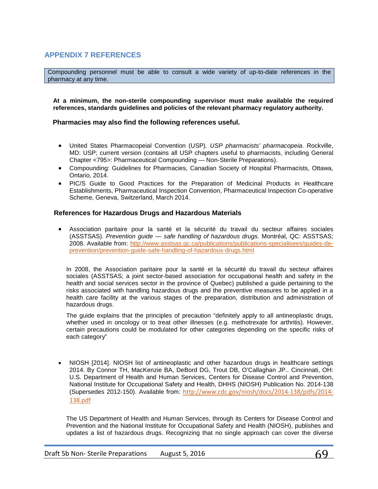# <span id="page-68-0"></span>**APPENDIX 7 REFERENCES**

Compounding personnel must be able to consult a wide variety of up-to-date references in the pharmacy at any time.

**At a minimum, the non-sterile compounding supervisor must make available the required references, standards guidelines and policies of the relevant pharmacy regulatory authority.**

#### **Pharmacies may also find the following references useful.**

- United States Pharmacopeial Convention (USP). *USP pharmacists' pharmacopeia.* Rockville, MD: USP; current version (contains all USP chapters useful to pharmacists, including General Chapter <795>: Pharmaceutical Compounding — Non-Sterile Preparations).
- Compounding: Guidelines for Pharmacies, Canadian Society of Hospital Pharmacists, Ottawa, Ontario, 2014.
- PIC/S Guide to Good Practices for the Preparation of Medicinal Products in Healthcare Establishments, Pharmaceutical Inspection Convention, Pharmaceutical Inspection Co-operative Scheme, Geneva, Switzerland, March 2014.

#### **References for Hazardous Drugs and Hazardous Materials**

• Association paritaire pour la santé et la sécurité du travail du secteur affaires sociales (ASSTSAS). *Prevention guide — safe handling of hazardous drugs.* Montréal, QC: ASSTSAS; 2008. Available from: [http://www.asstsas.qc.ca/publications/publications-specialisees/guides-de](http://www.asstsas.qc.ca/publications/publications-specialisees/guides-de-prevention/prevention-guide-safe-handling-of-hazardous-drugs.html)[prevention/prevention-guide-safe-handling-of-hazardous-drugs.html](http://www.asstsas.qc.ca/publications/publications-specialisees/guides-de-prevention/prevention-guide-safe-handling-of-hazardous-drugs.html)

In 2008, the Association paritaire pour la santé et la sécurité du travail du secteur affaires sociales (ASSTSAS; a joint sector-based association for occupational health and safety in the health and social services sector in the province of Quebec) published a guide pertaining to the risks associated with handling hazardous drugs and the preventive measures to be applied in a health care facility at the various stages of the preparation, distribution and administration of hazardous drugs.

The guide explains that the principles of precaution "definitely apply to all antineoplastic drugs, whether used in oncology or to treat other illnesses (e.g. methotrexate for arthritis). However, certain precautions could be modulated for other categories depending on the specific risks of each category"

• NIOSH [2014]. NIOSH list of antineoplastic and other hazardous drugs in healthcare settings 2014. By Connor TH, MacKenzie BA, DeBord DG, Trout DB, O'Callaghan JP.. Cincinnati, OH: U.S. Department of Health and Human Services, Centers for Disease Control and Prevention, National Institute for Occupational Safety and Health, DHHS (NIOSH) Publication No. 2014-138 (Supersedes 2012-150). Available from: [http://www.cdc.gov/niosh/docs/2014-138/pdfs/2014-](http://www.cdc.gov/niosh/docs/2014-138/pdfs/2014-138.pdf) [138.pdf](http://www.cdc.gov/niosh/docs/2014-138/pdfs/2014-138.pdf)

The US Department of Health and Human Services, through its Centers for Disease Control and Prevention and the National Institute for Occupational Safety and Health (NIOSH), publishes and updates a list of hazardous drugs. Recognizing that no single approach can cover the diverse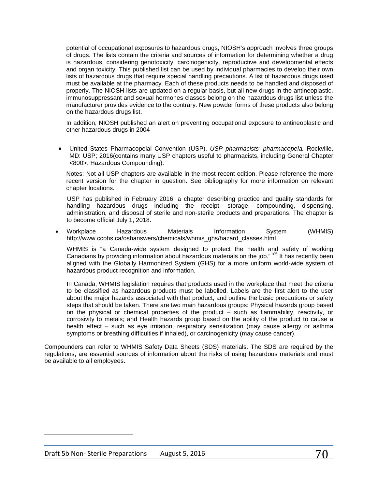potential of occupational exposures to hazardous drugs, NIOSH's approach involves three groups of drugs. The lists contain the criteria and sources of information for determining whether a drug is hazardous, considering genotoxicity, carcinogenicity, reproductive and developmental effects and organ toxicity. This published list can be used by individual pharmacies to develop their own lists of hazardous drugs that require special handling precautions. A list of hazardous drugs used must be available at the pharmacy. Each of these products needs to be handled and disposed of properly. The NIOSH lists are updated on a regular basis, but all new drugs in the antineoplastic, immunosuppressant and sexual hormones classes belong on the hazardous drugs list unless the manufacturer provides evidence to the contrary. New powder forms of these products also belong on the hazardous drugs list.

In addition, NIOSH published an alert on preventing occupational exposure to antineoplastic and other hazardous drugs in 2004

• United States Pharmacopeial Convention (USP). *USP pharmacists' pharmacopeia.* Rockville, MD: USP; 2016(contains many USP chapters useful to pharmacists, including General Chapter <800>: Hazardous Compounding).

Notes: Not all USP chapters are available in the most recent edition. Please reference the more recent version for the chapter in question. See bibliography for more information on relevant chapter locations.

USP has published in February 2016, a chapter describing practice and quality standards for handling hazardous drugs including the receipt, storage, compounding, dispensing, administration, and disposal of sterile and non-sterile products and preparations. The chapter is to become official July 1, 2018.

• Workplace Hazardous Materials Information System (WHMIS) http://www.ccohs.ca/oshanswers/chemicals/whmis\_ghs/hazard\_classes.html

WHMIS is "a Canada-wide system designed to protect the health and safety of working Canadians by providing information about hazardous materials on the job."<sup>[105](#page-69-0)</sup> It has recently been aligned with the Globally Harmonized System (GHS) for a more uniform world-wide system of hazardous product recognition and information.

In Canada, WHMIS legislation requires that products used in the workplace that meet the criteria to be classified as hazardous products must be labelled. Labels are the first alert to the user about the major hazards associated with that product, and outline the basic precautions or safety steps that should be taken. There are two main hazardous groups: Physical hazards group based on the physical or chemical properties of the product – such as flammability, reactivity, or corrosivity to metals; and Health hazards group based on the ability of the product to cause a health effect – such as eye irritation, respiratory sensitization (may cause allergy or asthma symptoms or breathing difficulties if inhaled), or carcinogenicity (may cause cancer).

Compounders can refer to WHMIS Safety Data Sheets (SDS) materials. The SDS are required by the regulations, are essential sources of information about the risks of using hazardous materials and must be available to all employees.

<span id="page-69-0"></span> $\overline{\phantom{a}}$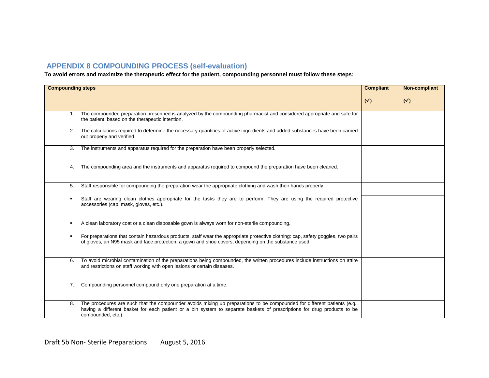# **APPENDIX 8 COMPOUNDING PROCESS (self-evaluation)**

**To avoid errors and maximize the therapeutic effect for the patient, compounding personnel must follow these steps:**

| <b>Compounding steps</b> | <b>Compliant</b>                                                                                                                                                                                                                                                          | Non-compliant  |                |
|--------------------------|---------------------------------------------------------------------------------------------------------------------------------------------------------------------------------------------------------------------------------------------------------------------------|----------------|----------------|
|                          |                                                                                                                                                                                                                                                                           | $(\checkmark)$ | $(\checkmark)$ |
| 1.                       | The compounded preparation prescribed is analyzed by the compounding pharmacist and considered appropriate and safe for<br>the patient, based on the therapeutic intention.                                                                                               |                |                |
| 2.                       | The calculations required to determine the necessary quantities of active ingredients and added substances have been carried<br>out properly and verified.                                                                                                                |                |                |
| 3.                       | The instruments and apparatus required for the preparation have been properly selected.                                                                                                                                                                                   |                |                |
| 4.                       | The compounding area and the instruments and apparatus required to compound the preparation have been cleaned.                                                                                                                                                            |                |                |
| 5.                       | Staff responsible for compounding the preparation wear the appropriate clothing and wash their hands properly.                                                                                                                                                            |                |                |
|                          | Staff are wearing clean clothes appropriate for the tasks they are to perform. They are using the required protective<br>accessories (cap, mask, gloves, etc.).                                                                                                           |                |                |
|                          | A clean laboratory coat or a clean disposable gown is always worn for non-sterile compounding.                                                                                                                                                                            |                |                |
|                          | For preparations that contain hazardous products, staff wear the appropriate protective clothing: cap, safety goggles, two pairs<br>of gloves, an N95 mask and face protection, a gown and shoe covers, depending on the substance used.                                  |                |                |
| 6.                       | To avoid microbial contamination of the preparations being compounded, the written procedures include instructions on attire<br>and restrictions on staff working with open lesions or certain diseases.                                                                  |                |                |
| 7 <sub>1</sub>           | Compounding personnel compound only one preparation at a time.                                                                                                                                                                                                            |                |                |
| 8.                       | The procedures are such that the compounder avoids mixing up preparations to be compounded for different patients (e.g.,<br>having a different basket for each patient or a bin system to separate baskets of prescriptions for drug products to be<br>compounded, etc.). |                |                |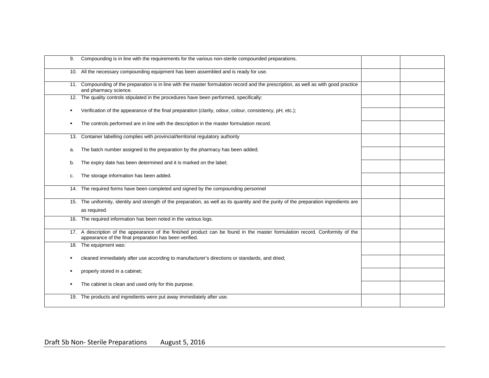| 9. | Compounding is in line with the requirements for the various non-sterile compounded preparations.                                                                                      |  |
|----|----------------------------------------------------------------------------------------------------------------------------------------------------------------------------------------|--|
|    | 10. All the necessary compounding equipment has been assembled and is ready for use.                                                                                                   |  |
|    | 11. Compounding of the preparation is in line with the master formulation record and the prescription, as well as with good practice<br>and pharmacy science.                          |  |
|    | 12. The quality controls stipulated in the procedures have been performed, specifically:                                                                                               |  |
|    | Verification of the appearance of the final preparation (clarity, odour, colour, consistency, pH, etc.);                                                                               |  |
|    | The controls performed are in line with the description in the master formulation record.                                                                                              |  |
|    | 13. Container labelling complies with provincial/territorial regulatory authority                                                                                                      |  |
| a. | The batch number assigned to the preparation by the pharmacy has been added;                                                                                                           |  |
| b. | The expiry date has been determined and it is marked on the label;                                                                                                                     |  |
| c. | The storage information has been added.                                                                                                                                                |  |
|    | 14. The required forms have been completed and signed by the compounding personnel                                                                                                     |  |
|    | 15. The uniformity, identity and strength of the preparation, as well as its quantity and the purity of the preparation ingredients are                                                |  |
|    | as required.                                                                                                                                                                           |  |
|    | 16. The required information has been noted in the various logs.                                                                                                                       |  |
|    | 17. A description of the appearance of the finished product can be found in the master formulation record. Conformity of the<br>appearance of the final preparation has been verified. |  |
|    | 18. The equipment was:                                                                                                                                                                 |  |
|    | cleaned immediately after use according to manufacturer's directions or standards, and dried;                                                                                          |  |
|    | properly stored in a cabinet;                                                                                                                                                          |  |
|    | The cabinet is clean and used only for this purpose.                                                                                                                                   |  |
|    | 19. The products and ingredients were put away immediately after use.                                                                                                                  |  |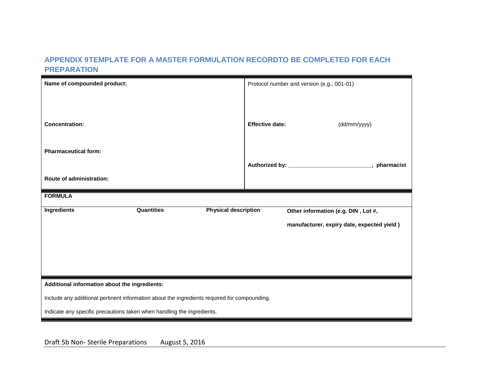### **APPENDIX 9TEMPLATE FOR A MASTER FORMULATION RECORDTO BE COMPLETED FOR EACH PREPARATION**

| Name of compounded product:                                                                  | Protocol number and version (e.g., 001-01)                   |  |
|----------------------------------------------------------------------------------------------|--------------------------------------------------------------|--|
|                                                                                              |                                                              |  |
| <b>Concentration:</b>                                                                        | <b>Effective date:</b><br>(dd/mm/yyyy)                       |  |
| <b>Pharmaceutical form:</b>                                                                  |                                                              |  |
|                                                                                              | Authorized by: _________________________________, pharmacist |  |
| <b>Route of administration:</b>                                                              |                                                              |  |
| <b>FORMULA</b>                                                                               |                                                              |  |
| <b>Quantities</b><br><b>Physical description</b><br><b>Ingredients</b>                       | Other information (e.g. DIN, Lot #,                          |  |
|                                                                                              | manufacturer, expiry date, expected yield)                   |  |
|                                                                                              |                                                              |  |
|                                                                                              |                                                              |  |
|                                                                                              |                                                              |  |
| Additional information about the ingredients:                                                |                                                              |  |
| Include any additional pertinent information about the ingredients required for compounding. |                                                              |  |
| Indicate any specific precautions taken when handling the ingredients.                       |                                                              |  |

Draft 5b Non- Sterile Preparations August 5, 2016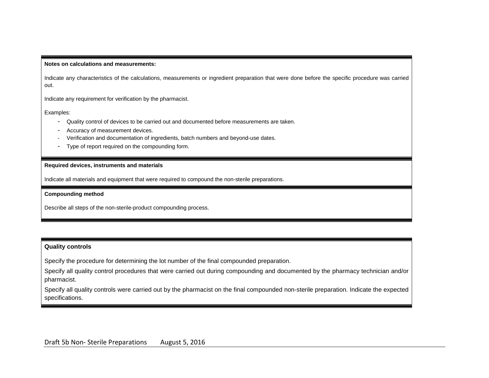#### **Notes on calculations and measurements:**

Indicate any characteristics of the calculations, measurements or ingredient preparation that were done before the specific procedure was carried out.

Indicate any requirement for verification by the pharmacist.

Examples:

- Quality control of devices to be carried out and documented before measurements are taken.
- Accuracy of measurement devices.
- Verification and documentation of ingredients, batch numbers and beyond-use dates.
- Type of report required on the compounding form.

#### **Required devices, instruments and materials**

Indicate all materials and equipment that were required to compound the non-sterile preparations.

#### **Compounding method**

Describe all steps of the non-sterile-product compounding process.

#### **Quality controls**

Specify the procedure for determining the lot number of the final compounded preparation.

Specify all quality control procedures that were carried out during compounding and documented by the pharmacy technician and/or pharmacist.

Specify all quality controls were carried out by the pharmacist on the final compounded non-sterile preparation. Indicate the expected specifications.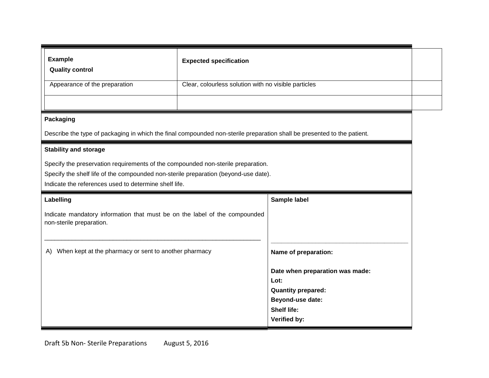| <b>Example</b><br><b>Quality control</b>                                                                                                                                                                                         | <b>Expected specification</b>                        |                                        |
|----------------------------------------------------------------------------------------------------------------------------------------------------------------------------------------------------------------------------------|------------------------------------------------------|----------------------------------------|
| Appearance of the preparation                                                                                                                                                                                                    | Clear, colourless solution with no visible particles |                                        |
|                                                                                                                                                                                                                                  |                                                      |                                        |
| <b>Packaging</b>                                                                                                                                                                                                                 |                                                      |                                        |
| Describe the type of packaging in which the final compounded non-sterile preparation shall be presented to the patient.                                                                                                          |                                                      |                                        |
| <b>Stability and storage</b>                                                                                                                                                                                                     |                                                      |                                        |
| Specify the preservation requirements of the compounded non-sterile preparation.<br>Specify the shelf life of the compounded non-sterile preparation (beyond-use date).<br>Indicate the references used to determine shelf life. |                                                      |                                        |
| Sample label<br>Labelling                                                                                                                                                                                                        |                                                      |                                        |
| Indicate mandatory information that must be on the label of the compounded<br>non-sterile preparation.                                                                                                                           |                                                      |                                        |
| When kept at the pharmacy or sent to another pharmacy<br>A)                                                                                                                                                                      |                                                      | Name of preparation:                   |
|                                                                                                                                                                                                                                  |                                                      |                                        |
|                                                                                                                                                                                                                                  |                                                      | Date when preparation was made:        |
|                                                                                                                                                                                                                                  |                                                      | Lot:                                   |
|                                                                                                                                                                                                                                  |                                                      | <b>Quantity prepared:</b>              |
|                                                                                                                                                                                                                                  |                                                      | Beyond-use date:<br><b>Shelf life:</b> |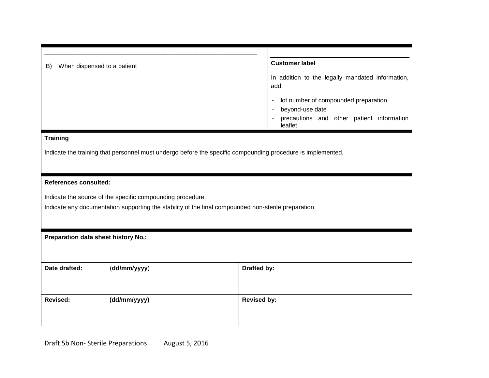| When dispensed to a patient<br>B)                                                                           | <b>Customer label</b>                                    |
|-------------------------------------------------------------------------------------------------------------|----------------------------------------------------------|
|                                                                                                             | In addition to the legally mandated information,<br>add: |
|                                                                                                             | lot number of compounded preparation                     |
|                                                                                                             | beyond-use date                                          |
|                                                                                                             | precautions and other patient information<br>leaflet     |
| <b>Training</b>                                                                                             |                                                          |
| Indicate the training that personnel must undergo before the specific compounding procedure is implemented. |                                                          |
|                                                                                                             |                                                          |
| <b>References consulted:</b>                                                                                |                                                          |
| Indicate the source of the specific compounding procedure.                                                  |                                                          |
| Indicate any documentation supporting the stability of the final compounded non-sterile preparation.        |                                                          |
|                                                                                                             |                                                          |
| Preparation data sheet history No.:                                                                         |                                                          |
|                                                                                                             |                                                          |
|                                                                                                             |                                                          |
| Date drafted:<br>(dd/mm/yyyy)                                                                               | Drafted by:                                              |
|                                                                                                             |                                                          |
| (dd/mm/yyyy)<br><b>Revised:</b>                                                                             | <b>Revised by:</b>                                       |
|                                                                                                             |                                                          |
|                                                                                                             |                                                          |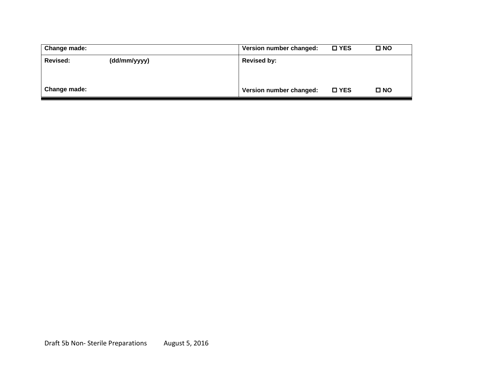| Change made:    |              | Version number changed: | $\square$ YES | <b>□ NO</b>  |
|-----------------|--------------|-------------------------|---------------|--------------|
| <b>Revised:</b> | (dd/mm/yyyy) | <b>Revised by:</b>      |               |              |
|                 |              |                         |               |              |
|                 |              |                         |               |              |
| Change made:    |              | Version number changed: | <b>□ YES</b>  | $\square$ NO |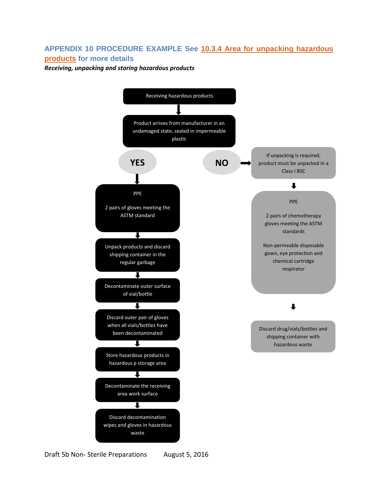### **APPENDIX 10 PROCEDURE EXAMPLE See [10.3.4 Area for unpacking hazardous](#page-40-0)  [products](#page-40-0) for more details**

*Receiving, unpacking and storing hazardous products*

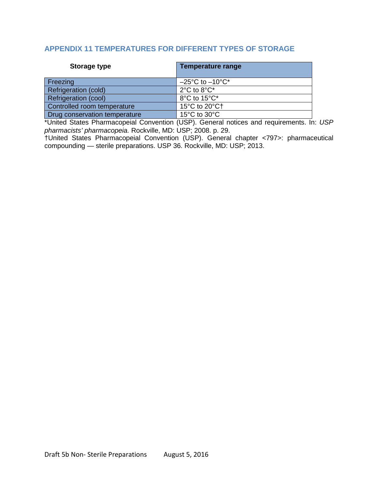### **APPENDIX 11 TEMPERATURES FOR DIFFERENT TYPES OF STORAGE**

| Storage type                  | <b>Temperature range</b>            |
|-------------------------------|-------------------------------------|
| Freezing                      | $-25^{\circ}$ C to $-10^{\circ}$ C* |
| Refrigeration (cold)          | $2^{\circ}$ C to $8^{\circ}$ C*     |
| <b>Refrigeration (cool)</b>   | 8°C to 15°C*                        |
| Controlled room temperature   | 15°C to 20°C+                       |
| Drug conservation temperature | 15 $\degree$ C to 30 $\degree$ C    |

\*United States Pharmacopeial Convention (USP). General notices and requirements. In: *USP pharmacists' pharmacopeia.* Rockville, MD: USP; 2008. p. 29.

†United States Pharmacopeial Convention (USP). General chapter <797>: pharmaceutical compounding — sterile preparations. USP 36. Rockville, MD: USP; 2013.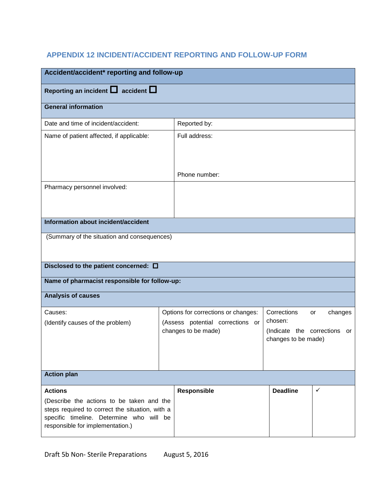# **APPENDIX 12 INCIDENT/ACCIDENT REPORTING AND FOLLOW-UP FORM**

| Accident/accident* reporting and follow-up                                                                                                                                                     |                                                                                                |               |                                                                               |               |
|------------------------------------------------------------------------------------------------------------------------------------------------------------------------------------------------|------------------------------------------------------------------------------------------------|---------------|-------------------------------------------------------------------------------|---------------|
| Reporting an incident $\Box$ accident $\Box$                                                                                                                                                   |                                                                                                |               |                                                                               |               |
| <b>General information</b>                                                                                                                                                                     |                                                                                                |               |                                                                               |               |
| Date and time of incident/accident:                                                                                                                                                            |                                                                                                | Reported by:  |                                                                               |               |
| Name of patient affected, if applicable:                                                                                                                                                       |                                                                                                | Full address: |                                                                               |               |
|                                                                                                                                                                                                |                                                                                                | Phone number: |                                                                               |               |
| Pharmacy personnel involved:                                                                                                                                                                   |                                                                                                |               |                                                                               |               |
| Information about incident/accident                                                                                                                                                            |                                                                                                |               |                                                                               |               |
| (Summary of the situation and consequences)                                                                                                                                                    |                                                                                                |               |                                                                               |               |
| Disclosed to the patient concerned: $\square$                                                                                                                                                  |                                                                                                |               |                                                                               |               |
| Name of pharmacist responsible for follow-up:                                                                                                                                                  |                                                                                                |               |                                                                               |               |
| <b>Analysis of causes</b>                                                                                                                                                                      |                                                                                                |               |                                                                               |               |
| Causes:<br>(Identify causes of the problem)                                                                                                                                                    | Options for corrections or changes:<br>(Assess potential corrections or<br>changes to be made) |               | Corrections<br>chosen:<br>(Indicate the corrections or<br>changes to be made) | changes<br>or |
| <b>Action plan</b>                                                                                                                                                                             |                                                                                                |               |                                                                               |               |
| <b>Actions</b><br>(Describe the actions to be taken and the<br>steps required to correct the situation, with a<br>specific timeline. Determine who will be<br>responsible for implementation.) |                                                                                                | Responsible   | <b>Deadline</b>                                                               | $\checkmark$  |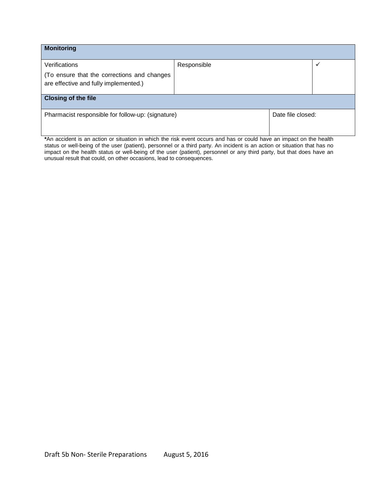| <b>Monitoring</b>                                                                    |             |                   |   |
|--------------------------------------------------------------------------------------|-------------|-------------------|---|
| Verifications                                                                        | Responsible |                   | ✔ |
| (To ensure that the corrections and changes<br>are effective and fully implemented.) |             |                   |   |
| <b>Closing of the file</b>                                                           |             |                   |   |
| Pharmacist responsible for follow-up: (signature)                                    |             | Date file closed: |   |

**\***An accident is an action or situation in which the risk event occurs and has or could have an impact on the health status or well-being of the user (patient), personnel or a third party. An incident is an action or situation that has no impact on the health status or well-being of the user (patient), personnel or any third party, but that does have an unusual result that could, on other occasions, lead to consequences.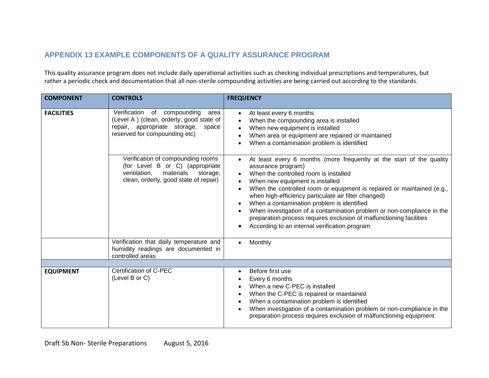## **APPENDIX 13 EXAMPLE COMPONENTS OF A QUALITY ASSURANCE PROGRAM**

This quality assurance program does not include daily operational activities such as checking individual prescriptions and temperatures, but rather a periodic check and documentation that all non-sterile compounding activities are being carried out according to the standards.

| <b>COMPONENT</b>  | <b>CONTROLS</b>                                                                                                                                           | <b>FREQUENCY</b>                                                                                                                                                                                                                                                                                                                                                                                                                                                                                                                                                      |
|-------------------|-----------------------------------------------------------------------------------------------------------------------------------------------------------|-----------------------------------------------------------------------------------------------------------------------------------------------------------------------------------------------------------------------------------------------------------------------------------------------------------------------------------------------------------------------------------------------------------------------------------------------------------------------------------------------------------------------------------------------------------------------|
| <b>FACILITIES</b> | Verification of compounding<br>area<br>(Level A) (clean, orderly, good state of<br>repair, appropriate storage,<br>space<br>reserved for compounding etc) | At least every 6 months<br>$\bullet$<br>When the compounding area is installed<br>When new equipment is installed<br>When area or equipment are repaired or maintained<br>When a contamination problem is identified                                                                                                                                                                                                                                                                                                                                                  |
|                   | Verification of compounding rooms<br>(for Level B or C) (appropriate<br>ventilation,<br>materials<br>storage,<br>clean, orderly, good state of repair)    | At least every 6 months (more frequently at the start of the quality<br>$\bullet$<br>assurance program)<br>When the controlled room is installed<br>When new equipment is installed<br>When the controlled room or equipment is repaired or maintained (e.g.,<br>when high-efficiency particulate air filter changed)<br>When a contamination problem is identified<br>When investigation of a contamination problem or non-compliance in the<br>preparation process requires exclusion of malfunctioning facilities<br>According to an internal verification program |
|                   | Verification that daily temperature and<br>humidity readings are documented in<br>controlled areas                                                        | Monthly                                                                                                                                                                                                                                                                                                                                                                                                                                                                                                                                                               |
|                   |                                                                                                                                                           |                                                                                                                                                                                                                                                                                                                                                                                                                                                                                                                                                                       |
| <b>EQUIPMENT</b>  | Certification of C-PEC<br>(Level B or C)                                                                                                                  | Before first use<br>Every 6 months<br>When a new C-PEC is installed<br>When the C-PEC is repaired or maintained<br>When a contamination problem is identified<br>When investigation of a contamination problem or non-compliance in the<br>preparation process requires exclusion of malfunctioning equipment                                                                                                                                                                                                                                                         |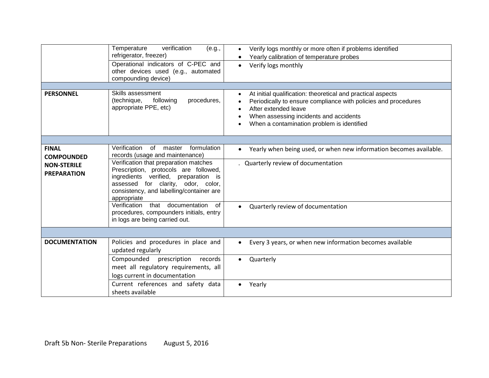| <b>PERSONNEL</b>                                                              | verification<br>Temperature<br>(e.g.,<br>refrigerator, freezer)<br>Operational indicators of C-PEC and<br>other devices used (e.g., automated<br>compounding device)<br>Skills assessment<br>(technique,<br>following<br>procedures,<br>appropriate PPE, etc)                                                                                                                                                                      | Verify logs monthly or more often if problems identified<br>Yearly calibration of temperature probes<br>Verify logs monthly<br>$\bullet$<br>At initial qualification: theoretical and practical aspects<br>$\bullet$<br>Periodically to ensure compliance with policies and procedures<br>After extended leave<br>When assessing incidents and accidents<br>When a contamination problem is identified |
|-------------------------------------------------------------------------------|------------------------------------------------------------------------------------------------------------------------------------------------------------------------------------------------------------------------------------------------------------------------------------------------------------------------------------------------------------------------------------------------------------------------------------|--------------------------------------------------------------------------------------------------------------------------------------------------------------------------------------------------------------------------------------------------------------------------------------------------------------------------------------------------------------------------------------------------------|
|                                                                               |                                                                                                                                                                                                                                                                                                                                                                                                                                    |                                                                                                                                                                                                                                                                                                                                                                                                        |
| <b>FINAL</b><br><b>COMPOUNDED</b><br><b>NON-STERILE</b><br><b>PREPARATION</b> | Verification<br>of<br>formulation<br>master<br>records (usage and maintenance)<br>Verification that preparation matches<br>Prescription, protocols are followed,<br>ingredients verified, preparation is<br>assessed for clarity, odor, color,<br>consistency, and labelling/container are<br>appropriate<br>that documentation<br>Verification<br>of<br>procedures, compounders initials, entry<br>in logs are being carried out. | Yearly when being used, or when new information becomes available.<br>. Quarterly review of documentation<br>Quarterly review of documentation                                                                                                                                                                                                                                                         |
|                                                                               |                                                                                                                                                                                                                                                                                                                                                                                                                                    |                                                                                                                                                                                                                                                                                                                                                                                                        |
| <b>DOCUMENTATION</b>                                                          | Policies and procedures in place and<br>updated regularly                                                                                                                                                                                                                                                                                                                                                                          | Every 3 years, or when new information becomes available<br>$\bullet$                                                                                                                                                                                                                                                                                                                                  |
|                                                                               | Compounded<br>prescription<br>records<br>meet all regulatory requirements, all<br>logs current in documentation                                                                                                                                                                                                                                                                                                                    | Quarterly<br>$\bullet$                                                                                                                                                                                                                                                                                                                                                                                 |
|                                                                               | Current references and safety data<br>sheets available                                                                                                                                                                                                                                                                                                                                                                             | Yearly                                                                                                                                                                                                                                                                                                                                                                                                 |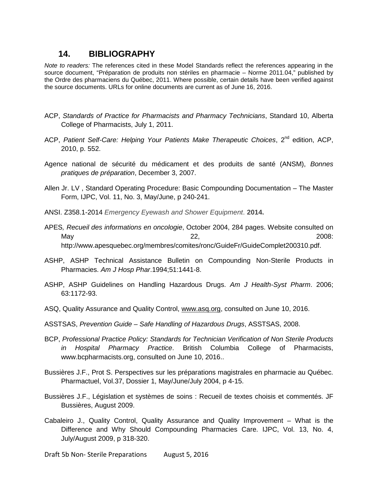### **14. BIBLIOGRAPHY**

*Note to readers:* The references cited in these Model Standards reflect the references appearing in the source document, "Préparation de produits non stériles en pharmacie – Norme 2011.04," published by the Ordre des pharmaciens du Québec, 2011. Where possible, certain details have been verified against the source documents. URLs for online documents are current as of June 16, 2016.

- ACP, *Standards of Practice for Pharmacists and Pharmacy Technicians*, Standard 10, Alberta College of Pharmacists, July 1, 2011.
- ACP, Patient Self-Care: Helping Your Patients Make Therapeutic Choices, 2<sup>nd</sup> edition, ACP, 2010, p. 552.
- Agence national de sécurité du médicament et des produits de santé (ANSM), *Bonnes pratiques de préparation*, December 3, 2007.
- Allen Jr. LV , Standard Operating Procedure: Basic Compounding Documentation The Master Form, IJPC, Vol. 11, No. 3, May/June, p 240-241.
- ANSI. Z358.1-2014 *Emergency Eyewash and Shower Equipment*. **2014.**
- APES*, Recueil des informations en oncologie*, October 2004, 284 pages. Website consulted on May 22, 2008: http://www.apesquebec.org/membres/comites/ronc/GuideFr/GuideComplet200310.pdf.
- ASHP, ASHP Technical Assistance Bulletin on Compounding Non-Sterile Products in Pharmacies. *Am J Hosp Phar*.1994;51:1441-8.
- ASHP, ASHP Guidelines on Handling Hazardous Drugs. *Am J Health-Syst Pharm*. 2006; 63:1172-93.
- ASQ, Quality Assurance and Quality Control, [www.asq.org,](http://www.asq.org/) consulted on June 10, 2016.
- ASSTSAS, *Prevention Guide – Safe Handling of Hazardous Drugs*, ASSTSAS, 2008.
- BCP, *Professional Practice Policy: Standards for Technician Verification of Non Sterile Products in Hospital Pharmacy Practice*. British Columbia College of Pharmacists, www.bcpharmacists.org, consulted on June 10, 2016..
- Bussières J.F., Prot S. Perspectives sur les préparations magistrales en pharmacie au Québec. Pharmactuel, Vol.37, Dossier 1, May/June/July 2004, p 4-15.
- Bussières J.F., Législation et systèmes de soins : Recueil de textes choisis et commentés. JF Bussières, August 2009.
- Cabaleiro J., Quality Control, Quality Assurance and Quality Improvement What is the Difference and Why Should Compounding Pharmacies Care. IJPC, Vol. 13, No. 4, July/August 2009, p 318-320.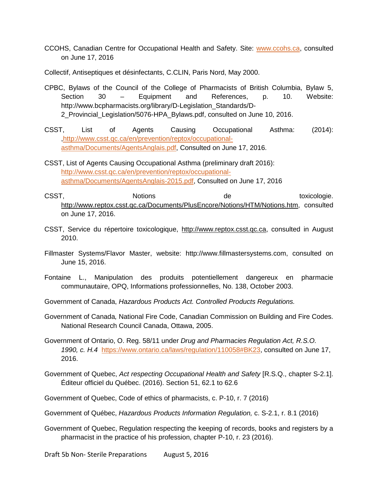- CCOHS, Canadian Centre for Occupational Health and Safety. Site: [www.ccohs.ca,](http://www.ccohs.ca/) consulted on June 17, 2016
- Collectif, Antiseptiques et désinfectants, C.CLIN, Paris Nord, May 2000.
- CPBC, Bylaws of the Council of the College of Pharmacists of British Columbia, Bylaw 5, Section 30 – Equipment and References, p. 10. Website: http://www.bcpharmacists.org/library/D-Legislation\_Standards/D-2\_Provincial\_Legislation/5076-HPA\_Bylaws.pdf, consulted on June 10, 2016.
- CSST, List of Agents Causing Occupational Asthma: (2014): [,http://www.csst.qc.ca/en/prevention/reptox/occupational](http://www.csst.qc.ca/en/prevention/reptox/occupational-asthma/Documents/AgentsAnglais.pdf)[asthma/Documents/AgentsAnglais.pdf,](http://www.csst.qc.ca/en/prevention/reptox/occupational-asthma/Documents/AgentsAnglais.pdf) Consulted on June 17, 2016.
- CSST, List of Agents Causing Occupational Asthma (preliminary draft 2016): [http://www.csst.qc.ca/en/prevention/reptox/occupational](http://www.csst.qc.ca/en/prevention/reptox/occupational-asthma/Documents/AgentsAnglais-2015.pdf)[asthma/Documents/AgentsAnglais-2015.pdf,](http://www.csst.qc.ca/en/prevention/reptox/occupational-asthma/Documents/AgentsAnglais-2015.pdf) Consulted on June 17, 2016
- CSST, Notions CSST, toxicologie. [http://www.reptox.csst.qc.ca/Documents/PlusEncore/Notions/HTM/Notions.htm,](http://www.reptox.csst.qc.ca/Documents/) consulted on June 17, 2016.
- CSST, Service du répertoire toxicologique, [http://www.reptox.csst.qc.ca,](http://www.reptox.csst.qc.ca/) consulted in August 2010.
- Fillmaster Systems/Flavor Master, website: http://www.fillmastersystems.com, consulted on June 15, 2016.
- Fontaine L., Manipulation des produits potentiellement dangereux en pharmacie communautaire, OPQ, Informations professionnelles, No. 138, October 2003.
- Government of Canada, *Hazardous Products Act. Controlled Products Regulations.*
- Government of Canada*,* National Fire Code, Canadian Commission on Building and Fire Codes. National Research Council Canada, Ottawa, 2005.
- Government of Ontario, O. Reg. 58/11 under *Drug and Pharmacies Regulation Act, R.S.O. 1990, c. H.4* [https://www.ontario.ca/laws/regulation/110058#BK23,](https://www.ontario.ca/laws/regulation/110058#BK23) consulted on June 17, 2016.
- Government of Quebec, *Act respecting Occupational Health and Safety* [R.S.Q., chapter S-2.1]. Éditeur officiel du Québec. (2016). Section 51, 62.1 to 62.6
- Government of Quebec, Code of ethics of pharmacists, c. P-10, r. 7 (2016)
- Government of Québec, *Hazardous Products Information Regulation,* c. S-2.1, r. 8.1 (2016)
- Government of Quebec, Regulation respecting the keeping of records, books and registers by a pharmacist in the practice of his profession, chapter P-10, r. 23 (2016).

Draft 5b Non- Sterile Preparations August 5, 2016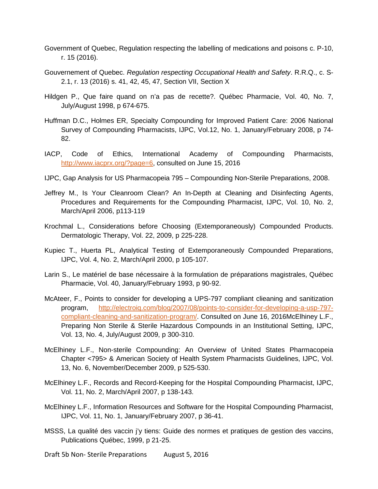- Government of Quebec, Regulation respecting the labelling of medications and poisons c. P-10, r. 15 (2016).
- Gouvernement of Quebec. *Regulation respecting Occupational Health and Safety*. R.R.Q., c. S-2.1, r. 13 (2016) s. 41, 42, 45, 47, Section VII, Section X
- Hildgen P., Que faire quand on n'a pas de recette?. Québec Pharmacie, Vol. 40, No. 7, July/August 1998, p 674-675.
- Huffman D.C., Holmes ER, Specialty Compounding for Improved Patient Care: 2006 National Survey of Compounding Pharmacists, IJPC, Vol.12, No. 1, January/February 2008, p 74- 82.
- IACP, Code of Ethics, International Academy of Compounding Pharmacists, [http://www.iacprx.org/?page=6,](http://www.iacprx.org/?page=6) consulted on June 15, 2016
- IJPC, Gap Analysis for US Pharmacopeia 795 Compounding Non-Sterile Preparations, 2008.
- Jeffrey M., Is Your Cleanroom Clean? An In-Depth at Cleaning and Disinfecting Agents, Procedures and Requirements for the Compounding Pharmacist, IJPC, Vol. 10, No. 2, March/April 2006, p113-119
- Krochmal L., Considerations before Choosing (Extemporaneously) Compounded Products. Dermatologic Therapy, Vol. 22, 2009, p 225-228.
- Kupiec T., Huerta PL, Analytical Testing of Extemporaneously Compounded Preparations, IJPC, Vol. 4, No. 2, March/April 2000, p 105-107.
- Larin S., Le matériel de base nécessaire à la formulation de préparations magistrales, Québec Pharmacie, Vol. 40, January/February 1993, p 90-92.
- McAteer, F., Points to consider for developing a UPS-797 compliant clieaning and sanitization program, [http://electroiq.com/blog/2007/08/points-to-consider-for-developing-a-usp-797](http://electroiq.com/blog/2007/08/points-to-consider-for-developing-a-usp-797-compliant-cleaning-and-sanitization-program/) [compliant-cleaning-and-sanitization-program/.](http://electroiq.com/blog/2007/08/points-to-consider-for-developing-a-usp-797-compliant-cleaning-and-sanitization-program/) Consulted on June 16, 2016McElhiney L.F., Preparing Non Sterile & Sterile Hazardous Compounds in an Institutional Setting, IJPC, Vol. 13, No. 4, July/August 2009, p 300-310.
- McElhiney L.F., Non-sterile Compounding: An Overview of United States Pharmacopeia Chapter <795> & American Society of Health System Pharmacists Guidelines, IJPC, Vol. 13, No. 6, November/December 2009, p 525-530.
- McElhiney L.F., Records and Record-Keeping for the Hospital Compounding Pharmacist, IJPC, Vol. 11, No. 2, March/April 2007, p 138-143.
- McElhiney L.F., Information Resources and Software for the Hospital Compounding Pharmacist, IJPC, Vol. 11, No. 1, January/February 2007, p 36-41.
- MSSS, La qualité des vaccin j'y tiens: Guide des normes et pratiques de gestion des vaccins, Publications Québec, 1999, p 21-25.

Draft 5b Non- Sterile Preparations August 5, 2016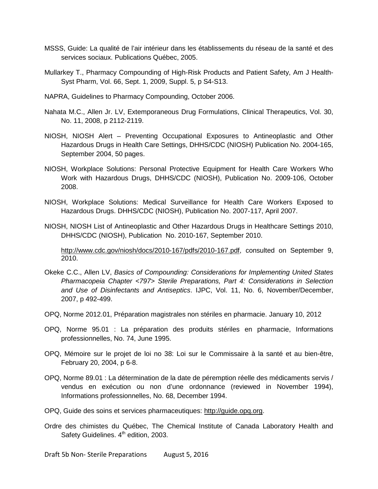- MSSS, Guide: La qualité de l'air intérieur dans les établissements du réseau de la santé et des services sociaux. Publications Québec, 2005.
- Mullarkey T., Pharmacy Compounding of High-Risk Products and Patient Safety, Am J Health-Syst Pharm, Vol. 66, Sept. 1, 2009, Suppl. 5, p S4-S13.
- NAPRA, Guidelines to Pharmacy Compounding, October 2006.
- Nahata M.C., Allen Jr. LV, Extemporaneous Drug Formulations, Clinical Therapeutics, Vol. 30, No. 11, 2008, p 2112-2119.
- NIOSH, NIOSH Alert Preventing Occupational Exposures to Antineoplastic and Other Hazardous Drugs in Health Care Settings, DHHS/CDC (NIOSH) Publication No. 2004-165, September 2004, 50 pages.
- NIOSH, Workplace Solutions: Personal Protective Equipment for Health Care Workers Who Work with Hazardous Drugs, DHHS/CDC (NIOSH), Publication No. 2009-106, October 2008.
- NIOSH, Workplace Solutions: Medical Surveillance for Health Care Workers Exposed to Hazardous Drugs. DHHS/CDC (NIOSH), Publication No. 2007-117, April 2007.
- NIOSH, NIOSH List of Antineoplastic and Other Hazardous Drugs in Healthcare Settings 2010, DHHS/CDC (NIOSH), Publication No. 2010-167, September 2010.

[http://www.cdc.gov/niosh/docs/2010-167/pdfs/2010-167.pdf,](http://www.cdc.gov/niosh/docs/2010-167/pdfs/2010-167.pdf) consulted on September 9, 2010.

- Okeke C.C., Allen LV, *Basics of Compounding: Considerations for Implementing United States Pharmacopeia Chapter <797> Sterile Preparations, Part 4: Considerations in Selection and Use of Disinfectants and Antiseptics*. IJPC, Vol. 11, No. 6, November/December, 2007, p 492-499.
- OPQ, Norme 2012.01, Préparation magistrales non stériles en pharmacie. January 10, 2012
- OPQ, Norme 95.01 : La préparation des produits stériles en pharmacie, Informations professionnelles, No. 74, June 1995.
- OPQ, Mémoire sur le projet de loi no 38: Loi sur le Commissaire à la santé et au bien-être, February 20, 2004, p 6-8.
- OPQ, Norme 89.01 : La détermination de la date de péremption réelle des médicaments servis / vendus en exécution ou non d'une ordonnance (reviewed in November 1994), Informations professionnelles, No. 68, December 1994.
- OPQ, Guide des soins et services pharmaceutiques: [http://guide.opq.org.](http://guide.opq.org/)
- Ordre des chimistes du Québec, The Chemical Institute of Canada Laboratory Health and Safety Guidelines. 4<sup>th</sup> edition, 2003.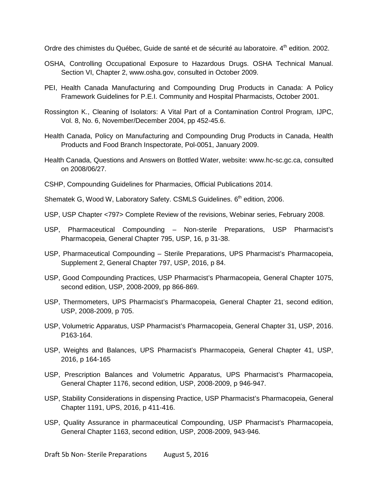Ordre des chimistes du Québec, Guide de santé et de sécurité au laboratoire. 4<sup>th</sup> edition. 2002.

- OSHA, Controlling Occupational Exposure to Hazardous Drugs. OSHA Technical Manual. Section VI, Chapter 2, www.osha.gov, consulted in October 2009.
- PEI, Health Canada Manufacturing and Compounding Drug Products in Canada: A Policy Framework Guidelines for P.E.I. Community and Hospital Pharmacists, October 2001.
- Rossington K., Cleaning of Isolators: A Vital Part of a Contamination Control Program*,* IJPC, Vol. 8, No. 6, November/December 2004, pp 452-45.6.
- Health Canada, Policy on Manufacturing and Compounding Drug Products in Canada, Health Products and Food Branch Inspectorate, Pol-0051, January 2009.
- Health Canada, Questions and Answers on Bottled Water, website: www.hc-sc.gc.ca, consulted on 2008/06/27.
- CSHP, Compounding Guidelines for Pharmacies, Official Publications 2014.
- Shematek G, Wood W, Laboratory Safety. CSMLS Guidelines. 6<sup>th</sup> edition, 2006.
- USP, USP Chapter <797> Complete Review of the revisions, Webinar series, February 2008.
- USP, Pharmaceutical Compounding Non-sterile Preparations, USP Pharmacist's Pharmacopeia, General Chapter 795, USP, 16, p 31-38.
- USP, Pharmaceutical Compounding Sterile Preparations, UPS Pharmacist's Pharmacopeia, Supplement 2, General Chapter 797, USP, 2016, p 84.
- USP, Good Compounding Practices, USP Pharmacist's Pharmacopeia, General Chapter 1075, second edition, USP, 2008-2009, pp 866-869.
- USP, Thermometers, UPS Pharmacist's Pharmacopeia, General Chapter 21, second edition, USP, 2008-2009, p 705.
- USP, Volumetric Apparatus, USP Pharmacist's Pharmacopeia, General Chapter 31, USP, 2016. P163-164.
- USP, Weights and Balances, UPS Pharmacist's Pharmacopeia, General Chapter 41, USP, 2016, p 164-165
- USP, Prescription Balances and Volumetric Apparatus, UPS Pharmacist's Pharmacopeia, General Chapter 1176, second edition, USP, 2008-2009, p 946-947.
- USP, Stability Considerations in dispensing Practice, USP Pharmacist's Pharmacopeia, General Chapter 1191, UPS, 2016, p 411-416.
- USP, Quality Assurance in pharmaceutical Compounding, USP Pharmacist's Pharmacopeia, General Chapter 1163, second edition, USP, 2008-2009, 943-946.